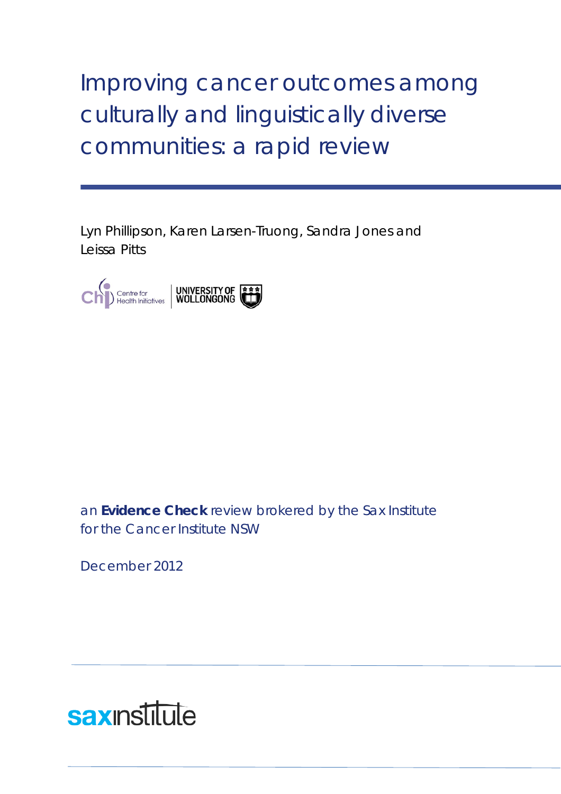Improving cancer outcomes among culturally and linguistically diverse communities: a rapid review

Lyn Phillipson, Karen Larsen-Truong, Sandra Jones and Leissa Pitts



an **Evidence Check** review brokered by the Sax Institute for the Cancer Institute NSW

December 2012

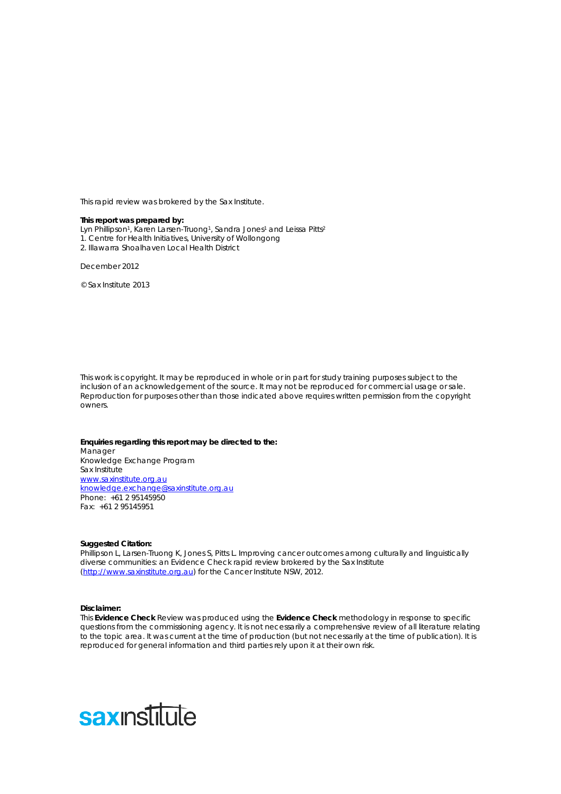This rapid review was brokered by the Sax Institute.

#### **This report was prepared by:**

- Lyn Phillipson<sup>1</sup>, Karen Larsen-Truong<sup>1</sup>, Sandra Jones<sup>1</sup> and Leissa Pitts<sup>2</sup>
- 1. Centre for Health Initiatives, University of Wollongong
- 2. Illawarra Shoalhaven Local Health District

December 2012

© Sax Institute 2013

This work is copyright. It may be reproduced in whole or in part for study training purposes subject to the inclusion of an acknowledgement of the source. It may not be reproduced for commercial usage or sale. Reproduction for purposes other than those indicated above requires written permission from the copyright owners.

#### **Enquiries regarding this report may be directed to the:**

Manager Knowledge Exchange Program Sax Institute [www.saxinstitute.org.au](http://www.saxinstitute.org.au/) [knowledge.exchange@saxinstitute.org.au](mailto:knowledge.exchange@saxinstitute.org.au) Phone: +61 2 95145950 Fax: +61 2 95145951

#### **Suggested Citation:**

Phillipson L, Larsen-Truong K, Jones S, Pitts L. Improving cancer outcomes among culturally and linguistically diverse communities: an Evidence Check rapid review brokered by the Sax Institute [\(http://www.saxinstitute.org.au\)](http://www.saxinstitute.org.au/) for the Cancer Institute NSW, 2012.

#### **Disclaimer:**

This **Evidence Check** Review was produced using the **Evidence Check** methodology in response to specific questions from the commissioning agency. It is not necessarily a comprehensive review of all literature relating to the topic area. It was current at the time of production (but not necessarily at the time of publication). It is reproduced for general information and third parties rely upon it at their own risk.

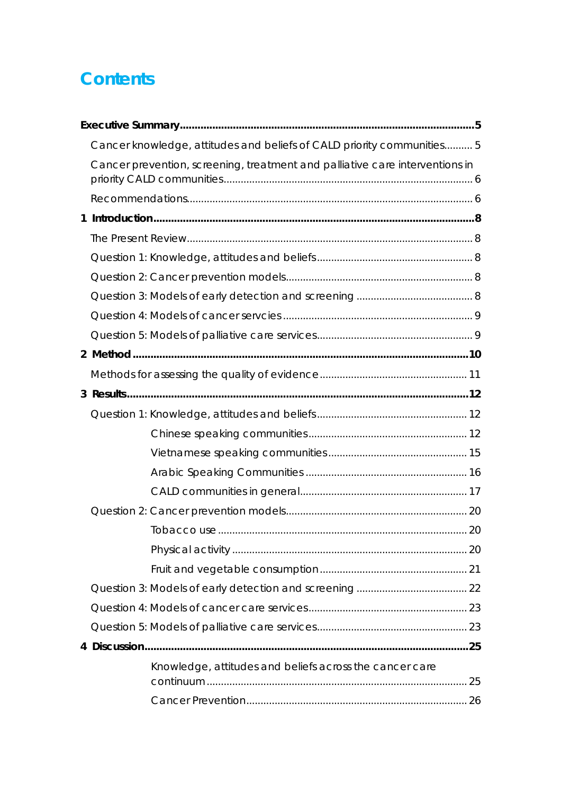# **Contents**

|             | Cancer knowledge, attitudes and beliefs of CALD priority communities 5       |  |
|-------------|------------------------------------------------------------------------------|--|
|             | Cancer prevention, screening, treatment and palliative care interventions in |  |
|             |                                                                              |  |
| $\mathbf 1$ |                                                                              |  |
|             |                                                                              |  |
|             |                                                                              |  |
|             |                                                                              |  |
|             |                                                                              |  |
|             |                                                                              |  |
|             |                                                                              |  |
|             |                                                                              |  |
|             |                                                                              |  |
|             |                                                                              |  |
|             |                                                                              |  |
|             |                                                                              |  |
|             |                                                                              |  |
|             |                                                                              |  |
|             |                                                                              |  |
|             |                                                                              |  |
|             |                                                                              |  |
|             |                                                                              |  |
|             |                                                                              |  |
|             |                                                                              |  |
|             |                                                                              |  |
|             |                                                                              |  |
|             |                                                                              |  |
|             | Knowledge, attitudes and beliefs across the cancer care                      |  |
|             |                                                                              |  |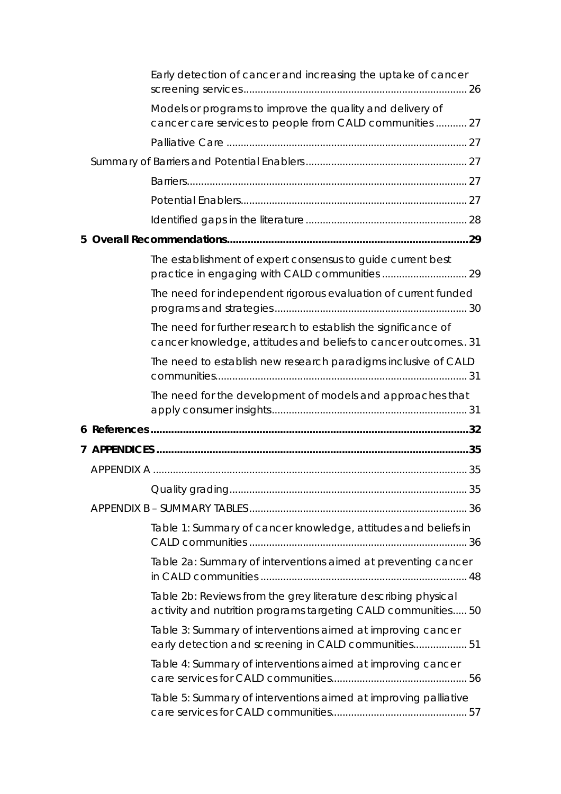|  | Early detection of cancer and increasing the uptake of cancer                                                                   |    |
|--|---------------------------------------------------------------------------------------------------------------------------------|----|
|  | Models or programs to improve the quality and delivery of<br>cancer care services to people from CALD communities  27           |    |
|  |                                                                                                                                 |    |
|  |                                                                                                                                 |    |
|  |                                                                                                                                 |    |
|  |                                                                                                                                 |    |
|  |                                                                                                                                 |    |
|  |                                                                                                                                 |    |
|  | The establishment of expert consensus to guide current best                                                                     |    |
|  | The need for independent rigorous evaluation of current funded                                                                  |    |
|  | The need for further research to establish the significance of<br>cancer knowledge, attitudes and beliefs to cancer outcomes 31 |    |
|  | The need to establish new research paradigms inclusive of CALD                                                                  |    |
|  | The need for the development of models and approaches that                                                                      |    |
|  |                                                                                                                                 |    |
|  |                                                                                                                                 |    |
|  |                                                                                                                                 |    |
|  |                                                                                                                                 | 35 |
|  |                                                                                                                                 |    |
|  | Table 1: Summary of cancer knowledge, attitudes and beliefs in                                                                  |    |
|  | Table 2a: Summary of interventions aimed at preventing cancer                                                                   |    |
|  | Table 2b: Reviews from the grey literature describing physical<br>activity and nutrition programs targeting CALD communities 50 |    |
|  | Table 3: Summary of interventions aimed at improving cancer<br>early detection and screening in CALD communities 51             |    |
|  | Table 4: Summary of interventions aimed at improving cancer                                                                     |    |
|  | Table 5: Summary of interventions aimed at improving palliative                                                                 |    |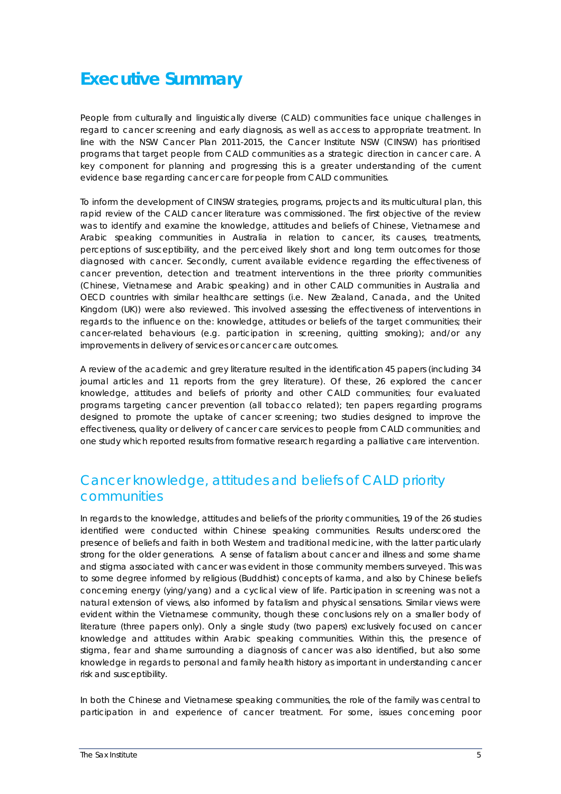# <span id="page-4-0"></span>**Executive Summary**

People from culturally and linguistically diverse (CALD) communities face unique challenges in regard to cancer screening and early diagnosis, as well as access to appropriate treatment. In line with the NSW Cancer Plan 2011-2015, the Cancer Institute NSW (CINSW) has prioritised programs that target people from CALD communities as a strategic direction in cancer care. A key component for planning and progressing this is a greater understanding of the current evidence base regarding cancer care for people from CALD communities.

To inform the development of CINSW strategies, programs, projects and its multicultural plan, this rapid review of the CALD cancer literature was commissioned. The first objective of the review was to identify and examine the knowledge, attitudes and beliefs of Chinese, Vietnamese and Arabic speaking communities in Australia in relation to cancer, its causes, treatments, perceptions of susceptibility, and the perceived likely short and long term outcomes for those diagnosed with cancer. Secondly, current available evidence regarding the effectiveness of cancer prevention, detection and treatment interventions in the three priority communities (Chinese, Vietnamese and Arabic speaking) and in other CALD communities in Australia and OECD countries with similar healthcare settings (i.e. New Zealand, Canada, and the United Kingdom (UK)) were also reviewed. This involved assessing the effectiveness of interventions in regards to the influence on the: knowledge, attitudes or beliefs of the target communities; their cancer-related behaviours (e.g. participation in screening, quitting smoking); and/or any improvements in delivery of services or cancer care outcomes.

A review of the academic and grey literature resulted in the identification 45 papers (including 34 journal articles and 11 reports from the grey literature). Of these, 26 explored the cancer knowledge, attitudes and beliefs of priority and other CALD communities; four evaluated programs targeting cancer prevention (all tobacco related); ten papers regarding programs designed to promote the uptake of cancer screening; two studies designed to improve the effectiveness, quality or delivery of cancer care services to people from CALD communities; and one study which reported results from formative research regarding a palliative care intervention.

## <span id="page-4-1"></span>*Cancer knowledge, attitudes and beliefs of CALD priority communities*

In regards to the knowledge, attitudes and beliefs of the priority communities, 19 of the 26 studies identified were conducted within Chinese speaking communities. Results underscored the presence of beliefs and faith in both Western and traditional medicine, with the latter particularly strong for the older generations. A sense of fatalism about cancer and illness and some shame and stigma associated with cancer was evident in those community members surveyed. This was to some degree informed by religious (Buddhist) concepts of karma, and also by Chinese beliefs concerning energy (ying/yang) and a cyclical view of life. Participation in screening was not a natural extension of views, also informed by fatalism and physical sensations. Similar views were evident within the Vietnamese community, though these conclusions rely on a smaller body of literature (three papers only). Only a single study (two papers) exclusively focused on cancer knowledge and attitudes within Arabic speaking communities. Within this, the presence of stigma, fear and shame surrounding a diagnosis of cancer was also identified, but also some knowledge in regards to personal and family health history as important in understanding cancer risk and susceptibility.

In both the Chinese and Vietnamese speaking communities, the role of the family was central to participation in and experience of cancer treatment. For some, issues concerning poor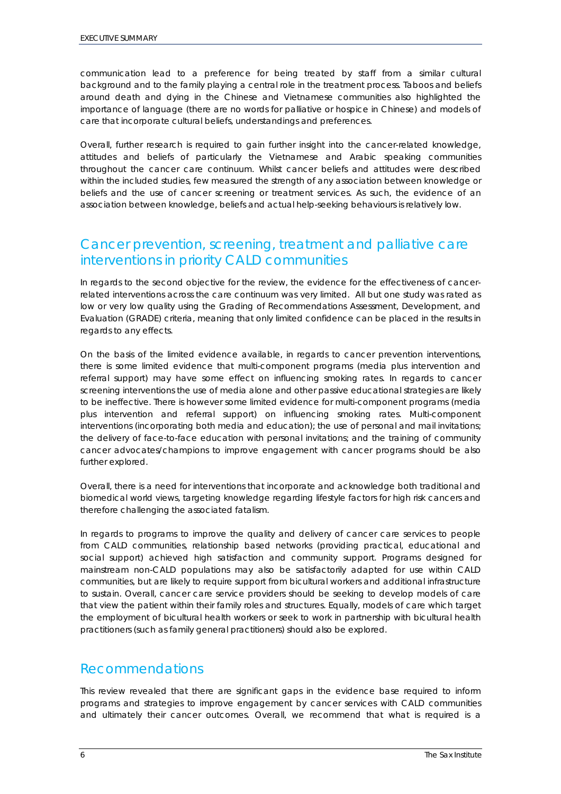communication lead to a preference for being treated by staff from a similar cultural background and to the family playing a central role in the treatment process. Taboos and beliefs around death and dying in the Chinese and Vietnamese communities also highlighted the importance of language (there are no words for palliative or hospice in Chinese) and models of care that incorporate cultural beliefs, understandings and preferences.

Overall, further research is required to gain further insight into the cancer-related knowledge, attitudes and beliefs of particularly the Vietnamese and Arabic speaking communities throughout the cancer care continuum. Whilst cancer beliefs and attitudes were described within the included studies, few measured the strength of any association between knowledge or beliefs and the use of cancer screening or treatment services. As such, the evidence of an association between knowledge, beliefs and actual help-seeking behaviours is relatively low.

## <span id="page-5-0"></span>*Cancer prevention, screening, treatment and palliative care interventions in priority CALD communities*

In regards to the second objective for the review, the evidence for the effectiveness of cancerrelated interventions across the care continuum was very limited. All but one study was rated as low or very low quality using the Grading of Recommendations Assessment, Development, and Evaluation (GRADE) criteria, meaning that only limited confidence can be placed in the results in regards to any effects.

On the basis of the limited evidence available, in regards to cancer prevention interventions, there is some limited evidence that multi-component programs (media plus intervention and referral support) may have some effect on influencing smoking rates. In regards to cancer screening interventions the use of media alone and other passive educational strategies are likely to be ineffective. There is however some limited evidence for multi-component programs (media plus intervention and referral support) on influencing smoking rates. Multi-component interventions (incorporating both media and education); the use of personal and mail invitations; the delivery of face-to-face education with personal invitations; and the training of community cancer advocates/champions to improve engagement with cancer programs should be also further explored.

Overall, there is a need for interventions that incorporate and acknowledge both traditional and biomedical world views, targeting knowledge regarding lifestyle factors for high risk cancers and therefore challenging the associated fatalism.

In regards to programs to improve the quality and delivery of cancer care services to people from CALD communities, relationship based networks (providing practical, educational and social support) achieved high satisfaction and community support. Programs designed for mainstream non-CALD populations may also be satisfactorily adapted for use within CALD communities, but are likely to require support from bicultural workers and additional infrastructure to sustain. Overall, cancer care service providers should be seeking to develop models of care that view the patient within their family roles and structures. Equally, models of care which target the employment of bicultural health workers or seek to work in partnership with bicultural health practitioners (such as family general practitioners) should also be explored.

## <span id="page-5-1"></span>*Recommendations*

This review revealed that there are significant gaps in the evidence base required to inform programs and strategies to improve engagement by cancer services with CALD communities and ultimately their cancer outcomes. Overall, we recommend that what is required is a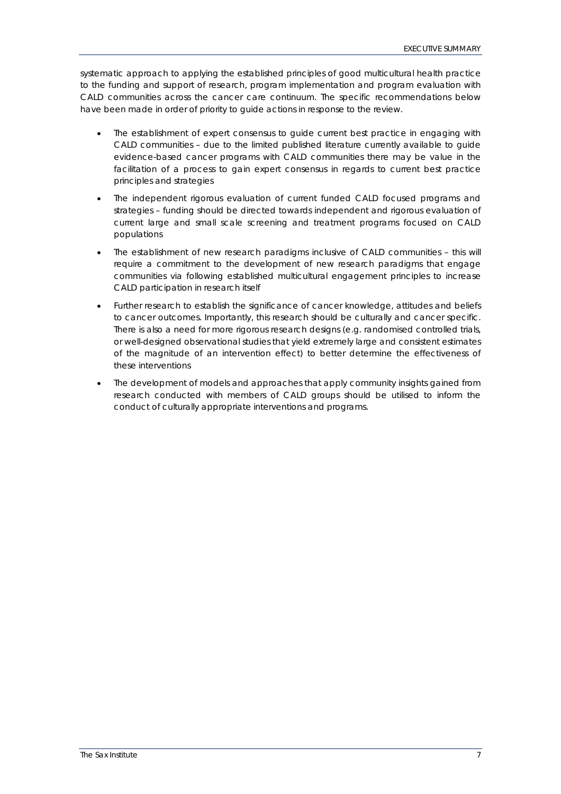systematic approach to applying the established principles of good multicultural health practice to the funding and support of research, program implementation and program evaluation with CALD communities across the cancer care continuum. The specific recommendations below have been made in order of priority to guide actions in response to the review.

- The establishment of expert consensus to guide current best practice in engaging with CALD communities – due to the limited published literature currently available to guide evidence-based cancer programs with CALD communities there may be value in the facilitation of a process to gain expert consensus in regards to current best practice principles and strategies
- The independent rigorous evaluation of current funded CALD focused programs and strategies – funding should be directed towards independent and rigorous evaluation of current large and small scale screening and treatment programs focused on CALD populations
- The establishment of new research paradigms inclusive of CALD communities this will require a commitment to the development of new research paradigms that engage communities via following established multicultural engagement principles to increase CALD participation in research itself
- Further research to establish the significance of cancer knowledge, attitudes and beliefs to cancer outcomes. Importantly, this research should be culturally and cancer specific. There is also a need for more rigorous research designs (e.g. randomised controlled trials, or well-designed observational studies that yield extremely large and consistent estimates of the magnitude of an intervention effect) to better determine the effectiveness of these interventions
- The development of models and approaches that apply community insights gained from research conducted with members of CALD groups should be utilised to inform the conduct of culturally appropriate interventions and programs.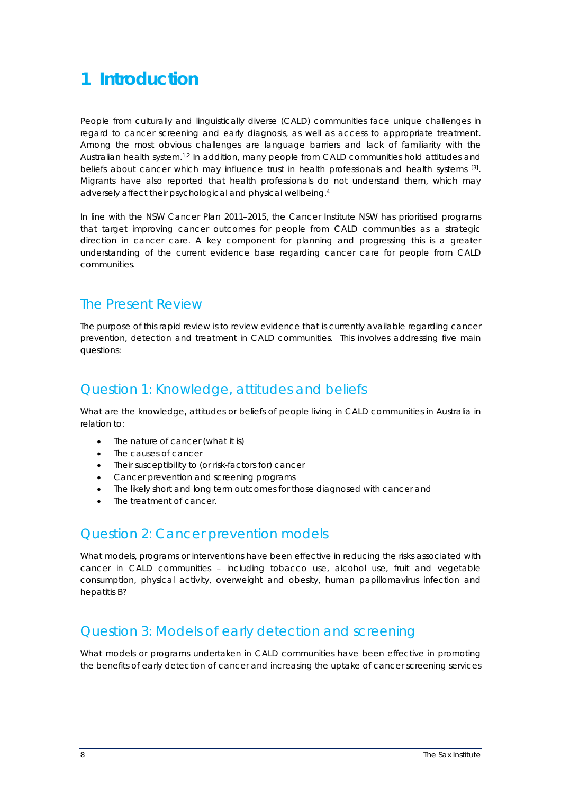# <span id="page-7-0"></span>**1 Introduction**

People from culturally and linguistically diverse (CALD) communities face unique challenges in regard to cancer screening and early diagnosis, as well as access to appropriate treatment. Among the most obvious challenges are language barriers and lack of familiarity with the Australian health system.<sup>[1,](#page-31-1)[2](#page-31-2)</sup> In addition, many people from CALD communities hold attitudes and beliefs about cancer which may influence trust in health professionals and health systems  $^{[3]}$  $^{[3]}$  $^{[3]}$ . Migrants have also reported that health professionals do not understand them, which may adversely affect their psychological and physical wellbeing[.](#page-31-4) 4

In line with the NSW Cancer Plan 2011–2015, the Cancer Institute NSW has prioritised programs that target improving cancer outcomes for people from CALD communities as a strategic direction in cancer care. A key component for planning and progressing this is a greater understanding of the current evidence base regarding cancer care for people from CALD communities.

## <span id="page-7-1"></span>*The Present Review*

The purpose of this rapid review is to review evidence that is currently available regarding cancer prevention, detection and treatment in CALD communities. This involves addressing five main questions:

## <span id="page-7-2"></span>*Question 1: Knowledge, attitudes and beliefs*

What are the knowledge, attitudes or beliefs of people living in CALD communities in Australia in relation to:

- The nature of cancer (what it is)
- The causes of cancer
- Their susceptibility to (or risk-factors for) cancer
- Cancer prevention and screening programs
- The likely short and long term outcomes for those diagnosed with cancer and
- The treatment of cancer.

## <span id="page-7-3"></span>*Question 2: Cancer prevention models*

What models, programs or interventions have been effective in reducing the risks associated with cancer in CALD communities – including tobacco use, alcohol use, fruit and vegetable consumption, physical activity, overweight and obesity, human papillomavirus infection and hepatitis B?

## <span id="page-7-4"></span>*Question 3: Models of early detection and screening*

What models or programs undertaken in CALD communities have been effective in promoting the benefits of early detection of cancer and increasing the uptake of cancer screening services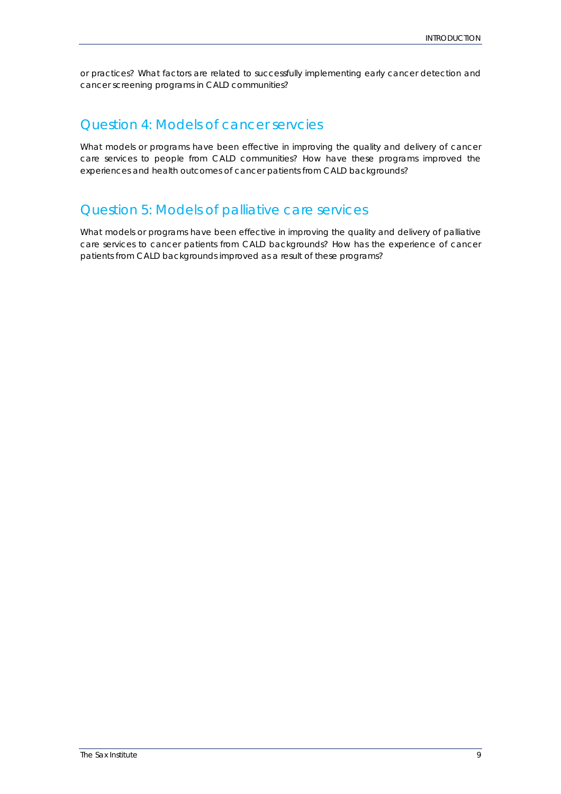or practices? What factors are related to successfully implementing early cancer detection and cancer screening programs in CALD communities?

## <span id="page-8-0"></span>*Question 4: Models of cancer servcies*

What models or programs have been effective in improving the quality and delivery of cancer care services to people from CALD communities? How have these programs improved the experiences and health outcomes of cancer patients from CALD backgrounds?

## <span id="page-8-1"></span>*Question 5: Models of palliative care services*

What models or programs have been effective in improving the quality and delivery of palliative care services to cancer patients from CALD backgrounds? How has the experience of cancer patients from CALD backgrounds improved as a result of these programs?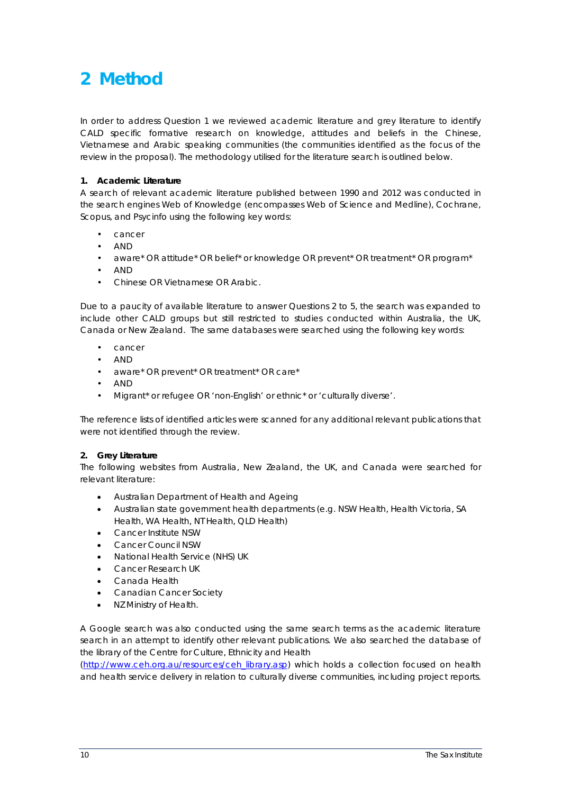# <span id="page-9-0"></span>**2 Method**

In order to address Question 1 we reviewed academic literature and grey literature to identify CALD specific formative research on knowledge, attitudes and beliefs in the Chinese, Vietnamese and Arabic speaking communities (the communities identified as the focus of the review in the proposal). The methodology utilised for the literature search is outlined below.

#### **1. Academic Literature**

A search of relevant academic literature published between 1990 and 2012 was conducted in the search engines Web of Knowledge (encompasses Web of Science and Medline), Cochrane, Scopus, and Psycinfo using the following key words:

- cancer
- AND
- aware\* OR attitude\* OR belief\* or knowledge OR prevent\* OR treatment\* OR program\*
- AND
- Chinese OR Vietnamese OR Arabic.

Due to a paucity of available literature to answer Questions 2 to 5, the search was expanded to include other CALD groups but still restricted to studies conducted within Australia, the UK, Canada or New Zealand. The same databases were searched using the following key words:

- cancer
- AND
- aware\* OR prevent\* OR treatment\* OR care\*
- AND
- Migrant\* or refugee OR 'non-English' or ethnic\* or 'culturally diverse'.

The reference lists of identified articles were scanned for any additional relevant publications that were not identified through the review.

#### **2. Grey Literature**

The following websites from Australia, New Zealand, the UK, and Canada were searched for relevant literature:

- Australian Department of Health and Ageing
- Australian state government health departments (e.g. NSW Health, Health Victoria, SA Health, WA Health, NT Health, QLD Health)
- Cancer Institute NSW
- Cancer Council NSW
- National Health Service (NHS) UK
- Cancer Research UK
- Canada Health
- Canadian Cancer Society
- NZ Ministry of Health.

A Google search was also conducted using the same search terms as the academic literature search in an attempt to identify other relevant publications. We also searched the database of the library of the Centre for Culture, Ethnicity and Health

[\(http://www.ceh.org.au/resources/ceh\\_library.asp\)](http://www.ceh.org.au/resources/ceh_library.asp) which holds a collection focused on health and health service delivery in relation to culturally diverse communities, including project reports.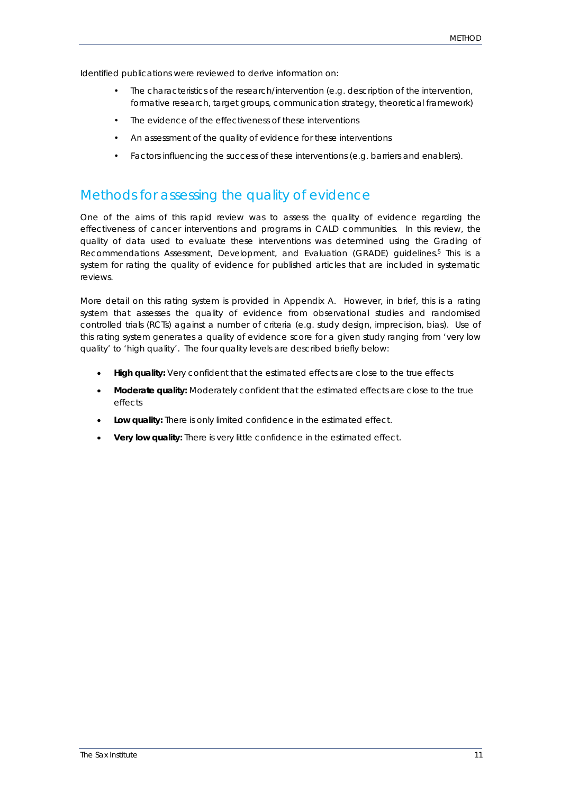Identified publications were reviewed to derive information on:

- The characteristics of the research/intervention (e.g. description of the intervention, formative research, target groups, communication strategy, theoretical framework)
- The evidence of the effectiveness of these interventions
- An assessment of the quality of evidence for these interventions
- Factors influencing the success of these interventions (e.g. barriers and enablers).

## <span id="page-10-0"></span>*Methods for assessing the quality of evidence*

One of the aims of this rapid review was to assess the quality of evidence regarding the effectiveness of cancer interventions and programs in CALD communities. In this review, the quality of data used to evaluate these interventions was determined using the Grading of Recommendations Assessment, Development, and Evaluation (GRADE) guidelines. [5](#page-31-5) This is a system for rating the quality of evidence for published articles that are included in systematic reviews.

More detail on this rating system is provided in Appendix A. However, in brief, this is a rating system that assesses the quality of evidence from observational studies and randomised controlled trials (RCTs) against a number of criteria (e.g. study design, imprecision, bias). Use of this rating system generates a quality of evidence score for a given study ranging from 'very low quality' to 'high quality'. The four quality levels are described briefly below:

- **High quality:** Very confident that the estimated effects are close to the true effects
- **Moderate quality:** Moderately confident that the estimated effects are close to the true effects
- **Low quality:** There is only limited confidence in the estimated effect.
- **Very low quality:** There is very little confidence in the estimated effect.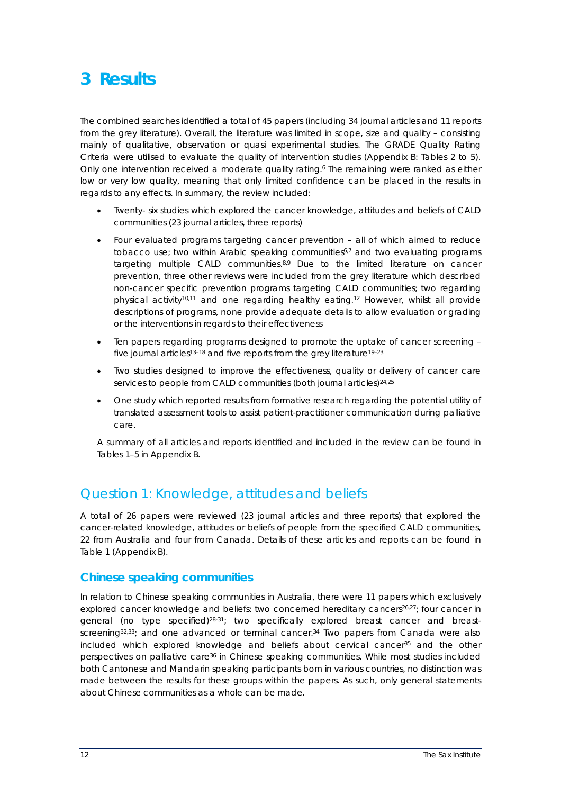# <span id="page-11-0"></span>**3 Results**

The combined searches identified a total of 45 papers (including 34 journal articles and 11 reports from the grey literature). Overall, the literature was limited in scope, size and quality – consisting mainly of qualitative, observation or quasi experimental studies. The GRADE Quality Rating Criteria were utilised to evaluate the quality of intervention studies (Appendix B: Tables 2 to 5). Only one intervention received a moderate quality rating.<sup>6</sup> The remaining were ranked as either low or very low quality, meaning that only limited confidence can be placed in the results in regards to any effects. In summary, the review included:

- Twenty- six studies which explored the cancer knowledge, attitudes and beliefs of CALD communities (23 journal articles, three reports)
- Four evaluated programs targeting cancer prevention all of which aimed to reduce tobacco use; two within Arabic speaking communities<sup>6,[7](#page-31-7)</sup> and two evaluating programs targeting multiple CALD communities.<sup>[8,](#page-31-8)[9](#page-31-9)</sup> Due to the limited literature on cancer prevention, three other reviews were included from the grey literature which described non-cancer specific prevention programs targeting CALD communities; two regarding physical activit[y10,](#page-31-10)[11](#page-31-11) and one regarding healthy eating[.12](#page-31-12) However, whilst all provide descriptions of programs, none provide adequate details to allow evaluation or grading or the interventions in regards to their effectiveness
- Ten papers regarding programs designed to promote the uptake of cancer screening five journal articles<sup>13-18</sup> and five reports from the grey literature<sup>19-23</sup>
- Two studies designed to improve the effectiveness, quality or delivery of cancer care services to people from CALD communities (both journal articles)<sup>24,[25](#page-32-1)</sup>
- One study which reported results from formative research regarding the potential utility of translated assessment tools to assist patient-practitioner communication during palliative care.

A summary of all articles and reports identified and included in the review can be found in Tables 1–5 in Appendix B.

## <span id="page-11-1"></span>*Question 1: Knowledge, attitudes and beliefs*

A total of 26 papers were reviewed (23 journal articles and three reports) that explored the cancer-related knowledge, attitudes or beliefs of people from the specified CALD communities, 22 from Australia and four from Canada. Details of these articles and reports can be found in Table 1 (Appendix B).

### <span id="page-11-2"></span>**Chinese speaking communities**

In relation to Chinese speaking communities in Australia, there were 11 papers which exclusively explored cancer knowledge and beliefs: two concerned hereditary cancers<sup>26,27</sup>; four cancer in general (no type specified)<sup>28-31</sup>; two specifically explored breast cancer and breast-screening<sup>32,33</sup>; and one advanced or terminal cancer.<sup>[34](#page-32-7)</sup> Two papers from Canada were also included which explored knowledge and beliefs about cervical cancer<sup>35</sup> and the other perspectives on palliative care<sup>36</sup> in Chinese speaking communities. While most studies included both Cantonese and Mandarin speaking participants born in various countries, no distinction was made between the results for these groups within the papers. As such, only general statements about Chinese communities as a whole can be made.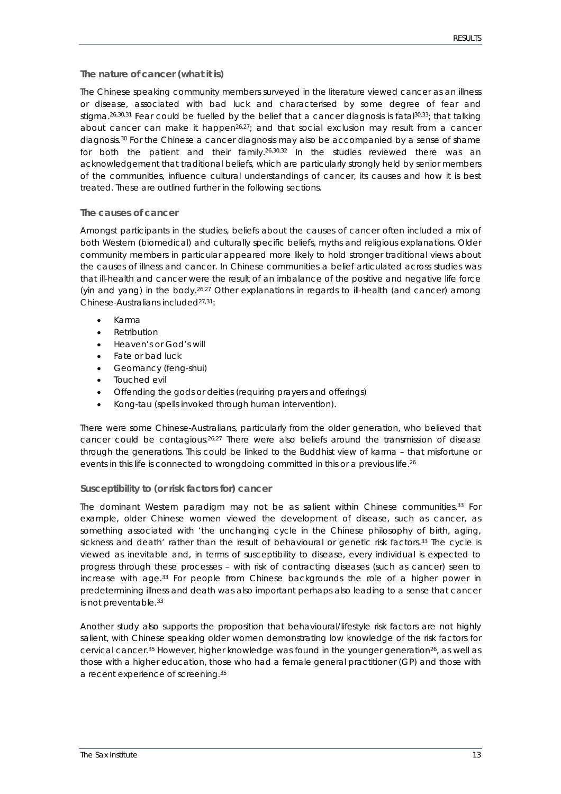#### **The nature of cancer (what it is)**

The Chinese speaking community members surveyed in the literature viewed cancer as an illness or disease, associated with bad luck and characterised by some degree of fear and stigma. [26,](#page-32-2)[30,](#page-32-10)[31](#page-32-11) Fear could be fuelled by the belief that a cancer diagnosis is fat[al30,](#page-32-10)[33;](#page-32-6) that talking about cancer can make it happen<sup>26,27</sup>; and that social exclusion may result from a cancer diagnosis. [30](#page-32-10) For the Chinese a cancer diagnosis may also be accompanied by a sense of shame for both the patient and their family.<sup>[26,](#page-32-2)[30,](#page-32-10)[32](#page-32-5)</sup> In the studies reviewed there was an acknowledgement that traditional beliefs, which are particularly strongly held by senior members of the communities, influence cultural understandings of cancer, its causes and how it is best treated. These are outlined further in the following sections.

#### **The causes of cancer**

Amongst participants in the studies, beliefs about the causes of cancer often included a mix of both Western (biomedical) and culturally specific beliefs, myths and religious explanations. Older community members in particular appeared more likely to hold stronger traditional views about the causes of illness and cancer. In Chinese communities a belief articulated across studies was that ill-health and cancer were the result of an imbalance of the positive and negative life force (yin and yang) in the body.<sup>[26,](#page-32-2)[27](#page-32-3)</sup> Other explanations in regards to ill-health (and cancer) among Chinese-Australians include[d27,](#page-32-3)[31:](#page-32-11)

- Karma
- Retribution
- Heaven's or God's will
- Fate or bad luck
- Geomancy (feng-shui)
- Touched evil
- Offending the gods or deities (requiring prayers and offerings)
- Kong-tau (spells invoked through human intervention).

There were some Chinese-Australians, particularly from the older generation, who believed that cancer could be contagious.<sup>[26,](#page-32-2)[27](#page-32-3)</sup> There were also beliefs around the transmission of disease through the generations. This could be linked to the Buddhist view of karma – that misfortune or events in this life is connected to wrongdoing committed in this or a previous life.<sup>[26](#page-32-2)</sup>

#### **Susceptibility to (or risk factors for) cancer**

The dominant Western paradigm may not be as salient within Chinese communities. [33](#page-32-6) For example, older Chinese women viewed the development of disease, such as cancer, as something associated with 'the unchanging cycle in the Chinese philosophy of birth, aging, sickness and death' rather than the result of behavioural or genetic risk factors.<sup>33</sup> The cycle is viewed as inevitable and, in terms of susceptibility to disease, every individual is expected to progress through these processes – with risk of contracting diseases (such as cancer) seen to increase with age. [33](#page-32-6) For people from Chinese backgrounds the role of a higher power in predetermining illness and death was also important perhaps also leading to a sense that cancer is not preventable.<sup>33</sup>

Another study also supports the proposition that behavioural/lifestyle risk factors are not highly salient, with Chinese speaking older women demonstrating low knowledge of the risk factors for cervical cancer.<sup>35</sup> However, higher knowledge was found in the younger generation<sup>26</sup>, as well as those with a higher education, those who had a female general practitioner (GP) and those with a recent experience of screening.<sup>35</sup>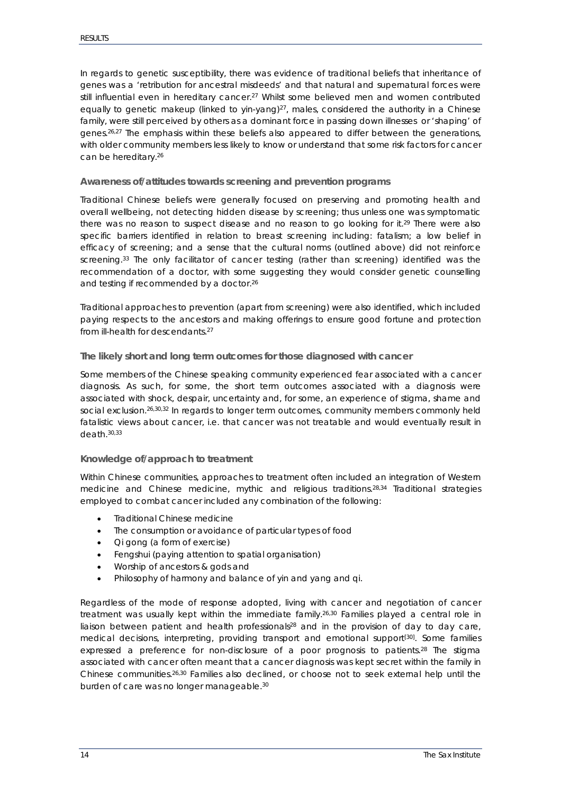In regards to genetic susceptibility, there was evidence of traditional beliefs that inheritance of genes was a 'retribution for ancestral misdeeds' and that natural and supernatural forces were still influential even in hereditary cancer.<sup>27</sup> Whilst some believed men and women contributed equally to genetic makeup (linked to yin-yang)<sup>27</sup>, males, considered the authority in a Chinese family, were still perceived by others as a dominant force in passing down illnesses or 'shaping' of genes.<sup>26,[27](#page-32-3)</sup> The emphasis within these beliefs also appeared to differ between the generations, with older community members less likely to know or understand that some risk factors for cancer can be hereditary. [26](#page-32-2)

#### **Awareness of/attitudes towards screening and prevention programs**

Traditional Chinese beliefs were generally focused on preserving and promoting health and overall wellbeing, not detecting hidden disease by screening; thus unless one was symptomatic there was no reason to suspect disease and no reason to go looking for it.<sup>29</sup> There were also specific barriers identified in relation to breast screening including: fatalism; a low belief in efficacy of screening; and a sense that the cultural norms (outlined above) did not reinforce screening.<sup>33</sup> The only facilitator of cancer testing (rather than screening) identified was the recommendation of a doctor, with some suggesting they would consider genetic counselling and testing if recommended by a doctor.<sup>26</sup>

Traditional approaches to prevention (apart from screening) were also identified, which included paying respects to the ancestors and making offerings to ensure good fortune and protection from ill-health for descendants. [27](#page-32-3)

#### **The likely short and long term outcomes for those diagnosed with cancer**

Some members of the Chinese speaking community experienced fear associated with a cancer diagnosis. As such, for some, the short term outcomes associated with a diagnosis were associated with shock, despair, uncertainty and, for some, an experience of stigma, shame and social exclusion. [26](#page-32-2)[,30,](#page-32-10)[32](#page-32-5) In regards to longer term outcomes, community members commonly held fatalistic views about cancer, i.e. that cancer was not treatable and would eventually result in death. [30,](#page-32-10)[33](#page-32-6)

#### **Knowledge of/approach to treatment**

Within Chinese communities, approaches to treatment often included an integration of Western medicine and Chinese medicine, mythic and religious traditions. [28,](#page-32-4)[34](#page-32-7) Traditional strategies employed to combat cancer included any combination of the following:

- **Traditional Chinese medicine**
- The consumption or avoidance of particular types of food
- Qi gong (a form of exercise)
- Fengshui (paying attention to spatial organisation)
- Worship of ancestors & gods and
- Philosophy of harmony and balance of yin and yang and qi.

Regardless of the mode of response adopted, living with cancer and negotiation of cancer treatment was usually kept within the immediate family.<sup>[26,](#page-32-2)[30](#page-32-10)</sup> Families played a central role in liaison between patient and health professionals<sup>28</sup> and in the provision of day to day care, medical decisions, interpreting, providing transport and emotional support[\[30\]](#page-32-10) . Some families expressed a preference for non-disclosure of a poor prognosis to patients. [28](#page-32-4) The stigma associated with cancer often meant that a cancer diagnosis was kept secret within the family in Chinese communities.<sup>[26,](#page-32-2)[30](#page-32-10)</sup> Families also declined, or choose not to seek external help until the burden of care was no longer manageable. [30](#page-32-10)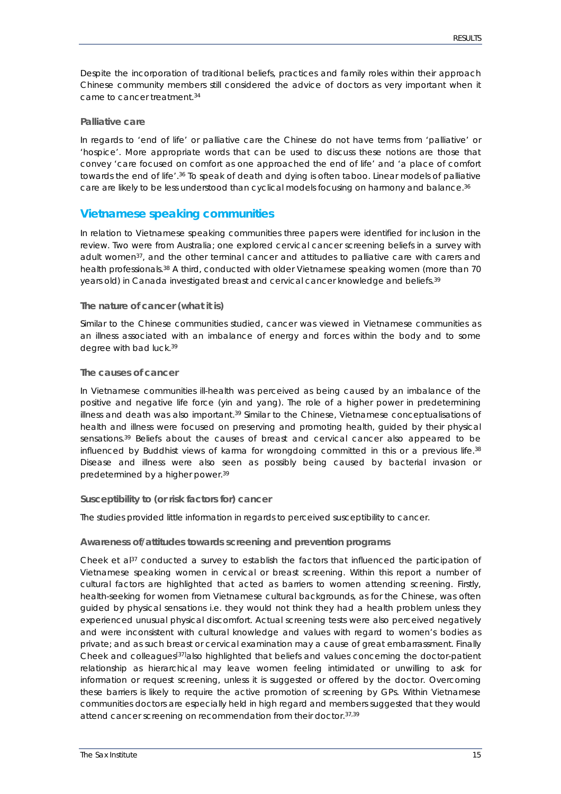Despite the incorporation of traditional beliefs, practices and family roles within their approach Chinese community members still considered the advice of doctors as very important when it came to cancer treatmen[t.34](#page-32-7)

#### **Palliative care**

In regards to 'end of life' or palliative care the Chinese do not have terms from 'palliative' or 'hospice'. More appropriate words that can be used to discuss these notions are those that convey 'care focused on comfort as one approached the end of life' and 'a place of comfort towards the end of life'.<sup>[36](#page-32-9)</sup> To speak of death and dying is often taboo. Linear models of palliative care are likely to be less understood than cyclical models focusing on harmony and balance. [36](#page-32-9)

### <span id="page-14-0"></span>**Vietnamese speaking communities**

In relation to Vietnamese speaking communities three papers were identified for inclusion in the review. Two were from Australia; one explored cervical cancer screening beliefs in a survey with adult women<sup>37</sup>, and the other terminal cancer and attitudes to palliative care with carers and health professionals.<sup>38</sup> A third, conducted with older Vietnamese speaking women (more than 70 years old) in Canada investigated breast and cervical cancer knowledge and beliefs[.39](#page-32-15)

#### **The nature of cancer (what it is)**

Similar to the Chinese communities studied, cancer was viewed in Vietnamese communities as an illness associated with an imbalance of energy and forces within the body and to some degree with bad luck[.39](#page-32-15)

#### **The causes of cancer**

In Vietnamese communities ill-health was perceived as being caused by an imbalance of the positive and negative life force (yin and yang). The role of a higher power in predetermining illness and death was also important.<sup>39</sup> Similar to the Chinese, Vietnamese conceptualisations of health and illness were focused on preserving and promoting health, guided by their physical sensation[s.39](#page-32-15) Beliefs about the causes of breast and cervical cancer also appeared to be influenced by Buddhist views of karma for wrongdoing committed in this or a previous life.<sup>[38](#page-32-14)</sup> Disease and illness were also seen as possibly being caused by bacterial invasion or predetermined by a higher power[.39](#page-32-15)

#### **Susceptibility to (or risk factors for) cancer**

The studies provided little information in regards to perceived susceptibility to cancer.

#### **Awareness of/attitudes towards screening and prevention programs**

Cheek et al $37$  conducted a survey to establish the factors that influenced the participation of Vietnamese speaking women in cervical or breast screening. Within this report a number of cultural factors are highlighted that acted as barriers to women attending screening. Firstly, health-seeking for women from Vietnamese cultural backgrounds, as for the Chinese, was often guided by physical sensations i.e. they would not think they had a health problem unless they experienced unusual physical discomfort. Actual screening tests were also perceived negatively and were inconsistent with cultural knowledge and values with regard to women's bodies as private; and as such breast or cervical examination may a cause of great embarrassment. Finally Cheek and colleagues<sup>[37]</sup>also highlighted that beliefs and values concerning the doctor-patient relationship as hierarchical may leave women feeling intimidated or unwilling to ask for information or request screening, unless it is suggested or offered by the doctor. Overcoming these barriers is likely to require the active promotion of screening by GPs. Within Vietnamese communities doctors are especially held in high regard and members suggested that they would attend cancer screening on recommendation from their doctor. 37,[39](#page-32-15)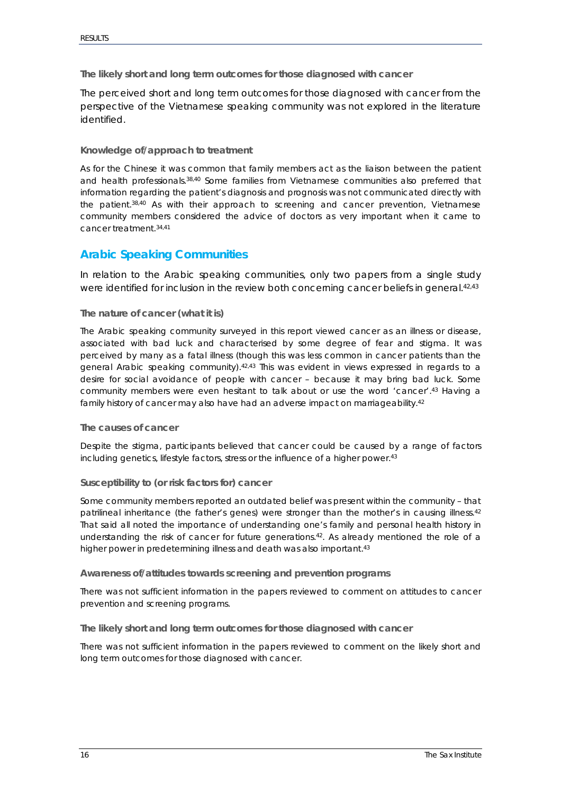**The likely short and long term outcomes for those diagnosed with cancer**

The perceived short and long term outcomes for those diagnosed with cancer from the perspective of the Vietnamese speaking community was not explored in the literature identified.

#### **Knowledge of/approach to treatment**

As for the Chinese it was common that family members act as the liaison between the patient and health professionals. [38,](#page-32-14)[40](#page-32-16) Some families from Vietnamese communities also preferred that information regarding the patient's diagnosis and prognosis was not communicated directly with the patien[t.38,](#page-32-14)[40](#page-32-16) As with their approach to screening and cancer prevention, Vietnamese community members considered the advice of doctors as very important when it came to cancer treatment[.34,](#page-32-7)[41](#page-32-17)

### <span id="page-15-0"></span>**Arabic Speaking Communities**

In relation to the Arabic speaking communities, only two papers from a single study were identified for inclusion in the review both concerning cancer beliefs in general.<sup>42,[43](#page-32-19)</sup>

#### **The nature of cancer (what it is)**

The Arabic speaking community surveyed in this report viewed cancer as an illness or disease, associated with bad luck and characterised by some degree of fear and stigma. It was perceived by many as a fatal illness (though this was less common in cancer patients than the general Arabic speaking community)[.42,](#page-32-18)[43](#page-32-19) This was evident in views expressed in regards to a desire for social avoidance of people with cancer – because it may bring bad luck. Some community members were even hesitant to talk about or use the word 'cancer'[.43](#page-32-19) Having a family history of cancer may also have had an adverse impact on marriageability[.42](#page-32-18)

#### **The causes of cancer**

Despite the stigma, participants believed that cancer could be caused by a range of factors including genetics, lifestyle factors, stress or the influence of a higher power.<sup>43</sup>

#### **Susceptibility to (or risk factors for) cancer**

Some community members reported an outdated belief was present within the community – that patrilineal inheritance (the father's genes) were stronger than the mother's in causing illness. [42](#page-32-18) That said all noted the importance of understanding one's family and personal health history in understanding the risk of cancer for future generations. [42.](#page-32-18) As already mentioned the role of a higher power in predetermining illness and death was also important.<sup>43</sup>

#### **Awareness of/attitudes towards screening and prevention programs**

There was not sufficient information in the papers reviewed to comment on attitudes to cancer prevention and screening programs.

**The likely short and long term outcomes for those diagnosed with cancer**

There was not sufficient information in the papers reviewed to comment on the likely short and long term outcomes for those diagnosed with cancer.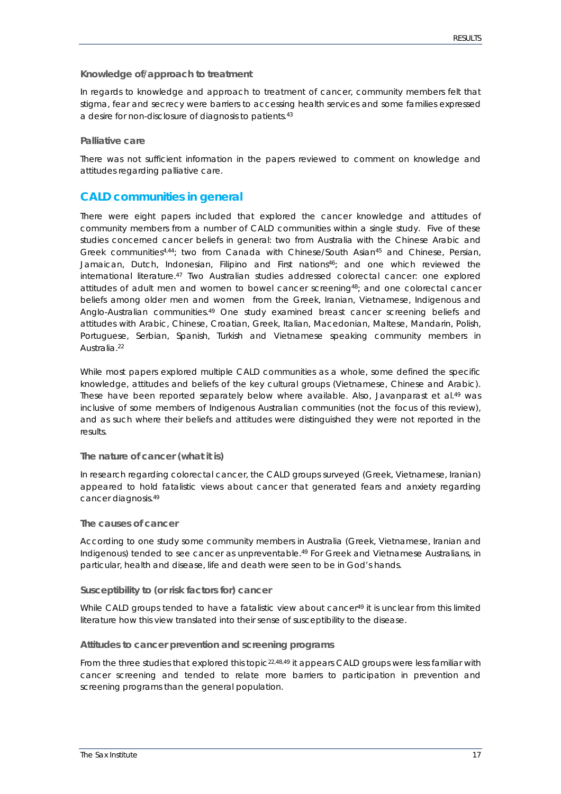#### **Knowledge of/approach to treatment**

In regards to knowledge and approach to treatment of cancer, community members felt that stigma, fear and secrecy were barriers to accessing health services and some families expressed a desire for non-disclosure of diagnosis to patients. [43](#page-32-19)

#### **Palliative care**

There was not sufficient information in the papers reviewed to comment on knowledge and attitudes regarding palliative care.

### <span id="page-16-0"></span>**CALD communities in general**

There were eight papers included that explored the cancer knowledge and attitudes of community members from a number of CALD communities within a single study. Five of these studies concerned cancer beliefs in general: two from Australia with the Chinese Arabic and Greek communitie[s4,](#page-31-4)[44;](#page-33-0) two from Canada with Chinese/South Asia[n45](#page-33-1) and Chinese, Persian, Jamaican, Dutch, Indonesian, Filipino and First nation[s46;](#page-33-2) and one which reviewed the international literature. [47](#page-33-3) Two Australian studies addressed colorectal cancer: one explored attitudes of adult men and women to bowel cancer screenin[g48;](#page-33-4) and one colorectal cancer beliefs among older men and women from the Greek, Iranian, Vietnamese, Indigenous and Anglo-Australian communities.<sup>[49](#page-33-5)</sup> One study examined breast cancer screening beliefs and attitudes with Arabic, Chinese, Croatian, Greek, Italian, Macedonian, Maltese, Mandarin, Polish, Portuguese, Serbian, Spanish, Turkish and Vietnamese speaking community members in Australia. [22](#page-32-20)

While most papers explored multiple CALD communities as a whole, some defined the specific knowledge, attitudes and beliefs of the key cultural groups (Vietnamese, Chinese and Arabic). These have been reported separately below where available. Also, Javanparast et al.<sup>49</sup> was inclusive of some members of Indigenous Australian communities (not the focus of this review), and as such where their beliefs and attitudes were distinguished they were not reported in the results.

#### **The nature of cancer (what it is)**

In research regarding colorectal cancer, the CALD groups surveyed (Greek, Vietnamese, Iranian) appeared to hold fatalistic views about cancer that generated fears and anxiety regarding cancer diagnosis. [49](#page-33-5)

#### **The causes of cancer**

According to one study some community members in Australia (Greek, Vietnamese, Iranian and Indigenous) tended to see cancer as unpreventable. [49](#page-33-5) For Greek and Vietnamese Australians, in particular, health and disease, life and death were seen to be in God's hands.

#### **Susceptibility to (or risk factors for) cancer**

While CALD groups tended to have a fatalistic view about cancer<sup>49</sup> it is unclear from this limited literature how this view translated into their sense of susceptibility to the disease.

#### **Attitudes to cancer prevention and screening programs**

From the three studies that explored this topic<sup>22,[48,](#page-33-4)[49](#page-33-5)</sup> it appears CALD groups were less familiar with cancer screening and tended to relate more barriers to participation in prevention and screening programs than the general population.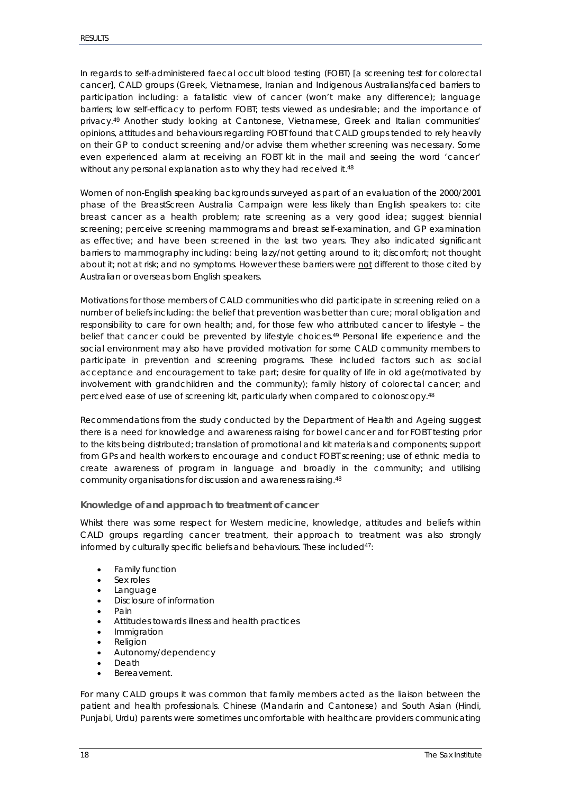In regards to self-administered faecal occult blood testing (FOBT) [a screening test for colorectal cancer], CALD groups (Greek, Vietnamese, Iranian and Indigenous Australians)faced barriers to participation including: a fatalistic view of cancer (won't make any difference); language barriers; low self-efficacy to perform FOBT; tests viewed as undesirable; and the importance of privacy. [49](#page-33-5) Another study looking at Cantonese, Vietnamese, Greek and Italian communities' opinions, attitudes and behaviours regarding FOBT found that CALD groups tended to rely heavily on their GP to conduct screening and/or advise them whether screening was necessary. Some even experienced alarm at receiving an FOBT kit in the mail and seeing the word 'cancer' without any personal explanation as to why they had received it. [48](#page-33-4)

Women of non-English speaking backgrounds surveyed as part of an evaluation of the 2000/2001 phase of the BreastScreen Australia Campaign were less likely than English speakers to: cite breast cancer as a health problem; rate screening as a very good idea; suggest biennial screening; perceive screening mammograms and breast self-examination, and GP examination as effective; and have been screened in the last two years. They also indicated significant barriers to mammography including: being lazy/not getting around to it; discomfort; not thought about it; not at risk; and no symptoms. However these barriers were not different to those cited by Australian or overseas born English speakers.

Motivations for those members of CALD communities who did participate in screening relied on a number of beliefs including: the belief that prevention was better than cure; moral obligation and responsibility to care for own health; and, for those few who attributed cancer to lifestyle – the belief that cancer could be prevented by lifestyle choices. [49](#page-33-5) Personal life experience and the social environment may also have provided motivation for some CALD community members to participate in prevention and screening programs. These included factors such as: social acceptance and encouragement to take part; desire for quality of life in old age(motivated by involvement with grandchildren and the community); family history of colorectal cancer; and perceived ease of use of screening kit, particularly when compared to colonoscopy. [48](#page-33-4)

Recommendations from the study conducted by the Department of Health and Ageing suggest there is a need for knowledge and awareness raising for bowel cancer and for FOBT testing prior to the kits being distributed; translation of promotional and kit materials and components; support from GPs and health workers to encourage and conduct FOBT screening; use of ethnic media to create awareness of program in language and broadly in the community; and utilising community organisations for discussion and awareness raising. [48](#page-33-4)

#### **Knowledge of and approach to treatment of cancer**

Whilst there was some respect for Western medicine, knowledge, attitudes and beliefs within CALD groups regarding cancer treatment, their approach to treatment was also strongly informed by culturally specific beliefs and behaviours. These included<sup>47</sup>:

- Family function
- Sex roles
- Language
- Disclosure of information
- Pain
- Attitudes towards illness and health practices
- **Immigration**
- Religion
- Autonomy/dependency
- Death
- Bereavement.

For many CALD groups it was common that family members acted as the liaison between the patient and health professionals. Chinese (Mandarin and Cantonese) and South Asian (Hindi, Punjabi, Urdu) parents were sometimes uncomfortable with healthcare providers communicating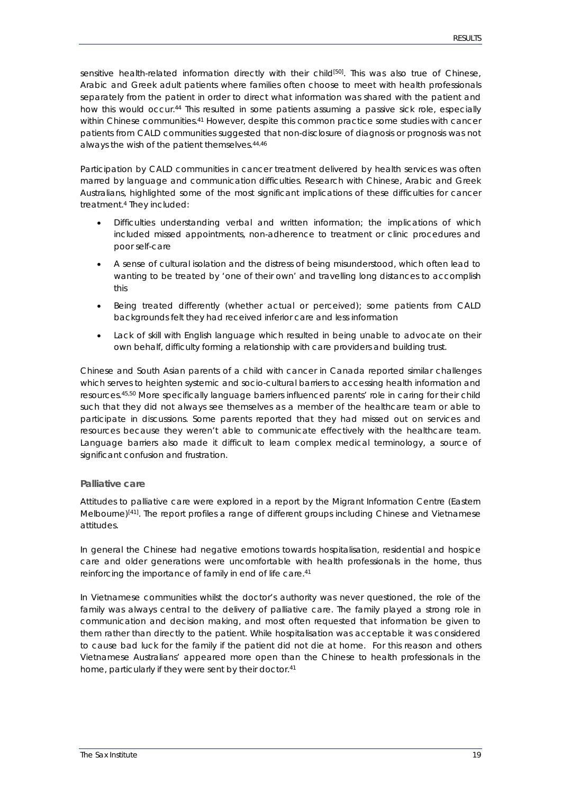sensitive health-related information directly with their child<sup>[50]</sup>. This was also true of Chinese, Arabic and Greek adult patients where families often choose to meet with health professionals separately from the patient in order to direct what information was shared with the patient and how this would occur. [44](#page-33-0) This resulted in some patients assuming a passive sick role, especially within Chinese communities.<sup>[41](#page-32-17)</sup> However, despite this common practice some studies with cancer patients from CALD communities suggested that non-disclosure of diagnosis or prognosis was not always the wish of the patient themselves. [44,](#page-33-0)[46](#page-33-2)

Participation by CALD communities in cancer treatment delivered by health services was often marred by language and communication difficulties. Research with Chinese, Arabic and Greek Australians, highlighted some of the most significant implications of these difficulties for cancer treatment. [4](#page-31-4) They included:

- Difficulties understanding verbal and written information; the implications of which included missed appointments, non-adherence to treatment or clinic procedures and poor self-care
- A sense of cultural isolation and the distress of being misunderstood, which often lead to wanting to be treated by 'one of their own' and travelling long distances to accomplish this
- Being treated differently (whether actual or perceived); some patients from CALD backgrounds felt they had received inferior care and less information
- Lack of skill with English language which resulted in being unable to advocate on their own behalf, difficulty forming a relationship with care providers and building trust.

Chinese and South Asian parents of a child with cancer in Canada reported similar challenges which serves to heighten systemic and socio-cultural barriers to accessing health information and resources. [45,](#page-33-1)[50](#page-33-6) More specifically language barriers influenced parents' role in caring for their child such that they did not always see themselves as a member of the healthcare team or able to participate in discussions. Some parents reported that they had missed out on services and resources because they weren't able to communicate effectively with the healthcare team. Language barriers also made it difficult to learn complex medical terminology, a source of significant confusion and frustration.

#### **Palliative care**

Attitudes to palliative care were explored in a report by the Migrant Information Centre (Eastern Melbourne)<sup>[41]</sup>. The report profiles a range of different groups including Chinese and Vietnamese attitudes.

In general the Chinese had negative emotions towards hospitalisation, residential and hospice care and older generations were uncomfortable with health professionals in the home, thus reinforcing the importance of family in end of life care. [41](#page-32-17)

In Vietnamese communities whilst the doctor's authority was never questioned, the role of the family was always central to the delivery of palliative care. The family played a strong role in communication and decision making, and most often requested that information be given to them rather than directly to the patient. While hospitalisation was acceptable it was considered to cause bad luck for the family if the patient did not die at home. For this reason and others Vietnamese Australians' appeared more open than the Chinese to health professionals in the home, particularly if they were sent by their doctor. [41](#page-32-17)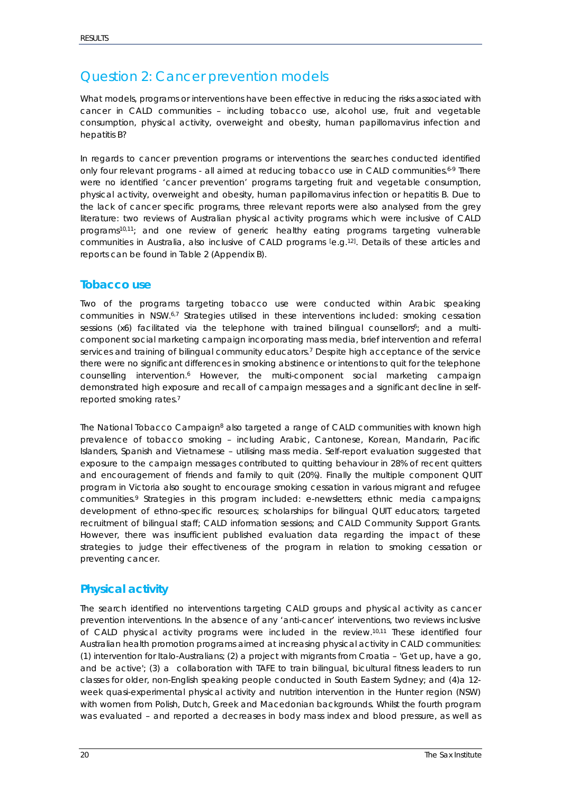## <span id="page-19-0"></span>*Question 2: Cancer prevention models*

What models, programs or interventions have been effective in reducing the risks associated with *cancer in CALD communities – including tobacco use, alcohol use, fruit and vegetable consumption, physical activity, overweight and obesity, human papillomavirus infection and hepatitis B?*

In regards to cancer prevention programs or interventions the searches conducted identified only four relevant programs - all aimed at reducing tobacco use in CALD communities. [6-9](#page-31-6) There were no identified 'cancer prevention' programs targeting fruit and vegetable consumption, physical activity, overweight and obesity, human papillomavirus infection or hepatitis B. Due to the lack of cancer specific programs, three relevant reports were also analysed from the grey literature: two reviews of Australian physical activity programs which were inclusive of CALD programs<sup>10,11</sup>; and one review of generic healthy eating programs targeting vulnerable communities in Australia, also inclusive of CALD programs le.g.<sup>12</sup>. Details of these articles and reports can be found in Table 2 (Appendix B).

### <span id="page-19-1"></span>**Tobacco use**

Two of the programs targeting tobacco use were conducted within Arabic speaking communities in NSW.<sup>[6,](#page-31-6)[7](#page-31-7)</sup> Strategies utilised in these interventions included: smoking cessation sessions (x6) facilitated via the telephone with trained bilingual counsellors<sup>6</sup>; and a multicomponent social marketing campaign incorporating mass media, brief intervention and referral services and training of bilingual community educators.<sup>7</sup> Despite high acceptance of the service there were no significant differences in smoking abstinence or intentions to quit for the telephone counselling intervention[.](#page-31-6) <sup>6</sup> However, the multi-component social marketing campaign demonstrated high exposure and recall of campaign messages and a significant decline in selfreported smoking rates. [7](#page-31-7)

The National Tobacco Campaign<sup>8</sup> also targeted a range of CALD communities with known high prevalence of tobacco smoking – including Arabic, Cantonese, Korean, Mandarin, Pacific Islanders, Spanish and Vietnamese – utilising mass media. Self-report evaluation suggested that exposure to the campaign messages contributed to quitting behaviour in 28% of recent quitters and encouragement of friends and family to quit (20%). Finally the multiple component QUIT program in Victoria also sought to encourage smoking cessation in various migrant and refugee communities[.](#page-31-9) <sup>9</sup> Strategies in this program included: e-newsletters; ethnic media campaigns; development of ethno-specific resources; scholarships for bilingual QUIT educators; targeted recruitment of bilingual staff; CALD information sessions; and CALD Community Support Grants. However, there was insufficient published evaluation data regarding the impact of these strategies to judge their effectiveness of the program in relation to smoking cessation or preventing cancer.

### <span id="page-19-2"></span>**Physical activity**

The search identified no interventions targeting CALD groups and physical activity as cancer prevention interventions. In the absence of any 'anti-cancer' interventions, two reviews inclusive of CALD physical activity programs were included in the review. [10,](#page-31-10)[11](#page-31-11) These identified four Australian health promotion programs aimed at increasing physical activity in CALD communities: (1) intervention for Italo-Australians; (2) a project with migrants from Croatia – 'Get up, have a go, and be active'; (3) a collaboration with TAFE to train bilingual, bicultural fitness leaders to run classes for older, non-English speaking people conducted in South Eastern Sydney; and (4)a 12 week quasi-experimental physical activity and nutrition intervention in the Hunter region (NSW) with women from Polish, Dutch, Greek and Macedonian backgrounds. Whilst the fourth program was evaluated – and reported a decreases in body mass index and blood pressure, as well as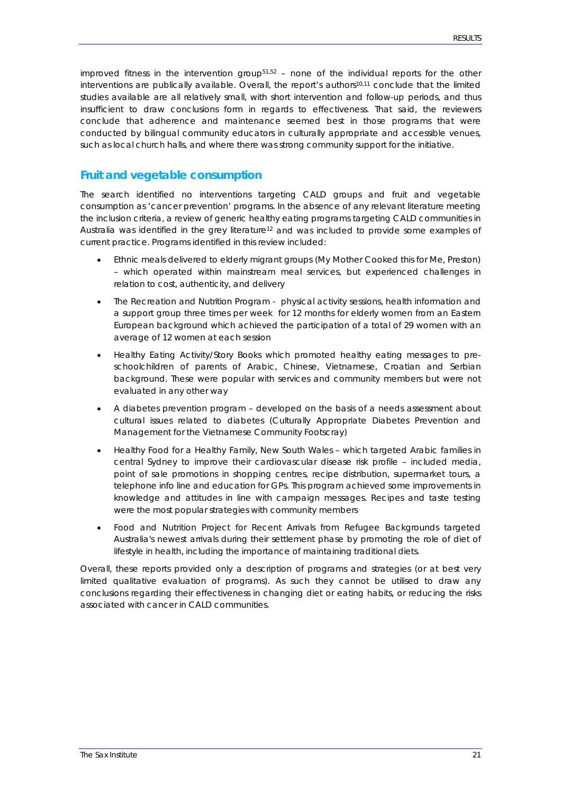improved fitness in the intervention group<sup>51,[52](#page-33-8)</sup> – none of the individual reports for the other interventions are publically available. Overall, the report's authors<sup>10,[11](#page-31-11)</sup> conclude that the limited studies available are all relatively small, with short intervention and follow-up periods, and thus insufficient to draw conclusions form in regards to effectiveness. That said, the reviewers conclude that adherence and maintenance seemed best in those programs that were conducted by bilingual community educators in culturally appropriate and accessible venues, such as local church halls, and where there was strong community support for the initiative.

### <span id="page-20-0"></span>**Fruit and vegetable consumption**

The search identified no interventions targeting CALD groups and fruit and vegetable consumption as 'cancer prevention' programs. In the absence of any relevant literature meeting the inclusion criteria, a review of generic healthy eating programs targeting CALD communities in Australia was identified in the grey literature<sup>12</sup> and was included to provide some examples of current practice. Programs identified in this review included:

- Ethnic meals delivered to elderly migrant groups (My Mother Cooked this for Me, Preston) – which operated within mainstream meal services, but experienced challenges in relation to cost, authenticity, and delivery
- The Recreation and Nutrition Program physical activity sessions, health information and a support group three times per week for 12 months for elderly women from an Eastern European background which achieved the participation of a total of 29 women with an average of 12 women at each session
- Healthy Eating Activity/Story Books which promoted healthy eating messages to preschoolchildren of parents of Arabic, Chinese, Vietnamese, Croatian and Serbian background. These were popular with services and community members but were not evaluated in any other way
- A diabetes prevention program developed on the basis of a needs assessment about cultural issues related to diabetes (Culturally Appropriate Diabetes Prevention and Management for the Vietnamese Community Footscray)
- Healthy Food for a Healthy Family, New South Wales which targeted Arabic families in central Sydney to improve their cardiovascular disease risk profile – included media, point of sale promotions in shopping centres, recipe distribution, supermarket tours, a telephone info line and education for GPs. This program achieved some improvements in knowledge and attitudes in line with campaign messages. Recipes and taste testing were the most popular strategies with community members
- Food and Nutrition Project for Recent Arrivals from Refugee Backgrounds targeted Australia's newest arrivals during their settlement phase by promoting the role of diet of lifestyle in health, including the importance of maintaining traditional diets.

Overall, these reports provided only a description of programs and strategies (or at best very limited qualitative evaluation of programs). As such they cannot be utilised to draw any conclusions regarding their effectiveness in changing diet or eating habits, or reducing the risks associated with cancer in CALD communities.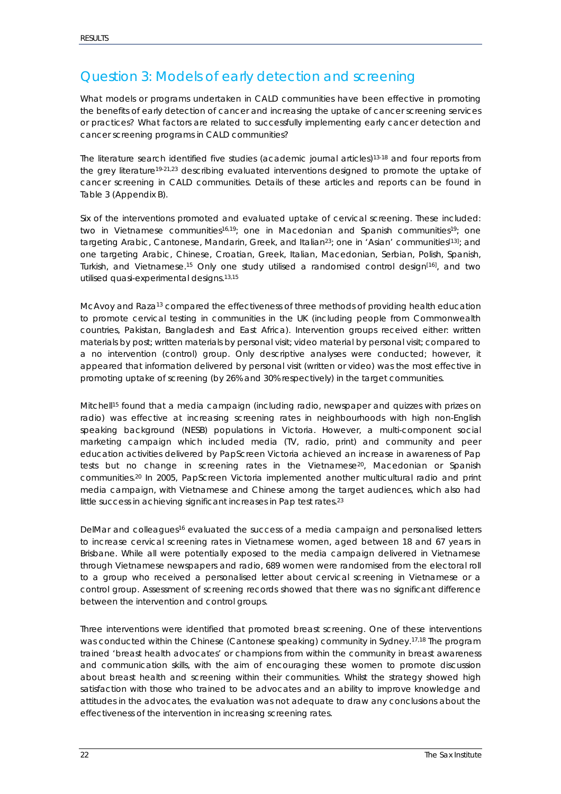## <span id="page-21-0"></span>*Question 3: Models of early detection and screening*

What models or programs undertaken in CALD communities have been effective in promoting *the benefits of early detection of cancer and increasing the uptake of cancer screening services or practices? What factors are related to successfully implementing early cancer detection and cancer screening programs in CALD communities?*

The literature search identified five studies (academic journal articles)<sup>13-18</sup> and four reports from the grey literatur[e19-21,](#page-31-14)[23](#page-32-21) describing evaluated interventions designed to promote the uptake of cancer screening in CALD communities. Details of these articles and reports can be found in Table 3 (Appendix B).

Six of the interventions promoted and evaluated uptake of cervical screening. These included: two in Vietnamese communities<sup>16,19</sup>; one in Macedonian and Spanish communities<sup>19</sup>; one targeting Arabic, Cantonese, Mandarin, Greek, and Italian<sup>23</sup>; one in 'Asian' communities<sup>[\[13\]](#page-31-13)</sup>; and one targeting Arabic, Chinese, Croatian, Greek, Italian, Macedonian, Serbian, Polish, Spanish, Turkish, and Vietnamese.<sup>[15](#page-31-16)</sup> Only one study utilised a randomised control design<sup>[16]</sup>, and two utilised quasi-experimental designs. [13,](#page-31-13)[15](#page-31-16)

McAvoy and Raza<sup>13</sup> compared the effectiveness of three methods of providing health education to promote cervical testing in communities in the UK (including people from Commonwealth countries, Pakistan, Bangladesh and East Africa). Intervention groups received either: written materials by post; written materials by personal visit; video material by personal visit; compared to a no intervention (control) group. Only descriptive analyses were conducted; however, it appeared that information delivered by personal visit (written or video) was the most effective in promoting uptake of screening (by 26% and 30% respectively) in the target communities.

Mitche[ll15](#page-31-16) found that a media campaign (including radio, newspaper and quizzes with prizes on radio) was effective at increasing screening rates in neighbourhoods with high non-English speaking background (NESB) populations in Victoria. However, a multi-component social marketing campaign which included media (TV, radio, print) and community and peer education activities delivered by PapScreen Victoria achieved an increase in awareness of Pap tests but no change in screening rates in the Vietnamese<sup>20</sup>, Macedonian or Spanish communities. [20](#page-31-17) In 2005, PapScreen Victoria implemented another multicultural radio and print media campaign, with Vietnamese and Chinese among the target audiences, which also had little success in achieving significant increases in Pap test rates. [23](#page-32-21)

DelMar and colleagues<sup>16</sup> evaluated the success of a media campaign and personalised letters to increase cervical screening rates in Vietnamese women, aged between 18 and 67 years in Brisbane. While all were potentially exposed to the media campaign delivered in Vietnamese through Vietnamese newspapers and radio, 689 women were randomised from the electoral roll to a group who received a personalised letter about cervical screening in Vietnamese or a control group. Assessment of screening records showed that there was no significant difference between the intervention and control groups.

Three interventions were identified that promoted breast screening. One of these interventions was conducted within the Chinese (Cantonese speaking) community in Sydney. [17,](#page-31-18)[18](#page-31-19) The program trained 'breast health advocates' or champions from within the community in breast awareness and communication skills, with the aim of encouraging these women to promote discussion about breast health and screening within their communities. Whilst the strategy showed high satisfaction with those who trained to be advocates and an ability to improve knowledge and attitudes in the advocates, the evaluation was not adequate to draw any conclusions about the effectiveness of the intervention in increasing screening rates.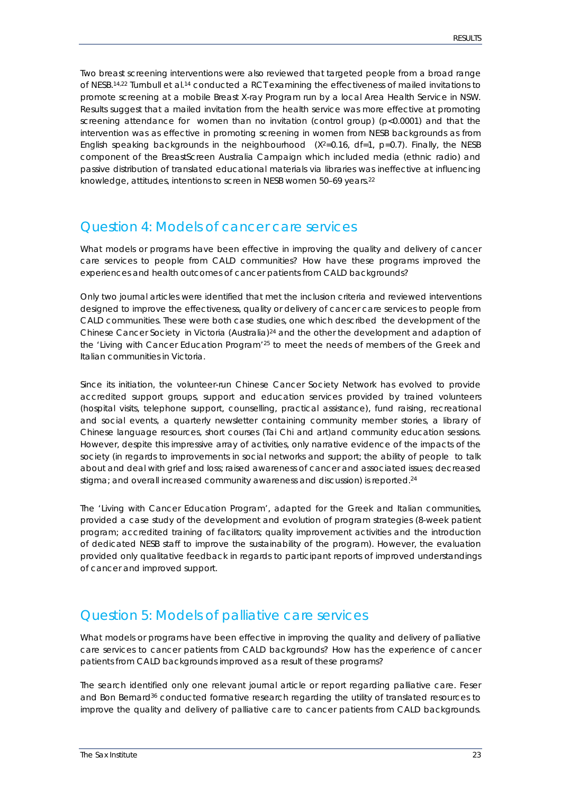Two breast screening interventions were also reviewed that targeted people from a broad range of NESB.<sup>[14,](#page-31-20)[22](#page-32-20)</sup> Turnbull et al.<sup>[14](#page-31-20)</sup> conducted a RCT examining the effectiveness of mailed invitations to promote screening at a mobile Breast X-ray Program run by a local Area Health Service in NSW. Results suggest that a mailed invitation from the health service was more effective at promoting screening attendance for women than no invitation (control group) (p<0.0001) and that the intervention was as effective in promoting screening in women from NESB backgrounds as from English speaking backgrounds in the neighbourhood  $(X^2=0.16, df=1, p=0.7)$ . Finally, the NESB component of the BreastScreen Australia Campaign which included media (ethnic radio) and passive distribution of translated educational materials via libraries was ineffective at influencing knowledge, attitudes, intentions to screen in NESB women 50–69 years. [22](#page-32-20)

## <span id="page-22-0"></span>*Question 4: Models of cancer care services*

What models or programs have been effective in improving the quality and delivery of cancer *care services to people from CALD communities? How have these programs improved the experiences and health outcomes of cancer patients from CALD backgrounds?*

Only two journal articles were identified that met the inclusion criteria and reviewed interventions designed to improve the effectiveness, quality or delivery of cancer care services to people from CALD communities. These were both case studies, one which described the development of the Chinese Cancer Society in Victoria (Australia[\)24](#page-32-0) and the other the development and adaption of the 'Living with Cancer Education Program['25](#page-32-1) to meet the needs of members of the Greek and Italian communities in Victoria.

Since its initiation, the volunteer-run Chinese Cancer Society Network has evolved to provide accredited support groups, support and education services provided by trained volunteers (hospital visits, telephone support, counselling, practical assistance), fund raising, recreational and social events, a quarterly newsletter containing community member stories, a library of Chinese language resources, short courses (Tai Chi and art)and community education sessions. However, despite this impressive array of activities, only narrative evidence of the impacts of the society (in regards to improvements in social networks and support; the ability of people to talk about and deal with grief and loss; raised awareness of cancer and associated issues; decreased stigma; and overall increased community awareness and discussion) is reported.<sup>[24](#page-32-0)</sup>

The 'Living with Cancer Education Program', adapted for the Greek and Italian communities, provided a case study of the development and evolution of program strategies (8-week patient program; accredited training of facilitators; quality improvement activities and the introduction of dedicated NESB staff to improve the sustainability of the program). However, the evaluation provided only qualitative feedback in regards to participant reports of improved understandings of cancer and improved support.

## <span id="page-22-1"></span>*Question 5: Models of palliative care services*

What models or programs have been effective in improving the quality and delivery of palliative *care services to cancer patients from CALD backgrounds? How has the experience of cancer patients from CALD backgrounds improved as a result of these programs?*

The search identified only one relevant journal article or report regarding palliative care. Feser and Bon Bernard<sup>36</sup> conducted formative research regarding the utility of translated resources to improve the quality and delivery of palliative care to cancer patients from CALD backgrounds.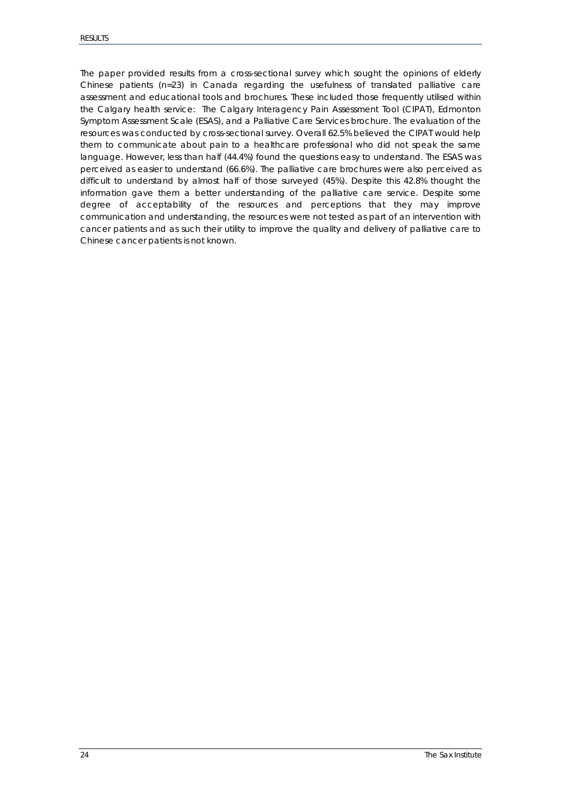The paper provided results from a cross-sectional survey which sought the opinions of elderly Chinese patients ( $n=23$ ) in Canada regarding the usefulness of translated palliative care assessment and educational tools and brochures. These included those frequently utilised within the Calgary health service: The Calgary Interagency Pain Assessment Tool (CIPAT), Edmonton Symptom Assessment Scale (ESAS), and a Palliative Care Services brochure. The evaluation of the resources was conducted by cross-sectional survey. Overall 62.5% believed the CIPAT would help them to communicate about pain to a healthcare professional who did not speak the same language. However, less than half (44.4%) found the questions easy to understand. The ESAS was perceived as easier to understand (66.6%). The palliative care brochures were also perceived as difficult to understand by almost half of those surveyed (45%). Despite this 42.8% thought the information gave them a better understanding of the palliative care service. Despite some degree of acceptability of the resources and perceptions that they may improve communication and understanding, the resources were not tested as part of an intervention with cancer patients and as such their utility to improve the quality and delivery of palliative care to Chinese cancer patients is not known.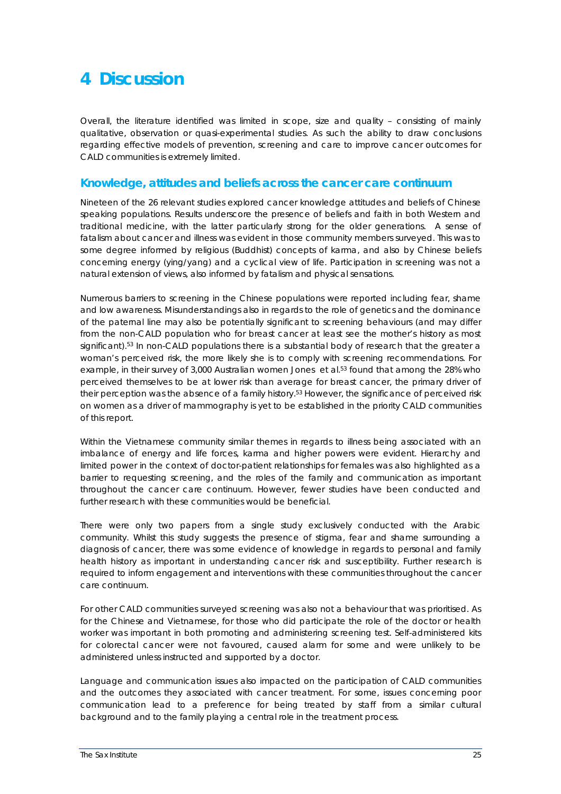# <span id="page-24-0"></span>**4 Discussion**

Overall, the literature identified was limited in scope, size and quality – consisting of mainly qualitative, observation or quasi-experimental studies. As such the ability to draw conclusions regarding effective models of prevention, screening and care to improve cancer outcomes for CALD communities is extremely limited.

### <span id="page-24-1"></span>**Knowledge, attitudes and beliefs across the cancer care continuum**

Nineteen of the 26 relevant studies explored cancer knowledge attitudes and beliefs of Chinese speaking populations. Results underscore the presence of beliefs and faith in both Western and traditional medicine, with the latter particularly strong for the older generations. A sense of fatalism about cancer and illness was evident in those community members surveyed. This was to some degree informed by religious (Buddhist) concepts of karma, and also by Chinese beliefs concerning energy (ying/yang) and a cyclical view of life. Participation in screening was not a natural extension of views, also informed by fatalism and physical sensations.

Numerous barriers to screening in the Chinese populations were reported including fear, shame and low awareness. Misunderstandings also in regards to the role of genetics and the dominance of the paternal line may also be potentially significant to screening behaviours (and may differ from the non-CALD population who for breast cancer at least see the mother's history as most significant). [53](#page-33-9) In non-CALD populations there is a substantial body of research that the greater a woman's perceived risk, the more likely she is to comply with screening recommendations. For example, in their survey of 3,000 Australian women Jones et al.<sup>53</sup> found that among the 28% who perceived themselves to be at lower risk than average for breast cancer, the primary driver of their perception was the absence of a family history. [53](#page-33-9) However, the significance of perceived risk on women as a driver of mammography is yet to be established in the priority CALD communities of this report.

Within the Vietnamese community similar themes in regards to illness being associated with an imbalance of energy and life forces, karma and higher powers were evident. Hierarchy and limited power in the context of doctor-patient relationships for females was also highlighted as a barrier to requesting screening, and the roles of the family and communication as important throughout the cancer care continuum. However, fewer studies have been conducted and further research with these communities would be beneficial.

There were only two papers from a single study exclusively conducted with the Arabic community. Whilst this study suggests the presence of stigma, fear and shame surrounding a diagnosis of cancer, there was some evidence of knowledge in regards to personal and family health history as important in understanding cancer risk and susceptibility. Further research is required to inform engagement and interventions with these communities throughout the cancer care continuum.

For other CALD communities surveyed screening was also not a behaviour that was prioritised. As for the Chinese and Vietnamese, for those who did participate the role of the doctor or health worker was important in both promoting and administering screening test. Self-administered kits for colorectal cancer were not favoured, caused alarm for some and were unlikely to be administered unless instructed and supported by a doctor.

Language and communication issues also impacted on the participation of CALD communities and the outcomes they associated with cancer treatment. For some, issues concerning poor communication lead to a preference for being treated by staff from a similar cultural background and to the family playing a central role in the treatment process.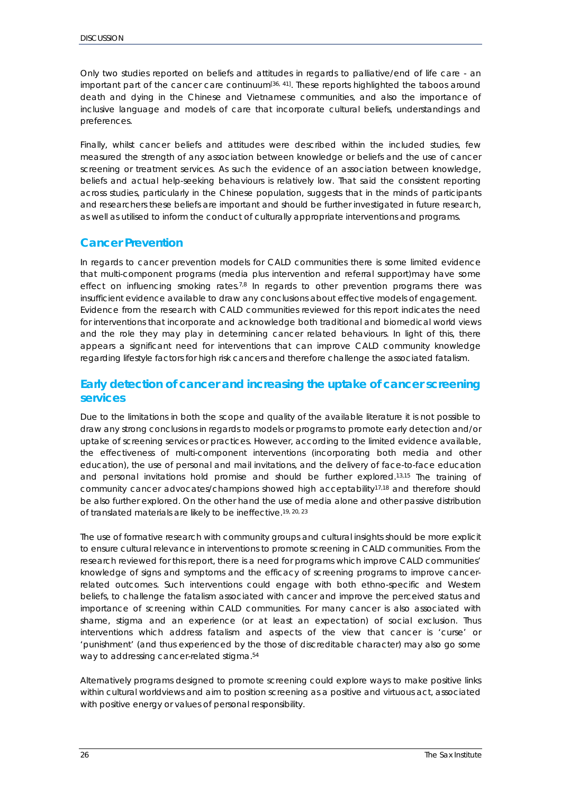Only two studies reported on beliefs and attitudes in regards to palliative/end of life care - an important part of the cancer care continuum $^{36, 41]}$  $^{36, 41]}$  $^{36, 41]}$ . These reports highlighted the taboos around death and dying in the Chinese and Vietnamese communities, and also the importance of inclusive language and models of care that incorporate cultural beliefs, understandings and preferences.

Finally, whilst cancer beliefs and attitudes were described within the included studies, few measured the strength of any association between knowledge or beliefs and the use of cancer screening or treatment services. As such the evidence of an association between knowledge, beliefs and actual help-seeking behaviours is relatively low. That said the consistent reporting across studies, particularly in the Chinese population, suggests that in the minds of participants and researchers these beliefs are important and should be further investigated in future research, as well as utilised to inform the conduct of culturally appropriate interventions and programs.

### <span id="page-25-0"></span>**Cancer Prevention**

In regards to cancer prevention models for CALD communities there is some limited evidence that multi-component programs (media plus intervention and referral support)may have some effect on influencing smoking rates.<sup>[7,](#page-31-7)[8](#page-31-8)</sup> In regards to other prevention programs there was insufficient evidence available to draw any conclusions about effective models of engagement. Evidence from the research with CALD communities reviewed for this report indicates the need for interventions that incorporate and acknowledge both traditional and biomedical world views and the role they may play in determining cancer related behaviours. In light of this, there appears a significant need for interventions that can improve CALD community knowledge regarding lifestyle factors for high risk cancers and therefore challenge the associated fatalism.

### <span id="page-25-1"></span>**Early detection of cancer and increasing the uptake of cancer screening services**

Due to the limitations in both the scope and quality of the available literature it is not possible to draw any strong conclusions in regards to models or programs to promote early detection and/or uptake of screening services or practices. However, according to the limited evidence available, the effectiveness of multi-component interventions (incorporating both media and other education), the use of personal and mail invitations, and the delivery of face-to-face education and personal invitations hold promise and should be further explored. [13,](#page-31-13)[15](#page-31-16) The training of community cancer advocates/champions showed high acceptability<sup>17,[18](#page-31-19)</sup> and therefore should be also further explored. On the other hand the use of media alone and other passive distribution of translated materials are likely to be ineffective. [19,](#page-31-14) [20,](#page-31-17) [23](#page-32-21)

The use of formative research with community groups and cultural insights should be more explicit to ensure cultural relevance in interventions to promote screening in CALD communities. From the research reviewed for this report, there is a need for programs which improve CALD communities' knowledge of signs and symptoms and the efficacy of screening programs to improve cancerrelated outcomes. Such interventions could engage with both ethno-specific and Western beliefs, to challenge the fatalism associated with cancer and improve the perceived status and importance of screening within CALD communities. For many cancer is also associated with shame, stigma and an experience (or at least an expectation) of social exclusion. Thus interventions which address fatalism and aspects of the view that cancer is 'curse' or 'punishment' (and thus experienced by the those of discreditable character) may also go some way to addressing cancer-related stigma. [54](#page-33-10)

Alternatively programs designed to promote screening could explore ways to make positive links within cultural worldviews and aim to position screening as a positive and virtuous act, associated with positive energy or values of personal responsibility.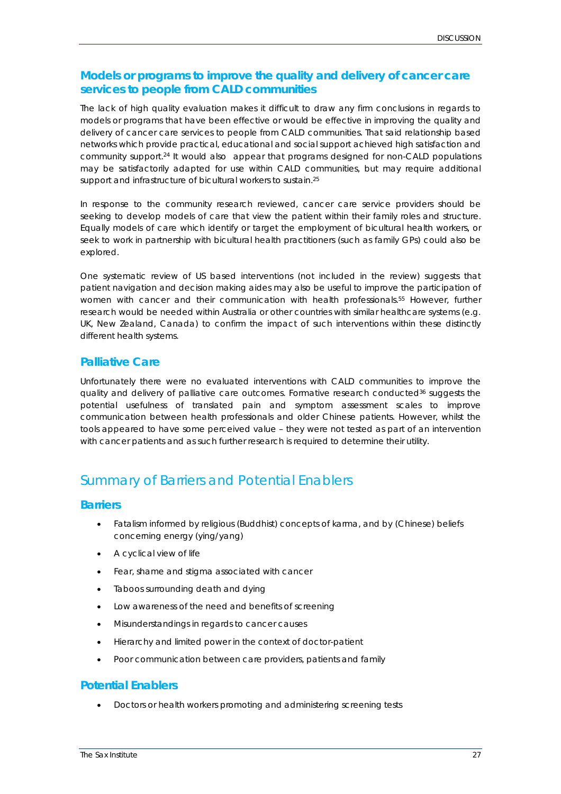### <span id="page-26-0"></span>**Models or programs to improve the quality and delivery of cancer care services to people from CALD communities**

The lack of high quality evaluation makes it difficult to draw any firm conclusions in regards to models or programs that have been effective or would be effective in improving the quality and delivery of cancer care services to people from CALD communities. That said relationship based networks which provide practical, educational and social support achieved high satisfaction and community support. [24](#page-32-0) It would also appear that programs designed for non-CALD populations may be satisfactorily adapted for use within CALD communities, but may require additional support and infrastructure of bicultural workers to sustain. [25](#page-32-1)

In response to the community research reviewed, cancer care service providers should be seeking to develop models of care that view the patient within their family roles and structure. Equally models of care which identify or target the employment of bicultural health workers, or seek to work in partnership with bicultural health practitioners (such as family GPs) could also be explored.

One systematic review of US based interventions (not included in the review) suggests that patient navigation and decision making aides may also be useful to improve the participation of women with cancer and their communication with health professionals. [55](#page-33-11) However, further research would be needed within Australia or other countries with similar healthcare systems (e.g. UK, New Zealand, Canada) to confirm the impact of such interventions within these distinctly different health systems.

### <span id="page-26-1"></span>**Palliative Care**

Unfortunately there were no evaluated interventions with CALD communities to improve the quality and delivery of palliative care outcomes. Formative research conducted<sup>36</sup> suggests the potential usefulness of translated pain and symptom assessment scales to improve communication between health professionals and older Chinese patients. However, whilst the tools appeared to have some perceived value – they were not tested as part of an intervention with cancer patients and as such further research is required to determine their utility.

## <span id="page-26-2"></span>*Summary of Barriers and Potential Enablers*

### <span id="page-26-3"></span>**Barriers**

- Fatalism informed by religious (Buddhist) concepts of karma, and by (Chinese) beliefs concerning energy (ying/yang)
- A cyclical view of life
- Fear, shame and stigma associated with cancer
- Taboos surrounding death and dying
- Low awareness of the need and benefits of screening
- Misunderstandings in regards to cancer causes
- Hierarchy and limited power in the context of doctor-patient
- Poor communication between care providers, patients and family

### <span id="page-26-4"></span>**Potential Enablers**

• Doctors or health workers promoting and administering screening tests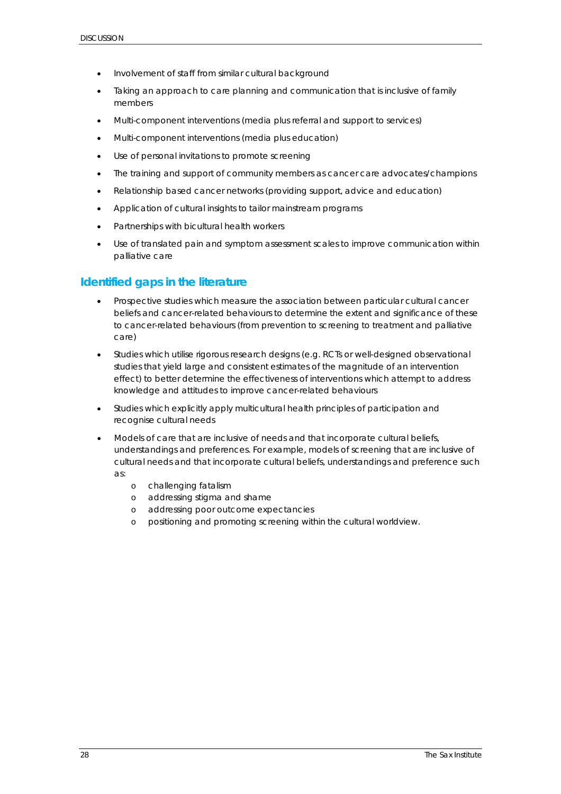- Involvement of staff from similar cultural background
- Taking an approach to care planning and communication that is inclusive of family members
- Multi-component interventions (media plus referral and support to services)
- Multi-component interventions (media plus education)
- Use of personal invitations to promote screening
- The training and support of community members as cancer care advocates/champions
- Relationship based cancer networks (providing support, advice and education)
- Application of cultural insights to tailor mainstream programs
- Partnerships with bicultural health workers
- Use of translated pain and symptom assessment scales to improve communication within palliative care

### <span id="page-27-0"></span>**Identified gaps in the literature**

- Prospective studies which measure the association between particular cultural cancer beliefs and cancer-related behaviours to determine the extent and significance of these to cancer-related behaviours (from prevention to screening to treatment and palliative care)
- Studies which utilise rigorous research designs (e.g. RCTs or well-designed observational studies that yield large and consistent estimates of the magnitude of an intervention effect) to better determine the effectiveness of interventions which attempt to address knowledge and attitudes to improve cancer-related behaviours
- Studies which explicitly apply multicultural health principles of participation and recognise cultural needs
- Models of care that are inclusive of needs and that incorporate cultural beliefs, understandings and preferences. For example, models of screening that are inclusive of cultural needs and that incorporate cultural beliefs, understandings and preference such as:
	- o challenging fatalism
	- o addressing stigma and shame
	- o addressing poor outcome expectancies
	- o positioning and promoting screening within the cultural worldview.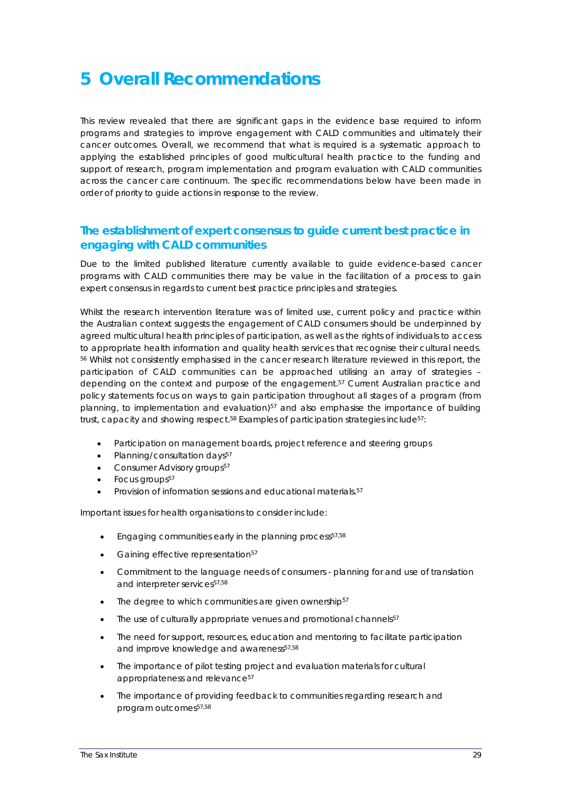# <span id="page-28-0"></span>**5 Overall Recommendations**

This review revealed that there are significant gaps in the evidence base required to inform programs and strategies to improve engagement with CALD communities and ultimately their cancer outcomes. Overall, we recommend that what is required is a systematic approach to applying the established principles of good multicultural health practice to the funding and support of research, program implementation and program evaluation with CALD communities across the cancer care continuum. The specific recommendations below have been made in order of priority to guide actions in response to the review.

### <span id="page-28-1"></span>**The establishment of expert consensus to guide current best practice in engaging with CALD communities**

Due to the limited published literature currently available to guide evidence-based cancer programs with CALD communities there may be value in the facilitation of a process to gain expert consensus in regards to current best practice principles and strategies.

Whilst the research intervention literature was of limited use, current policy and practice within the Australian context suggests the engagement of CALD consumers should be underpinned by agreed multicultural health principles of participation, as well as the rights of individuals to access to appropriate health information and quality health services that recognise their cultural needs. [56](#page-33-12) Whilst not consistently emphasised in the cancer research literature reviewed in this report, the participation of CALD communities can be approached utilising an array of strategies – depending on the context and purpose of the engagement[.57](#page-33-13) Current Australian practice and policy statements focus on ways to gain participation throughout all stages of a program (from planning, to implementation and evaluation)<sup>57</sup> and also emphasise the importance of building trust, capacity and showing respect.<sup>58</sup> Examples of participation strategies include<sup>57</sup>:

- Participation on management boards, project reference and steering groups
- Planning/consultation days<sup>57</sup>
- Consumer Advisory groups<sup>57</sup>
- Focus groups<sup>57</sup>
- Provision of information sessions and educational materials.<sup>57</sup>

Important issues for health organisations to consider include:

- Engaging communities early in the planning process<sup>57,[58](#page-33-14)</sup>
- Gaining effective representation<sup>57</sup>
- Commitment to the language needs of consumers planning for and use of translation and interpreter services<sup>57,[58](#page-33-14)</sup>
- $\bullet$  The degree to which communities are given ownership<sup>57</sup>
- The use of culturally appropriate venues and promotional channels<sup>57</sup>
- The need for support, resources, education and mentoring to facilitate participation and improve knowledge and awareness<sup>57,[58](#page-33-14)</sup>
- The importance of pilot testing project and evaluation materials for cultural appropriateness and relevance<sup>57</sup>
- The importance of providing feedback to communities regarding research and program outcomes<sup>57,[58](#page-33-14)</sup>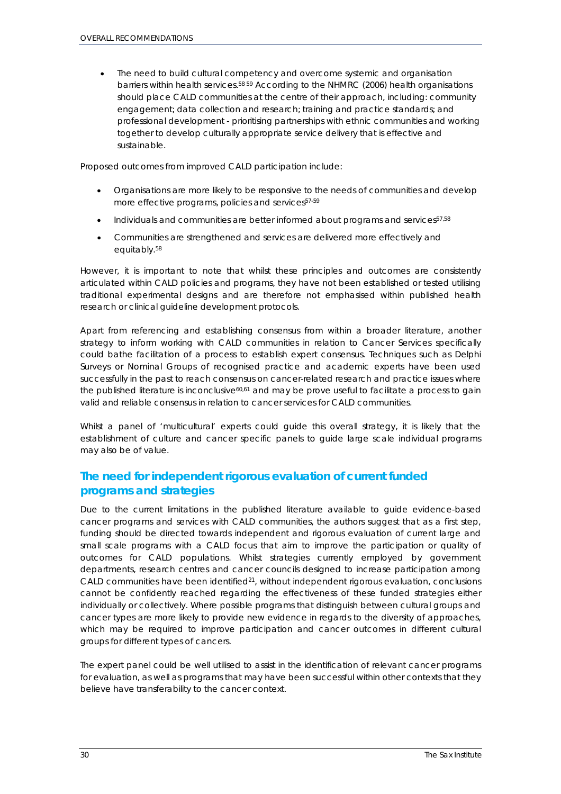• The need to build cultural competency and overcome systemic and organisation barriers within health services. [58](#page-33-14) [59](#page-33-15) According to the NHMRC (2006) health organisations should place CALD communities at the centre of their approach, including: community engagement; data collection and research; training and practice standards; and professional development - prioritising partnerships with ethnic communities and working together to develop culturally appropriate service delivery that is effective and sustainable.

Proposed outcomes from improved CALD participation include:

- Organisations are more likely to be responsive to the needs of communities and develop more effective programs, policies and services<sup>57-59</sup>
- Individuals and communities are better informed about programs and services<sup>57,[58](#page-33-14)</sup>
- Communities are strengthened and services are delivered more effectively and equitably. [58](#page-33-14)

However, it is important to note that whilst these principles and outcomes are consistently articulated within CALD policies and programs, they have not been established or tested utilising traditional experimental designs and are therefore not emphasised within published health research or clinical guideline development protocols.

Apart from referencing and establishing consensus from within a broader literature, another strategy to inform working with CALD communities in relation to Cancer Services specifically could bathe facilitation of a process to establish expert consensus. Techniques such as Delphi Surveys or Nominal Groups of recognised practice and academic experts have been used successfully in the past to reach consensus on cancer-related research and practice issues where the published literature is inconclusive $60,61$  $60,61$  and may be prove useful to facilitate a process to gain valid and reliable consensus in relation to cancer services for CALD communities.

Whilst a panel of 'multicultural' experts could guide this overall strategy, it is likely that the establishment of culture and cancer specific panels to guide large scale individual programs may also be of value.

### <span id="page-29-0"></span>**The need for independent rigorous evaluation of current funded programs and strategies**

Due to the current limitations in the published literature available to guide evidence-based cancer programs and services with CALD communities, the authors suggest that as a first step, funding should be directed towards independent and rigorous evaluation of current large and small scale programs with a CALD focus that aim to improve the participation or quality of outcomes for CALD populations. Whilst strategies currently employed by government departments, research centres and cancer councils designed to increase participation among CALD communities have been identified<sup>21</sup>, without independent rigorous evaluation, conclusions cannot be confidently reached regarding the effectiveness of these funded strategies either individually or collectively. Where possible programs that distinguish between cultural groups and cancer types are more likely to provide new evidence in regards to the diversity of approaches, which may be required to improve participation and cancer outcomes in different cultural groups for different types of cancers.

The expert panel could be well utilised to assist in the identification of relevant cancer programs for evaluation, as well as programs that may have been successful within other contexts that they believe have transferability to the cancer context.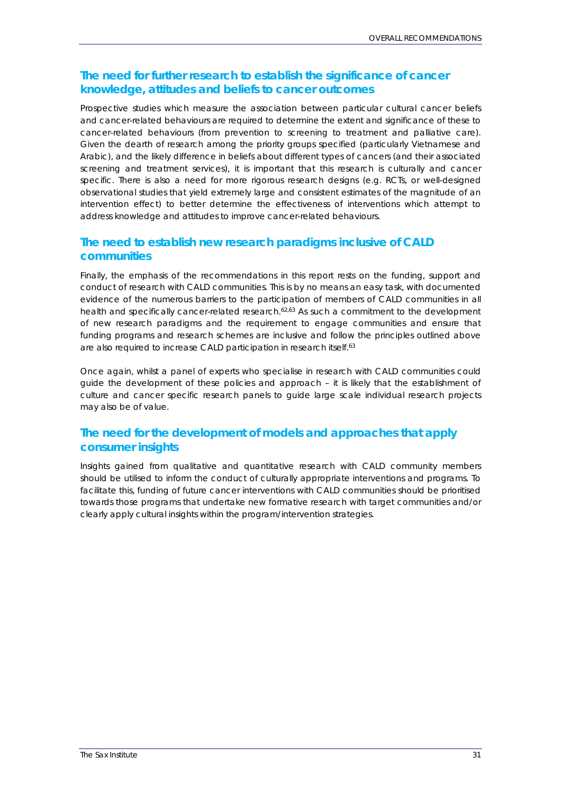### <span id="page-30-0"></span>**The need for further research to establish the significance of cancer knowledge, attitudes and beliefs to cancer outcomes**

Prospective studies which measure the association between particular cultural cancer beliefs and cancer-related behaviours are required to determine the extent and significance of these to cancer-related behaviours (from prevention to screening to treatment and palliative care). Given the dearth of research among the priority groups specified (particularly Vietnamese and Arabic), and the likely difference in beliefs about different types of cancers (and their associated screening and treatment services), it is important that this research is culturally and cancer specific. There is also a need for more rigorous research designs (e.g. RCTs, or well-designed observational studies that yield extremely large and consistent estimates of the magnitude of an intervention effect) to better determine the effectiveness of interventions which attempt to address knowledge and attitudes to improve cancer-related behaviours.

### <span id="page-30-1"></span>**The need to establish new research paradigms inclusive of CALD communities**

Finally, the emphasis of the recommendations in this report rests on the funding, support and conduct of research with CALD communities. This is by no means an easy task, with documented evidence of the numerous barriers to the participation of members of CALD communities in all health and specifically cancer-related research.<sup>[62,](#page-33-18)[63](#page-33-19)</sup> As such a commitment to the development of new research paradigms and the requirement to engage communities and ensure that funding programs and research schemes are inclusive and follow the principles outlined above are also required to increase CALD participation in research itself. [63](#page-33-19)

Once again, whilst a panel of experts who specialise in research with CALD communities could guide the development of these policies and approach – it is likely that the establishment of culture and cancer specific research panels to guide large scale individual research projects may also be of value.

### <span id="page-30-2"></span>**The need for the development of models and approaches that apply consumer insights**

Insights gained from qualitative and quantitative research with CALD community members should be utilised to inform the conduct of culturally appropriate interventions and programs. To facilitate this, funding of future cancer interventions with CALD communities should be prioritised towards those programs that undertake new formative research with target communities and/or clearly apply cultural insights within the program/intervention strategies.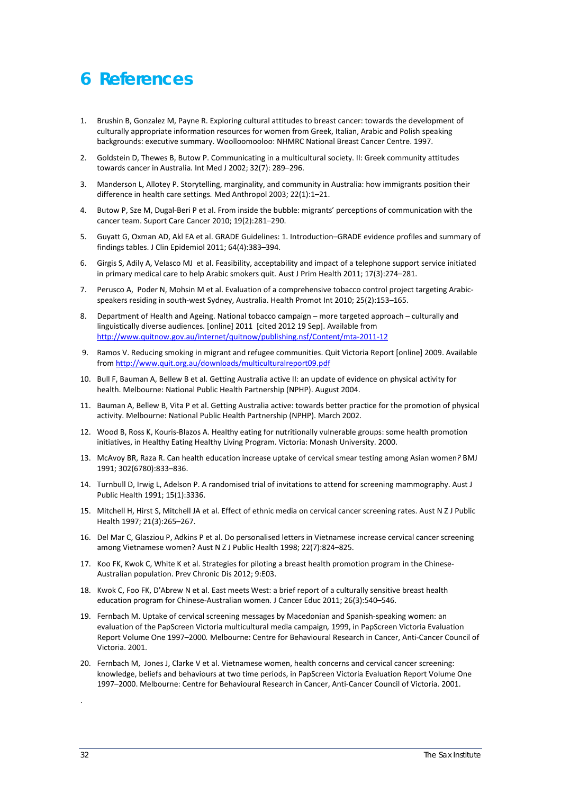# <span id="page-31-0"></span>**6 References**

- <span id="page-31-1"></span>1. Brushin B, Gonzalez M, Payne R. Exploring cultural attitudes to breast cancer: towards the development of culturally appropriate information resources for women from Greek, Italian, Arabic and Polish speaking backgrounds: executive summary. Woolloomooloo: NHMRC National Breast Cancer Centre. 1997.
- <span id="page-31-2"></span>2. Goldstein D, Thewes B, Butow P. Communicating in a multicultural society. II: Greek community attitudes towards cancer in Australia*.* Int Med J 2002; 32(7): 289–296.
- <span id="page-31-3"></span>3. Manderson L, Allotey P. Storytelling, marginality, and community in Australia: how immigrants position their difference in health care settings*.* Med Anthropol 2003; 22(1):1–21.
- <span id="page-31-4"></span>4. Butow P, Sze M, Dugal-Beri P et al. From inside the bubble: migrants' perceptions of communication with the cancer team. Suport Care Cancer 2010; 19(2):281–290.
- <span id="page-31-5"></span>5. Guyatt G, Oxman AD, Akl EA et al. GRADE Guidelines: 1. Introduction–GRADE evidence profiles and summary of findings tables. J Clin Epidemiol 2011; 64(4):383–394.
- <span id="page-31-6"></span>6. Girgis S, Adily A, Velasco MJ et al. Feasibility, acceptability and impact of a telephone support service initiated in primary medical care to help Arabic smokers quit*.* Aust J Prim Health 2011; 17(3):274–281.
- <span id="page-31-7"></span>7. Perusco A, Poder N, Mohsin M et al. Evaluation of a comprehensive tobacco control project targeting Arabicspeakers residing in south-west Sydney, Australia. Health Promot Int 2010; 25(2):153–165.
- <span id="page-31-9"></span><span id="page-31-8"></span>8. Department of Health and Ageing. National tobacco campaign – more targeted approach – culturally and linguistically diverse audiences. [online] 2011 [cited 2012 19 Sep]. Available from <http://www.quitnow.gov.au/internet/quitnow/publishing.nsf/Content/mta-2011-12>
- 9. Ramos V. Reducing smoking in migrant and refugee communities. Quit Victoria Report [online] 2009. Available from<http://www.quit.org.au/downloads/multiculturalreport09.pdf>
- <span id="page-31-10"></span>10. Bull F, Bauman A, Bellew B et al. Getting Australia active II: an update of evidence on physical activity for health. Melbourne: National Public Health Partnership (NPHP). August 2004.
- <span id="page-31-11"></span>11. Bauman A, Bellew B, Vita P et al. Getting Australia active: towards better practice for the promotion of physical activity. Melbourne: National Public Health Partnership (NPHP). March 2002.
- <span id="page-31-12"></span>12. Wood B, Ross K, Kouris-Blazos A. Healthy eating for nutritionally vulnerable groups: some health promotion initiatives, in Healthy Eating Healthy Living Program. Victoria: Monash University. 2000.
- <span id="page-31-13"></span>13. McAvoy BR, Raza R. Can health education increase uptake of cervical smear testing among Asian women*?* BMJ 1991; 302(6780):833–836.
- <span id="page-31-20"></span>14. Turnbull D, Irwig L, Adelson P. A randomised trial of invitations to attend for screening mammography. Aust J Public Health 1991; 15(1):3336.
- <span id="page-31-16"></span>15. Mitchell H, Hirst S, Mitchell JA et al. Effect of ethnic media on cervical cancer screening rates. Aust N Z J Public Health 1997; 21(3):265–267.
- <span id="page-31-15"></span>16. Del Mar C, Glasziou P, Adkins P et al. Do personalised letters in Vietnamese increase cervical cancer screening among Vietnamese women? Aust N Z J Public Health 1998; 22(7):824–825.
- <span id="page-31-18"></span>17. Koo FK, Kwok C, White K et al. Strategies for piloting a breast health promotion program in the Chinese-Australian population. Prev Chronic Dis 2012; 9:E03.
- <span id="page-31-19"></span>18. Kwok C, Foo FK, D'Abrew N et al. East meets West: a brief report of a culturally sensitive breast health education program for Chinese-Australian women*.* J Cancer Educ 2011; 26(3):540–546.
- <span id="page-31-14"></span>19. Fernbach M. Uptake of cervical screening messages by Macedonian and Spanish-speaking women: an evaluation of the PapScreen Victoria multicultural media campaign*,* 1999, in PapScreen Victoria Evaluation Report Volume One 1997–2000*.* Melbourne: Centre for Behavioural Research in Cancer, Anti-Cancer Council of Victoria. 2001.
- <span id="page-31-17"></span>20. Fernbach M, Jones J, Clarke V et al. Vietnamese women, health concerns and cervical cancer screening: knowledge, beliefs and behaviours at two time periods, in PapScreen Victoria Evaluation Report Volume One 1997–2000. Melbourne: Centre for Behavioural Research in Cancer, Anti-Cancer Council of Victoria. 2001.

.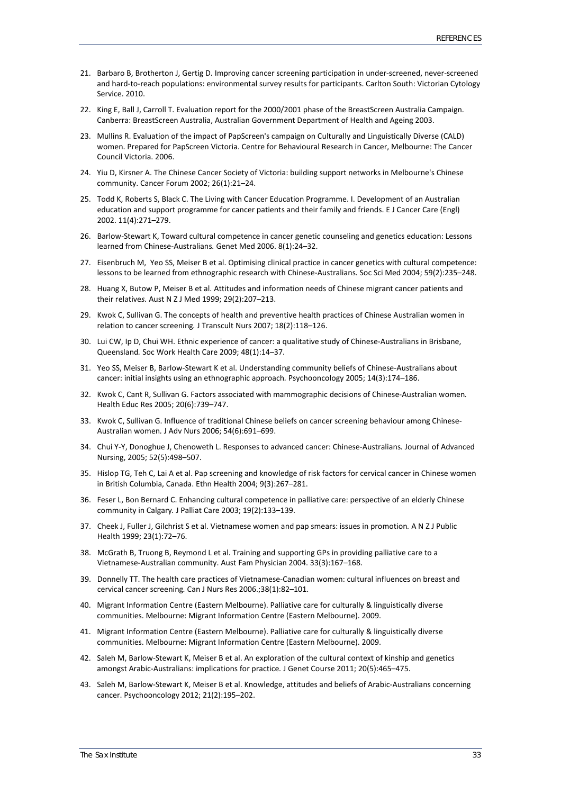- <span id="page-32-22"></span>21. Barbaro B, Brotherton J, Gertig D. Improving cancer screening participation in under-screened, never-screened and hard-to-reach populations: environmental survey results for participants. Carlton South: Victorian Cytology Service. 2010.
- <span id="page-32-20"></span>22. King E, Ball J, Carroll T. Evaluation report for the 2000/2001 phase of the BreastScreen Australia Campaign. Canberra: BreastScreen Australia, Australian Government Department of Health and Ageing 2003.
- <span id="page-32-21"></span>23. Mullins R. Evaluation of the impact of PapScreen's campaign on Culturally and Linguistically Diverse (CALD) women. Prepared for PapScreen Victoria. Centre for Behavioural Research in Cancer, Melbourne: The Cancer Council Victoria. 2006.
- <span id="page-32-0"></span>24. Yiu D, Kirsner A. The Chinese Cancer Society of Victoria: building support networks in Melbourne's Chinese community. Cancer Forum 2002; 26(1):21–24.
- <span id="page-32-1"></span>25. Todd K, Roberts S, Black C. The Living with Cancer Education Programme. I. Development of an Australian education and support programme for cancer patients and their family and friends. E J Cancer Care (Engl) 2002. 11(4):271–279.
- <span id="page-32-2"></span>26. Barlow-Stewart K, Toward cultural competence in cancer genetic counseling and genetics education: Lessons learned from Chinese-Australians*.* Genet Med 2006. 8(1):24–32.
- <span id="page-32-3"></span>27. Eisenbruch M, Yeo SS, Meiser B et al. Optimising clinical practice in cancer genetics with cultural competence: lessons to be learned from ethnographic research with Chinese-Australians*.* Soc Sci Med 2004; 59(2):235–248.
- <span id="page-32-4"></span>28. Huang X, Butow P, Meiser B et al. Attitudes and information needs of Chinese migrant cancer patients and their relative*s.* Aust N Z J Med 1999; 29(2):207–213.
- <span id="page-32-12"></span>29. Kwok C, Sullivan G. The concepts of health and preventive health practices of Chinese Australian women in relation to cancer screening*.* J Transcult Nurs 2007; 18(2):118–126.
- <span id="page-32-10"></span>30. Lui CW, Ip D, Chui WH. Ethnic experience of cancer: a qualitative study of Chinese-Australians in Brisbane, Queensland*.* Soc Work Health Care 2009; 48(1):14–37.
- <span id="page-32-11"></span>31. Yeo SS, Meiser B, Barlow-Stewart K et al. Understanding community beliefs of Chinese-Australians about cancer: initial insights using an ethnographic approach*.* Psychooncology 2005; 14(3):174–186.
- <span id="page-32-5"></span>32. Kwok C, Cant R, Sullivan G. Factors associated with mammographic decisions of Chinese-Australian women*.* Health Educ Res 2005; 20(6):739–747.
- <span id="page-32-6"></span>33. Kwok C, Sullivan G. Influence of traditional Chinese beliefs on cancer screening behaviour among Chinese-Australian women*.* J Adv Nurs 2006; 54(6):691–699.
- <span id="page-32-7"></span>34. Chui Y-Y, Donoghue J, Chenoweth L. Responses to advanced cancer: Chinese-Australians*.* Journal of Advanced Nursing, 2005; 52(5):498–507.
- <span id="page-32-8"></span>35. Hislop TG, Teh C, Lai A et al. Pap screening and knowledge of risk factors for cervical cancer in Chinese women in British Columbia, Canada. Ethn Health 2004; 9(3):267–281.
- <span id="page-32-9"></span>36. Feser L, Bon Bernard C. Enhancing cultural competence in palliative care: perspective of an elderly Chinese community in Calgary*.* J Palliat Care 2003; 19(2):133–139.
- <span id="page-32-13"></span>37. Cheek J, Fuller J, Gilchrist S et al. Vietnamese women and pap smears: issues in promotion*.* A N Z J Public Health 1999; 23(1):72–76.
- <span id="page-32-14"></span>38. McGrath B, Truong B, Reymond L et al. Training and supporting GPs in providing palliative care to a Vietnamese-Australian community. Aust Fam Physician 2004. 33(3):167–168.
- <span id="page-32-15"></span>39. Donnelly TT. The health care practices of Vietnamese-Canadian women: cultural influences on breast and cervical cancer screening*.* Can J Nurs Res 2006.;38(1):82–101.
- <span id="page-32-16"></span>40. Migrant Information Centre (Eastern Melbourne). Palliative care for culturally & linguistically diverse communities. Melbourne: Migrant Information Centre (Eastern Melbourne). 2009.
- <span id="page-32-17"></span>41. Migrant Information Centre (Eastern Melbourne). Palliative care for culturally & linguistically diverse communities. Melbourne: Migrant Information Centre (Eastern Melbourne). 2009.
- <span id="page-32-18"></span>42. Saleh M, Barlow-Stewart K, Meiser B et al. An exploration of the cultural context of kinship and genetics amongst Arabic-Australians: implications for practice*.* J Genet Course 2011; 20(5):465–475.
- <span id="page-32-19"></span>43. Saleh M, Barlow-Stewart K, Meiser B et al. Knowledge, attitudes and beliefs of Arabic-Australians concerning cancer. Psychooncology 2012; 21(2):195–202.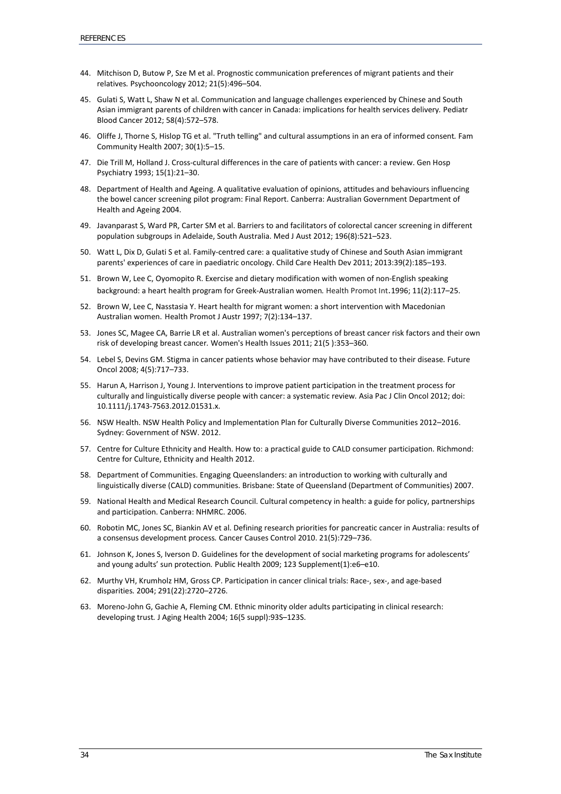- <span id="page-33-0"></span>44. Mitchison D, Butow P, Sze M et al. Prognostic communication preferences of migrant patients and their relatives*.* Psychooncology 2012; 21(5):496–504.
- <span id="page-33-1"></span>45. Gulati S, Watt L, Shaw N et al. Communication and language challenges experienced by Chinese and South Asian immigrant parents of children with cancer in Canada: implications for health services delivery*.* Pediatr Blood Cancer 2012; 58(4):572–578.
- <span id="page-33-2"></span>46. Oliffe J, Thorne S, Hislop TG et al. "Truth telling" and cultural assumptions in an era of informed consent*.* Fam Community Health 2007; 30(1):5–15.
- <span id="page-33-3"></span>47. Die Trill M, Holland J. Cross-cultural differences in the care of patients with cancer: a review. Gen Hosp Psychiatry 1993; 15(1):21–30.
- <span id="page-33-4"></span>48. Department of Health and Ageing. A qualitative evaluation of opinions, attitudes and behaviours influencing the bowel cancer screening pilot program: Final Report. Canberra: Australian Government Department of Health and Ageing 2004.
- <span id="page-33-5"></span>49. Javanparast S, Ward PR, Carter SM et al. Barriers to and facilitators of colorectal cancer screening in different population subgroups in Adelaide, South Australia. Med J Aust 2012; 196(8):521–523.
- <span id="page-33-6"></span>50. Watt L, Dix D, Gulati S et al. Family-centred care: a qualitative study of Chinese and South Asian immigrant parents' experiences of care in paediatric oncology. Child Care Health Dev 2011; 2013:39(2):185–193.
- <span id="page-33-7"></span>51. Brown W, Lee C, Oyomopito R. Exercise and dietary modification with women of non-English speaking background: a heart health program for Greek-Australian women*.* Health Promot Int.1996; 11(2):117–25.
- <span id="page-33-8"></span>52. Brown W, Lee C, Nasstasia Y. Heart health for migrant women: a short intervention with Macedonian Australian women. Health Promot J Austr 1997; 7(2):134–137.
- <span id="page-33-9"></span>53. Jones SC, Magee CA, Barrie LR et al. Australian women's perceptions of breast cancer risk factors and their own risk of developing breast cancer*.* Women's Health Issues 2011; 21(5 ):353–360.
- <span id="page-33-10"></span>54. Lebel S, Devins GM. Stigma in cancer patients whose behavior may have contributed to their disease*.* Future Oncol 2008; 4(5):717–733.
- <span id="page-33-11"></span>55. Harun A, Harrison J, Young J. Interventions to improve patient participation in the treatment process for culturally and linguistically diverse people with cancer: a systematic review*.* Asia Pac J Clin Oncol 2012; doi: 10.1111/j.1743-7563.2012.01531.x.
- <span id="page-33-12"></span>56. NSW Health. NSW Health Policy and Implementation Plan for Culturally Diverse Communities 2012–2016. Sydney: Government of NSW. 2012.
- <span id="page-33-13"></span>57. Centre for Culture Ethnicity and Health. How to: a practical guide to CALD consumer participation. Richmond: Centre for Culture, Ethnicity and Health 2012.
- <span id="page-33-14"></span>58. Department of Communities. Engaging Queenslanders: an introduction to working with culturally and linguistically diverse (CALD) communities. Brisbane: State of Queensland (Department of Communities) 2007.
- <span id="page-33-15"></span>59. National Health and Medical Research Council. Cultural competency in health: a guide for policy, partnerships and participation. Canberra: NHMRC. 2006.
- <span id="page-33-16"></span>60. Robotin MC, Jones SC, Biankin AV et al. Defining research priorities for pancreatic cancer in Australia: results of a consensus development process*.* Cancer Causes Control 2010. 21(5):729–736.
- <span id="page-33-17"></span>61. Johnson K, Jones S, Iverson D. Guidelines for the development of social marketing programs for adolescents' and young adults' sun protection*.* Public Health 2009; 123 Supplement(1):e6–e10.
- <span id="page-33-18"></span>62. Murthy VH, Krumholz HM, Gross CP. Participation in cancer clinical trials: Race-, sex-, and age-based disparities*.* 2004; 291(22):2720–2726.
- <span id="page-33-19"></span>63. Moreno-John G, Gachie A, Fleming CM. Ethnic minority older adults participating in clinical research: developing trust*.* J Aging Health 2004; 16(5 suppl):93S–123S.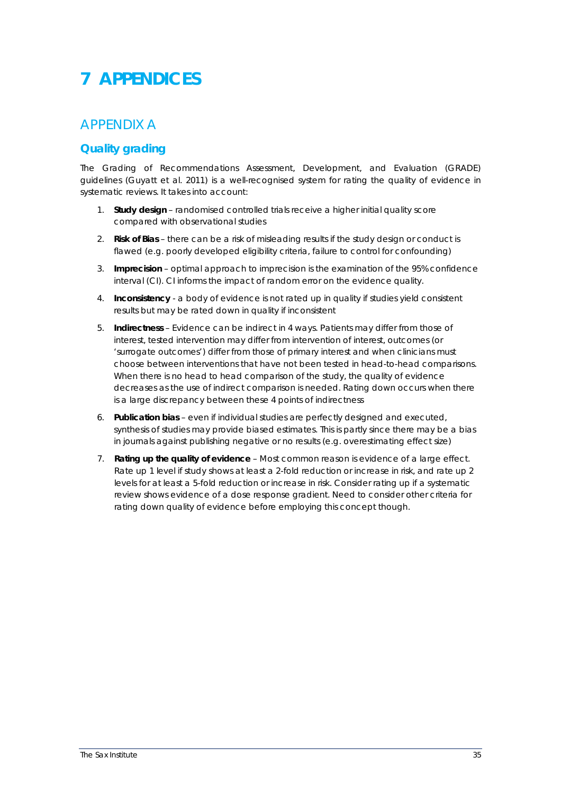# <span id="page-34-0"></span>**7 APPENDICES**

## <span id="page-34-1"></span>*APPENDIX A*

### <span id="page-34-2"></span>**Quality grading**

The Grading of Recommendations Assessment, Development, and Evaluation (GRADE) guidelines (Guyatt et al. 2011) is a well-recognised system for rating the quality of evidence in systematic reviews. It takes into account:

- 1. **Study design** randomised controlled trials receive a higher initial quality score compared with observational studies
- 2. **Risk of Bias**  there can be a risk of misleading results if the study design or conduct is flawed (e.g. poorly developed eligibility criteria, failure to control for confounding)
- 3. **Imprecision**  optimal approach to imprecision is the examination of the 95% confidence interval (CI). CI informs the impact of random error on the evidence quality.
- 4. **Inconsistency**  a body of evidence is not rated up in quality if studies yield consistent results but may be rated down in quality if inconsistent
- 5. **Indirectness**  Evidence can be indirect in 4 ways. Patients may differ from those of interest, tested intervention may differ from intervention of interest, outcomes (or 'surrogate outcomes') differ from those of primary interest and when clinicians must choose between interventions that have not been tested in head-to-head comparisons. When there is no head to head comparison of the study, the quality of evidence decreases as the use of indirect comparison is needed. Rating down occurs when there is a large discrepancy between these 4 points of indirectness
- 6. **Publication bias**  even if individual studies are perfectly designed and executed, synthesis of studies may provide biased estimates. This is partly since there may be a bias in journals against publishing negative or no results (e.g. overestimating effect size)
- 7. **Rating up the quality of evidence**  Most common reason is evidence of a large effect. Rate up 1 level if study shows at least a 2-fold reduction or increase in risk, and rate up 2 levels for at least a 5-fold reduction or increase in risk. Consider rating up if a systematic review shows evidence of a dose response gradient. Need to consider other criteria for rating down quality of evidence before employing this concept though.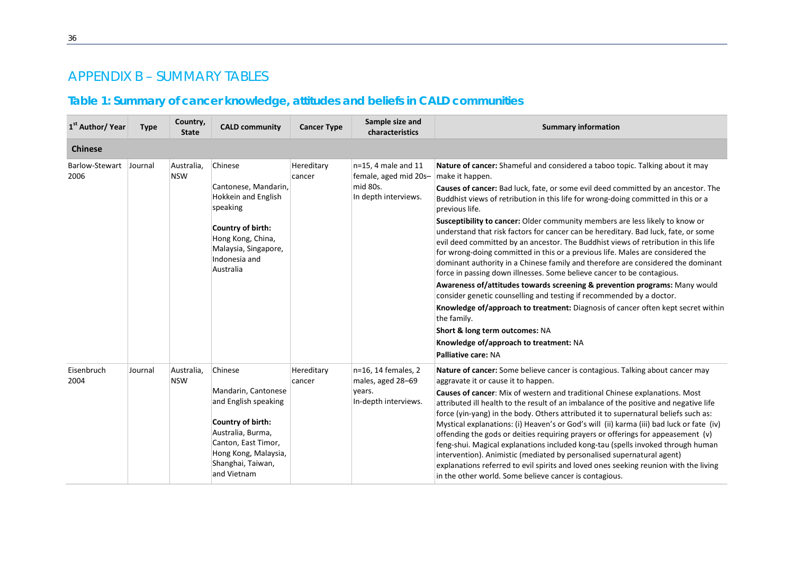## *APPENDIX B – SUMMARY TABLES*

## **Table 1: Summary of cancer knowledge, attitudes and beliefs in CALD communities**

<span id="page-35-1"></span><span id="page-35-0"></span>

| 1 <sup>st</sup> Author/ Year | <b>Type</b> | Country,<br><b>State</b> | <b>CALD community</b>                                                                                                                                                               | <b>Cancer Type</b>   | Sample size and<br>characteristics                                                  | <b>Summary information</b>                                                                                                                                                                                                                                                                                                                                                                                                                                                                                                                                                                                                                                                                                                                                                                                                                                                                                                                                                                                                                                                                                                                                           |
|------------------------------|-------------|--------------------------|-------------------------------------------------------------------------------------------------------------------------------------------------------------------------------------|----------------------|-------------------------------------------------------------------------------------|----------------------------------------------------------------------------------------------------------------------------------------------------------------------------------------------------------------------------------------------------------------------------------------------------------------------------------------------------------------------------------------------------------------------------------------------------------------------------------------------------------------------------------------------------------------------------------------------------------------------------------------------------------------------------------------------------------------------------------------------------------------------------------------------------------------------------------------------------------------------------------------------------------------------------------------------------------------------------------------------------------------------------------------------------------------------------------------------------------------------------------------------------------------------|
| <b>Chinese</b>               |             |                          |                                                                                                                                                                                     |                      |                                                                                     |                                                                                                                                                                                                                                                                                                                                                                                                                                                                                                                                                                                                                                                                                                                                                                                                                                                                                                                                                                                                                                                                                                                                                                      |
| Barlow-Stewart<br>2006       | Journal     | Australia,<br><b>NSW</b> | Chinese<br>Cantonese, Mandarin,<br>Hokkein and English<br>speaking<br>Country of birth:<br>Hong Kong, China,<br>Malaysia, Singapore,<br>Indonesia and<br>Australia                  | Hereditary<br>cancer | $n=15$ , 4 male and 11<br>female, aged mid 20s-<br>mid 80s.<br>In depth interviews. | Nature of cancer: Shameful and considered a taboo topic. Talking about it may<br>make it happen.<br>Causes of cancer: Bad luck, fate, or some evil deed committed by an ancestor. The<br>Buddhist views of retribution in this life for wrong-doing committed in this or a<br>previous life.<br>Susceptibility to cancer: Older community members are less likely to know or<br>understand that risk factors for cancer can be hereditary. Bad luck, fate, or some<br>evil deed committed by an ancestor. The Buddhist views of retribution in this life<br>for wrong-doing committed in this or a previous life. Males are considered the<br>dominant authority in a Chinese family and therefore are considered the dominant<br>force in passing down illnesses. Some believe cancer to be contagious.<br>Awareness of/attitudes towards screening & prevention programs: Many would<br>consider genetic counselling and testing if recommended by a doctor.<br>Knowledge of/approach to treatment: Diagnosis of cancer often kept secret within<br>the family.<br>Short & long term outcomes: NA<br>Knowledge of/approach to treatment: NA<br>Palliative care: NA |
| Eisenbruch<br>2004           | Journal     | Australia,<br><b>NSW</b> | Chinese<br>Mandarin, Cantonese<br>and English speaking<br>Country of birth:<br>Australia, Burma,<br>Canton, East Timor,<br>Hong Kong, Malaysia,<br>Shanghai, Taiwan,<br>and Vietnam | Hereditary<br>cancer | n=16, 14 females, 2<br>males, aged 28-69<br>vears.<br>In-depth interviews.          | Nature of cancer: Some believe cancer is contagious. Talking about cancer may<br>aggravate it or cause it to happen.<br>Causes of cancer: Mix of western and traditional Chinese explanations. Most<br>attributed ill health to the result of an imbalance of the positive and negative life<br>force (yin-yang) in the body. Others attributed it to supernatural beliefs such as:<br>Mystical explanations: (i) Heaven's or God's will (ii) karma (iii) bad luck or fate (iv)<br>offending the gods or deities requiring prayers or offerings for appeasement $(v)$<br>feng-shui. Magical explanations included kong-tau (spells invoked through human<br>intervention). Animistic (mediated by personalised supernatural agent)<br>explanations referred to evil spirits and loved ones seeking reunion with the living<br>in the other world. Some believe cancer is contagious.                                                                                                                                                                                                                                                                                 |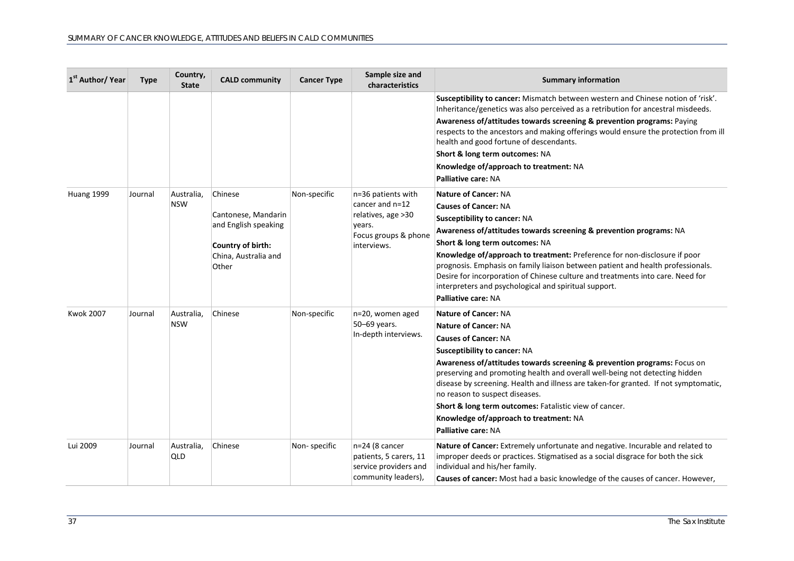| 1 <sup>st</sup> Author/ Year | <b>Type</b> | Country,<br><b>State</b> | <b>CALD community</b>                                                                                        | <b>Cancer Type</b> | Sample size and<br>characteristics                                                                            | <b>Summary information</b>                                                                                                                                                                                                                                                                                                                                                                                                                                                                                                                  |
|------------------------------|-------------|--------------------------|--------------------------------------------------------------------------------------------------------------|--------------------|---------------------------------------------------------------------------------------------------------------|---------------------------------------------------------------------------------------------------------------------------------------------------------------------------------------------------------------------------------------------------------------------------------------------------------------------------------------------------------------------------------------------------------------------------------------------------------------------------------------------------------------------------------------------|
|                              |             |                          |                                                                                                              |                    |                                                                                                               | Susceptibility to cancer: Mismatch between western and Chinese notion of 'risk'.<br>Inheritance/genetics was also perceived as a retribution for ancestral misdeeds.<br>Awareness of/attitudes towards screening & prevention programs: Paying<br>respects to the ancestors and making offerings would ensure the protection from ill<br>health and good fortune of descendants.<br>Short & long term outcomes: NA<br>Knowledge of/approach to treatment: NA<br>Palliative care: NA                                                         |
| Huang 1999                   | Journal     | Australia.<br><b>NSW</b> | Chinese<br>Cantonese, Mandarin<br>and English speaking<br>Country of birth:<br>China, Australia and<br>Other | Non-specific       | n=36 patients with<br>cancer and n=12<br>relatives, age > 30<br>years.<br>Focus groups & phone<br>interviews. | <b>Nature of Cancer: NA</b><br><b>Causes of Cancer: NA</b><br><b>Susceptibility to cancer: NA</b><br>Awareness of/attitudes towards screening & prevention programs: NA<br>Short & long term outcomes: NA<br>Knowledge of/approach to treatment: Preference for non-disclosure if poor<br>prognosis. Emphasis on family liaison between patient and health professionals.<br>Desire for incorporation of Chinese culture and treatments into care. Need for<br>interpreters and psychological and spiritual support.<br>Palliative care: NA |
| <b>Kwok 2007</b>             | Journal     | Australia,<br><b>NSW</b> | Chinese                                                                                                      | Non-specific       | n=20, women aged<br>50-69 years.<br>In-depth interviews.                                                      | <b>Nature of Cancer: NA</b><br><b>Nature of Cancer: NA</b><br><b>Causes of Cancer: NA</b><br>Susceptibility to cancer: NA<br>Awareness of/attitudes towards screening & prevention programs: Focus on<br>preserving and promoting health and overall well-being not detecting hidden<br>disease by screening. Health and illness are taken-for granted. If not symptomatic,<br>no reason to suspect diseases.<br>Short & long term outcomes: Fatalistic view of cancer.<br>Knowledge of/approach to treatment: NA<br>Palliative care: NA    |
| Lui 2009                     | Journal     | Australia,<br><b>QLD</b> | Chinese                                                                                                      | Non-specific       | $n=24$ (8 cancer<br>patients, 5 carers, 11<br>service providers and<br>community leaders),                    | Nature of Cancer: Extremely unfortunate and negative. Incurable and related to<br>improper deeds or practices. Stigmatised as a social disgrace for both the sick<br>individual and his/her family.<br>Causes of cancer: Most had a basic knowledge of the causes of cancer. However,                                                                                                                                                                                                                                                       |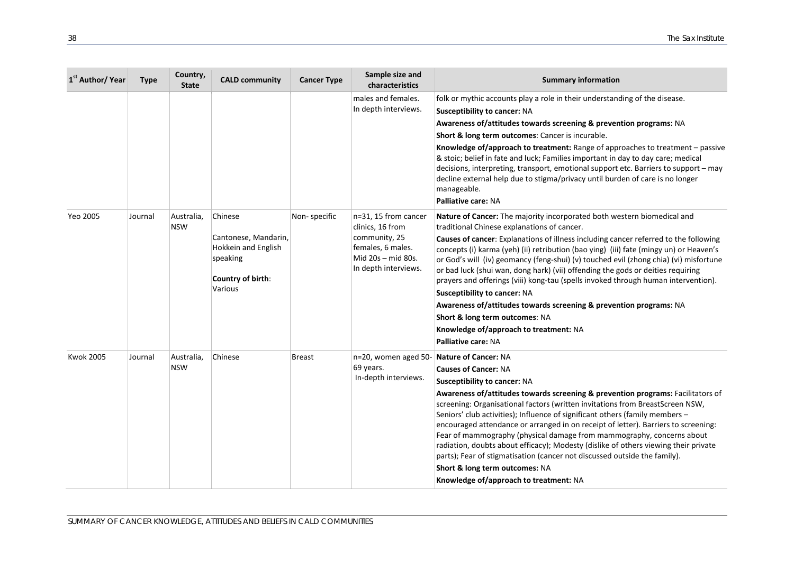| 1 <sup>st</sup> Author/ Year | <b>Type</b> | Country,<br><b>State</b> | <b>CALD community</b>                                                                              | <b>Cancer Type</b> | Sample size and<br>characteristics                                                                                           | <b>Summary information</b>                                                                                                                                                                                                                                                                                                                                                                                                                                                                                                                                                                                                                                                                                                                                                          |
|------------------------------|-------------|--------------------------|----------------------------------------------------------------------------------------------------|--------------------|------------------------------------------------------------------------------------------------------------------------------|-------------------------------------------------------------------------------------------------------------------------------------------------------------------------------------------------------------------------------------------------------------------------------------------------------------------------------------------------------------------------------------------------------------------------------------------------------------------------------------------------------------------------------------------------------------------------------------------------------------------------------------------------------------------------------------------------------------------------------------------------------------------------------------|
|                              |             |                          |                                                                                                    |                    | males and females.<br>In depth interviews.                                                                                   | folk or mythic accounts play a role in their understanding of the disease.<br><b>Susceptibility to cancer: NA</b><br>Awareness of/attitudes towards screening & prevention programs: NA<br>Short & long term outcomes: Cancer is incurable.<br>Knowledge of/approach to treatment: Range of approaches to treatment - passive<br>& stoic; belief in fate and luck; Families important in day to day care; medical<br>decisions, interpreting, transport, emotional support etc. Barriers to support - may<br>decline external help due to stigma/privacy until burden of care is no longer<br>manageable.<br>Palliative care: NA                                                                                                                                                    |
| Yeo 2005                     | Journal     | Australia,<br><b>NSW</b> | Chinese<br>Cantonese, Mandarin,<br>Hokkein and English<br>speaking<br>Country of birth:<br>Various | Non-specific       | n=31, 15 from cancer<br>clinics, 16 from<br>community, 25<br>females, 6 males.<br>Mid 20s - mid 80s.<br>In depth interviews. | Nature of Cancer: The majority incorporated both western biomedical and<br>traditional Chinese explanations of cancer.<br>Causes of cancer: Explanations of illness including cancer referred to the following<br>concepts (i) karma (yeh) (ii) retribution (bao ying) (iii) fate (mingy un) or Heaven's<br>or God's will (iv) geomancy (feng-shui) (v) touched evil (zhong chia) (vi) misfortune<br>or bad luck (shui wan, dong hark) (vii) offending the gods or deities requiring<br>prayers and offerings (viii) kong-tau (spells invoked through human intervention).<br>Susceptibility to cancer: NA<br>Awareness of/attitudes towards screening & prevention programs: NA<br>Short & long term outcomes: NA<br>Knowledge of/approach to treatment: NA<br>Palliative care: NA |
| <b>Kwok 2005</b>             | Journal     | Australia,<br><b>NSW</b> | Chinese                                                                                            | <b>Breast</b>      | n=20, women aged 50-<br>69 years.<br>In-depth interviews.                                                                    | Nature of Cancer: NA<br><b>Causes of Cancer: NA</b><br>Susceptibility to cancer: NA<br>Awareness of/attitudes towards screening & prevention programs: Facilitators of<br>screening: Organisational factors (written invitations from BreastScreen NSW,<br>Seniors' club activities); Influence of significant others (family members -<br>encouraged attendance or arranged in on receipt of letter). Barriers to screening:<br>Fear of mammography (physical damage from mammography, concerns about<br>radiation, doubts about efficacy); Modesty (dislike of others viewing their private<br>parts); Fear of stigmatisation (cancer not discussed outside the family).<br>Short & long term outcomes: NA<br>Knowledge of/approach to treatment: NA                              |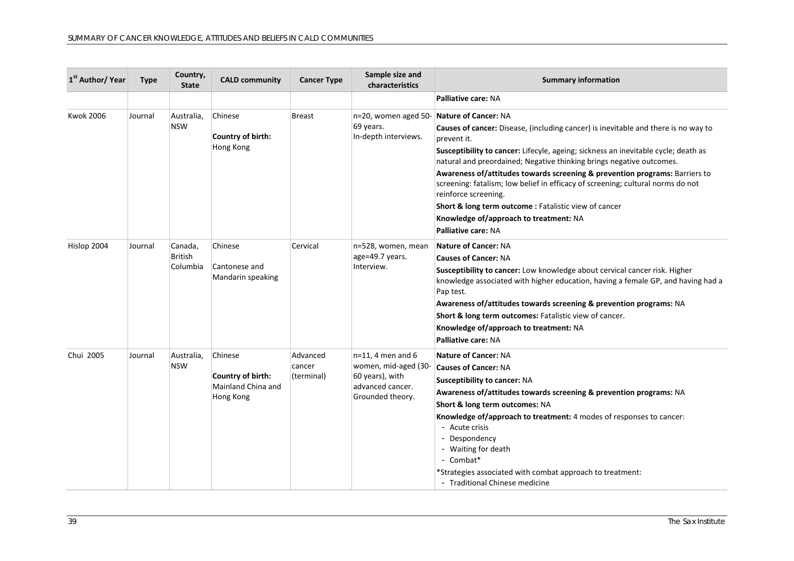| 1 <sup>st</sup> Author/ Year | Type    | Country,<br><b>State</b>              | <b>CALD community</b>                                           | <b>Cancer Type</b>               | Sample size and<br>characteristics                                                                      | <b>Summary information</b>                                                                                                                                                                                                                                                                                                                                                                                                                                                                                                                                                          |
|------------------------------|---------|---------------------------------------|-----------------------------------------------------------------|----------------------------------|---------------------------------------------------------------------------------------------------------|-------------------------------------------------------------------------------------------------------------------------------------------------------------------------------------------------------------------------------------------------------------------------------------------------------------------------------------------------------------------------------------------------------------------------------------------------------------------------------------------------------------------------------------------------------------------------------------|
|                              |         |                                       |                                                                 |                                  |                                                                                                         | Palliative care: NA                                                                                                                                                                                                                                                                                                                                                                                                                                                                                                                                                                 |
| <b>Kwok 2006</b>             | Journal | Australia,<br><b>NSW</b>              | Chinese<br>Country of birth:<br>Hong Kong                       | <b>Breast</b>                    | n=20, women aged 50- Nature of Cancer: NA<br>69 years.<br>In-depth interviews.                          | Causes of cancer: Disease, (including cancer) is inevitable and there is no way to<br>prevent it.<br>Susceptibility to cancer: Lifecyle, ageing; sickness an inevitable cycle; death as<br>natural and preordained; Negative thinking brings negative outcomes.<br>Awareness of/attitudes towards screening & prevention programs: Barriers to<br>screening: fatalism; low belief in efficacy of screening; cultural norms do not<br>reinforce screening.<br>Short & long term outcome : Fatalistic view of cancer<br>Knowledge of/approach to treatment: NA<br>Palliative care: NA |
| Hislop 2004                  | Journal | Canada,<br><b>British</b><br>Columbia | Chinese<br>Cantonese and<br>Mandarin speaking                   | Cervical                         | n=528, women, mean<br>age=49.7 years.<br>Interview.                                                     | <b>Nature of Cancer: NA</b><br><b>Causes of Cancer: NA</b><br>Susceptibility to cancer: Low knowledge about cervical cancer risk. Higher<br>knowledge associated with higher education, having a female GP, and having had a<br>Pap test.<br>Awareness of/attitudes towards screening & prevention programs: NA<br>Short & long term outcomes: Fatalistic view of cancer.<br>Knowledge of/approach to treatment: NA<br>Palliative care: NA                                                                                                                                          |
| Chui 2005                    | Journal | Australia,<br><b>NSW</b>              | Chinese<br>Country of birth:<br>Mainland China and<br>Hong Kong | Advanced<br>cancer<br>(terminal) | $n=11$ , 4 men and 6<br>women, mid-aged (30-<br>60 years), with<br>advanced cancer.<br>Grounded theory. | <b>Nature of Cancer: NA</b><br><b>Causes of Cancer: NA</b><br><b>Susceptibility to cancer: NA</b><br>Awareness of/attitudes towards screening & prevention programs: NA<br>Short & long term outcomes: NA<br>Knowledge of/approach to treatment: 4 modes of responses to cancer:<br>- Acute crisis<br>- Despondency<br>- Waiting for death<br>- Combat*<br>*Strategies associated with combat approach to treatment:<br>- Traditional Chinese medicine                                                                                                                              |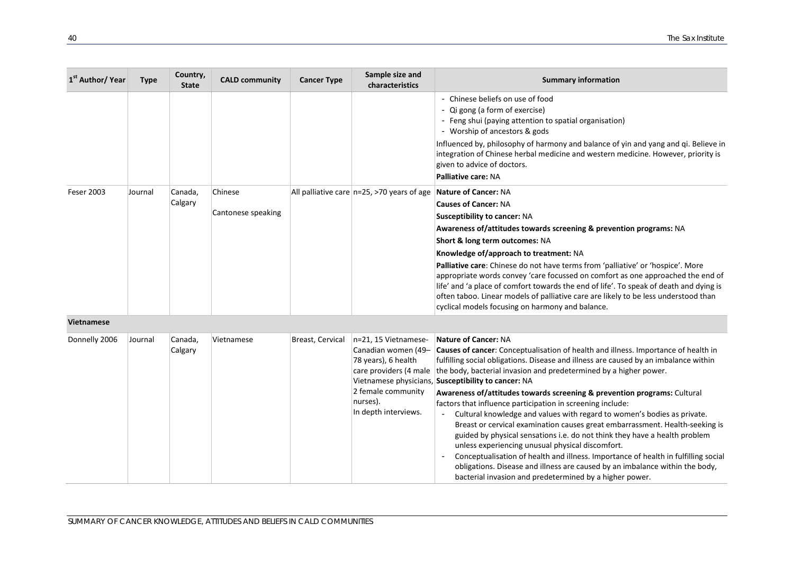| 1 <sup>st</sup> Author/ Year | <b>Type</b> | Country,<br><b>State</b> | <b>CALD community</b>         | <b>Cancer Type</b> | Sample size and<br>characteristics                                    | <b>Summary information</b>                                                                                                                                                                                                                                                                                                                                                                                                                                                                                                                                                                                                      |
|------------------------------|-------------|--------------------------|-------------------------------|--------------------|-----------------------------------------------------------------------|---------------------------------------------------------------------------------------------------------------------------------------------------------------------------------------------------------------------------------------------------------------------------------------------------------------------------------------------------------------------------------------------------------------------------------------------------------------------------------------------------------------------------------------------------------------------------------------------------------------------------------|
|                              |             |                          |                               |                    |                                                                       | Chinese beliefs on use of food<br>Qi gong (a form of exercise)<br>- Feng shui (paying attention to spatial organisation)<br>- Worship of ancestors & gods<br>Influenced by, philosophy of harmony and balance of yin and yang and qi. Believe in<br>integration of Chinese herbal medicine and western medicine. However, priority is<br>given to advice of doctors.<br><b>Palliative care: NA</b>                                                                                                                                                                                                                              |
| <b>Feser 2003</b>            | Journal     | Canada,<br>Calgary       | Chinese<br>Cantonese speaking |                    | All palliative care $ n=25, \ge 70$ years of age Nature of Cancer: NA | <b>Causes of Cancer: NA</b><br><b>Susceptibility to cancer: NA</b><br>Awareness of/attitudes towards screening & prevention programs: NA<br>Short & long term outcomes: NA<br>Knowledge of/approach to treatment: NA<br>Palliative care: Chinese do not have terms from 'palliative' or 'hospice'. More<br>appropriate words convey 'care focussed on comfort as one approached the end of<br>life' and 'a place of comfort towards the end of life'. To speak of death and dying is<br>often taboo. Linear models of palliative care are likely to be less understood than<br>cyclical models focusing on harmony and balance. |

| Canadian women (49- Causes of cancer: Conceptualisation of health and illness. Importance of health in<br>Calgary<br>fulfilling social obligations. Disease and illness are caused by an imbalance within<br>78 years), 6 health<br>care providers (4 male   the body, bacterial invasion and predetermined by a higher power.<br>Vietnamese physicians, Susceptibility to cancer: NA<br>2 female community<br><b>Awareness of/attitudes towards screening &amp; prevention programs:</b> Cultural<br>nurses).<br>factors that influence participation in screening include:<br>In depth interviews.<br>Cultural knowledge and values with regard to women's bodies as private.<br>Breast or cervical examination causes great embarrassment. Health-seeking is<br>guided by physical sensations i.e. do not think they have a health problem<br>unless experiencing unusual physical discomfort.<br>Conceptualisation of health and illness. Importance of health in fulfilling social<br>obligations. Disease and illness are caused by an imbalance within the body,<br>bacterial invasion and predetermined by a higher power. |  |
|------------------------------------------------------------------------------------------------------------------------------------------------------------------------------------------------------------------------------------------------------------------------------------------------------------------------------------------------------------------------------------------------------------------------------------------------------------------------------------------------------------------------------------------------------------------------------------------------------------------------------------------------------------------------------------------------------------------------------------------------------------------------------------------------------------------------------------------------------------------------------------------------------------------------------------------------------------------------------------------------------------------------------------------------------------------------------------------------------------------------------------|--|
|------------------------------------------------------------------------------------------------------------------------------------------------------------------------------------------------------------------------------------------------------------------------------------------------------------------------------------------------------------------------------------------------------------------------------------------------------------------------------------------------------------------------------------------------------------------------------------------------------------------------------------------------------------------------------------------------------------------------------------------------------------------------------------------------------------------------------------------------------------------------------------------------------------------------------------------------------------------------------------------------------------------------------------------------------------------------------------------------------------------------------------|--|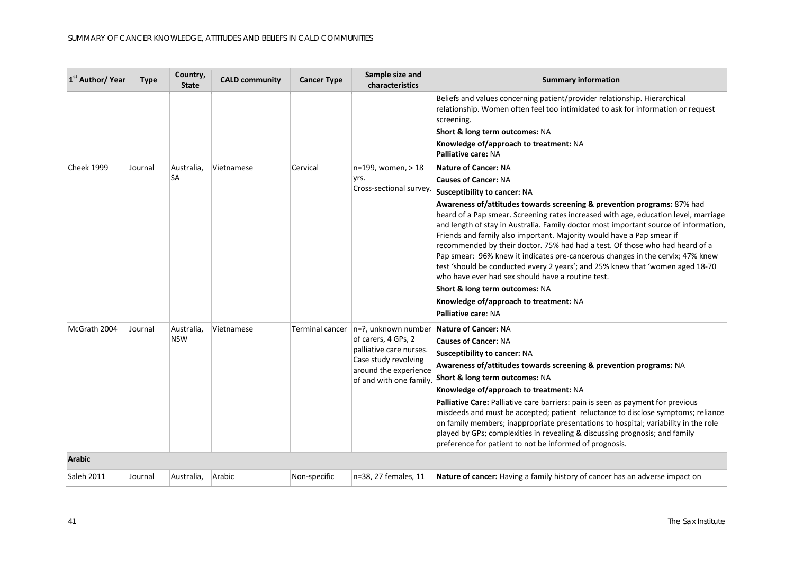| 1 <sup>st</sup> Author/ Year | <b>Type</b> | Country,<br><b>State</b> | <b>CALD community</b> | <b>Cancer Type</b> | Sample size and<br>characteristics                                                                                                                                     | <b>Summary information</b>                                                                                                                                                                                                                                                                                                                                                                                                                                                                                                                                                                                                                                                                                                                                                                                                               |
|------------------------------|-------------|--------------------------|-----------------------|--------------------|------------------------------------------------------------------------------------------------------------------------------------------------------------------------|------------------------------------------------------------------------------------------------------------------------------------------------------------------------------------------------------------------------------------------------------------------------------------------------------------------------------------------------------------------------------------------------------------------------------------------------------------------------------------------------------------------------------------------------------------------------------------------------------------------------------------------------------------------------------------------------------------------------------------------------------------------------------------------------------------------------------------------|
|                              |             |                          |                       |                    |                                                                                                                                                                        | Beliefs and values concerning patient/provider relationship. Hierarchical<br>relationship. Women often feel too intimidated to ask for information or request<br>screening.<br>Short & long term outcomes: NA<br>Knowledge of/approach to treatment: NA<br>Palliative care: NA                                                                                                                                                                                                                                                                                                                                                                                                                                                                                                                                                           |
| <b>Cheek 1999</b>            | Journal     | Australia,<br><b>SA</b>  | Vietnamese            | Cervical           | n=199, women, > 18<br>yrs.<br>Cross-sectional survey.                                                                                                                  | <b>Nature of Cancer: NA</b><br><b>Causes of Cancer: NA</b><br>Susceptibility to cancer: NA<br>Awareness of/attitudes towards screening & prevention programs: 87% had<br>heard of a Pap smear. Screening rates increased with age, education level, marriage<br>and length of stay in Australia. Family doctor most important source of information,<br>Friends and family also important. Majority would have a Pap smear if<br>recommended by their doctor. 75% had had a test. Of those who had heard of a<br>Pap smear: 96% knew it indicates pre-cancerous changes in the cervix; 47% knew<br>test 'should be conducted every 2 years'; and 25% knew that 'women aged 18-70<br>who have ever had sex should have a routine test.<br>Short & long term outcomes: NA<br>Knowledge of/approach to treatment: NA<br>Palliative care: NA |
| McGrath 2004                 | Journal     | Australia,<br><b>NSW</b> | Vietnamese            | Terminal cancer    | n=?, unknown number Nature of Cancer: NA<br>of carers, 4 GPs, 2<br>palliative care nurses.<br>Case study revolving<br>around the experience<br>of and with one family. | <b>Causes of Cancer: NA</b><br>Susceptibility to cancer: NA<br>Awareness of/attitudes towards screening & prevention programs: NA<br>Short & long term outcomes: NA<br>Knowledge of/approach to treatment: NA<br>Palliative Care: Palliative care barriers: pain is seen as payment for previous<br>misdeeds and must be accepted; patient reluctance to disclose symptoms; reliance<br>on family members; inappropriate presentations to hospital; variability in the role<br>played by GPs; complexities in revealing & discussing prognosis; and family<br>preference for patient to not be informed of prognosis.                                                                                                                                                                                                                    |
| <b>Arabic</b>                |             |                          |                       |                    |                                                                                                                                                                        |                                                                                                                                                                                                                                                                                                                                                                                                                                                                                                                                                                                                                                                                                                                                                                                                                                          |
| Saleh 2011                   | Journal     | Australia,               | Arabic                | Non-specific       | n=38, 27 females, 11                                                                                                                                                   | Nature of cancer: Having a family history of cancer has an adverse impact on                                                                                                                                                                                                                                                                                                                                                                                                                                                                                                                                                                                                                                                                                                                                                             |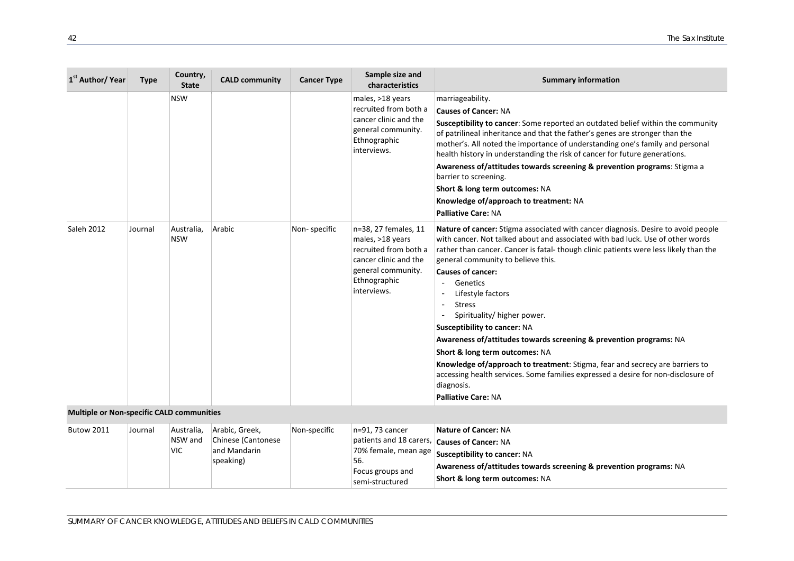| 1 <sup>st</sup> Author/ Year              | <b>Type</b> | Country,<br><b>State</b> | <b>CALD community</b> | <b>Cancer Type</b> | Sample size and<br>characteristics                                                                                                              | <b>Summary information</b>                                                                                                                                                                                                                                                                                                                                                                                                                                                                                                                                                                                                                                                                                                                                                                                 |
|-------------------------------------------|-------------|--------------------------|-----------------------|--------------------|-------------------------------------------------------------------------------------------------------------------------------------------------|------------------------------------------------------------------------------------------------------------------------------------------------------------------------------------------------------------------------------------------------------------------------------------------------------------------------------------------------------------------------------------------------------------------------------------------------------------------------------------------------------------------------------------------------------------------------------------------------------------------------------------------------------------------------------------------------------------------------------------------------------------------------------------------------------------|
|                                           |             | <b>NSW</b>               |                       |                    | males, >18 years<br>recruited from both a<br>cancer clinic and the<br>general community.<br>Ethnographic<br>interviews.                         | marriageability.<br><b>Causes of Cancer: NA</b><br>Susceptibility to cancer: Some reported an outdated belief within the community<br>of patrilineal inheritance and that the father's genes are stronger than the<br>mother's. All noted the importance of understanding one's family and personal<br>health history in understanding the risk of cancer for future generations.<br>Awareness of/attitudes towards screening & prevention programs: Stigma a<br>barrier to screening.<br>Short & long term outcomes: NA<br>Knowledge of/approach to treatment: NA<br><b>Palliative Care: NA</b>                                                                                                                                                                                                           |
| Saleh 2012                                | Journal     | Australia,<br><b>NSW</b> | Arabic                | Non-specific       | n=38, 27 females, 11<br>males, >18 years<br>recruited from both a<br>cancer clinic and the<br>general community.<br>Ethnographic<br>interviews. | Nature of cancer: Stigma associated with cancer diagnosis. Desire to avoid people<br>with cancer. Not talked about and associated with bad luck. Use of other words<br>rather than cancer. Cancer is fatal-though clinic patients were less likely than the<br>general community to believe this.<br><b>Causes of cancer:</b><br>Genetics<br>$\sim$<br>Lifestyle factors<br><b>Stress</b><br>$\overline{a}$<br>Spirituality/ higher power.<br><b>Susceptibility to cancer: NA</b><br>Awareness of/attitudes towards screening & prevention programs: NA<br>Short & long term outcomes: NA<br>Knowledge of/approach to treatment: Stigma, fear and secrecy are barriers to<br>accessing health services. Some families expressed a desire for non-disclosure of<br>diagnosis.<br><b>Palliative Care: NA</b> |
| Multiple or Non-specific CALD communities |             |                          |                       |                    |                                                                                                                                                 |                                                                                                                                                                                                                                                                                                                                                                                                                                                                                                                                                                                                                                                                                                                                                                                                            |

| <b>Butow 2011</b> | Journal | Australia. | Arabic, Greek,     | Non-specific | $\ln=91.73$ cancer | Nature of Cancer: NA                                               |
|-------------------|---------|------------|--------------------|--------------|--------------------|--------------------------------------------------------------------|
|                   |         | NSW and    | Chinese (Cantonese |              |                    | patients and 18 carers, <b>Causes of Cancer:</b> NA                |
|                   |         | <b>VIC</b> | and Mandarin       |              |                    | 70% female, mean age Susceptibility to cancer: NA                  |
|                   |         |            | speaking)          |              | 56.                | Awareness of/attitudes towards screening & prevention programs: NA |
|                   |         |            |                    |              | Focus groups and   |                                                                    |
|                   |         |            |                    |              | semi-structured    | <b>Short &amp; long term outcomes: NA</b>                          |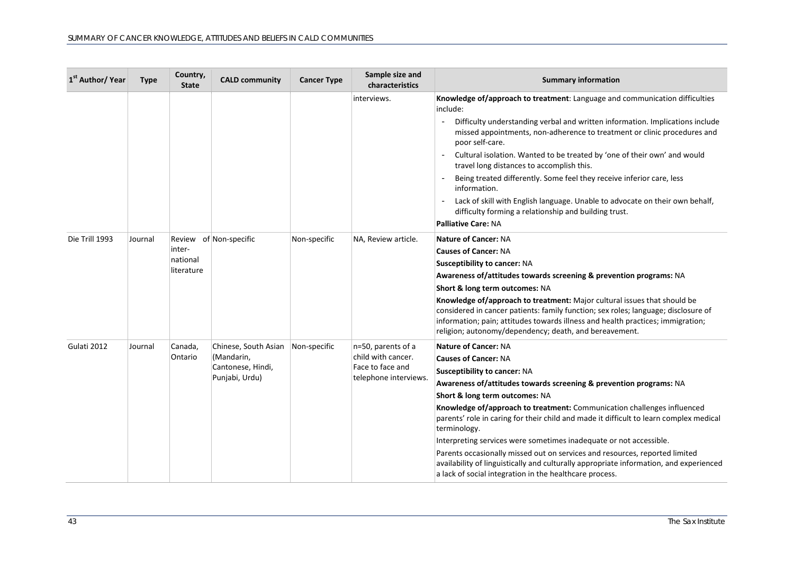| 1 <sup>st</sup> Author/ Year | <b>Type</b> | Country,<br><b>State</b>         | <b>CALD community</b>  | <b>Cancer Type</b> | Sample size and<br>characteristics | <b>Summary information</b>                                                                                                                                                                                                                                                                                  |
|------------------------------|-------------|----------------------------------|------------------------|--------------------|------------------------------------|-------------------------------------------------------------------------------------------------------------------------------------------------------------------------------------------------------------------------------------------------------------------------------------------------------------|
|                              |             |                                  |                        |                    | interviews.                        | Knowledge of/approach to treatment: Language and communication difficulties<br>include:                                                                                                                                                                                                                     |
|                              |             |                                  |                        |                    |                                    | Difficulty understanding verbal and written information. Implications include<br>missed appointments, non-adherence to treatment or clinic procedures and<br>poor self-care.                                                                                                                                |
|                              |             |                                  |                        |                    |                                    | Cultural isolation. Wanted to be treated by 'one of their own' and would<br>travel long distances to accomplish this.                                                                                                                                                                                       |
|                              |             |                                  |                        |                    |                                    | Being treated differently. Some feel they receive inferior care, less<br>information.                                                                                                                                                                                                                       |
|                              |             |                                  |                        |                    |                                    | Lack of skill with English language. Unable to advocate on their own behalf,<br>difficulty forming a relationship and building trust.                                                                                                                                                                       |
|                              |             |                                  |                        |                    |                                    | <b>Palliative Care: NA</b>                                                                                                                                                                                                                                                                                  |
| Die Trill 1993               | Journal     |                                  | Review of Non-specific | Non-specific       | NA, Review article.                | <b>Nature of Cancer: NA</b>                                                                                                                                                                                                                                                                                 |
|                              |             | inter-<br>national<br>literature |                        |                    |                                    | <b>Causes of Cancer: NA</b>                                                                                                                                                                                                                                                                                 |
|                              |             |                                  |                        |                    |                                    | <b>Susceptibility to cancer: NA</b>                                                                                                                                                                                                                                                                         |
|                              |             |                                  |                        |                    |                                    | Awareness of/attitudes towards screening & prevention programs: NA                                                                                                                                                                                                                                          |
|                              |             |                                  |                        |                    |                                    | Short & long term outcomes: NA                                                                                                                                                                                                                                                                              |
|                              |             |                                  |                        |                    |                                    | Knowledge of/approach to treatment: Major cultural issues that should be<br>considered in cancer patients: family function; sex roles; language; disclosure of<br>information; pain; attitudes towards illness and health practices; immigration;<br>religion; autonomy/dependency; death, and bereavement. |
| Gulati 2012                  | Journal     | Canada,                          | Chinese, South Asian   | Non-specific       | $n=50$ , parents of a              | <b>Nature of Cancer: NA</b>                                                                                                                                                                                                                                                                                 |
|                              |             | Ontario                          | (Mandarin,             |                    | child with cancer.                 | <b>Causes of Cancer: NA</b>                                                                                                                                                                                                                                                                                 |
|                              |             |                                  | Cantonese, Hindi,      |                    | Face to face and                   | <b>Susceptibility to cancer: NA</b>                                                                                                                                                                                                                                                                         |
|                              |             |                                  | Punjabi, Urdu)         |                    | telephone interviews.              | Awareness of/attitudes towards screening & prevention programs: NA                                                                                                                                                                                                                                          |
|                              |             |                                  |                        |                    |                                    | Short & long term outcomes: NA                                                                                                                                                                                                                                                                              |
|                              |             |                                  |                        |                    |                                    | Knowledge of/approach to treatment: Communication challenges influenced<br>parents' role in caring for their child and made it difficult to learn complex medical<br>terminology.                                                                                                                           |
|                              |             |                                  |                        |                    |                                    | Interpreting services were sometimes inadequate or not accessible.                                                                                                                                                                                                                                          |
|                              |             |                                  |                        |                    |                                    | Parents occasionally missed out on services and resources, reported limited<br>availability of linguistically and culturally appropriate information, and experienced<br>a lack of social integration in the healthcare process.                                                                            |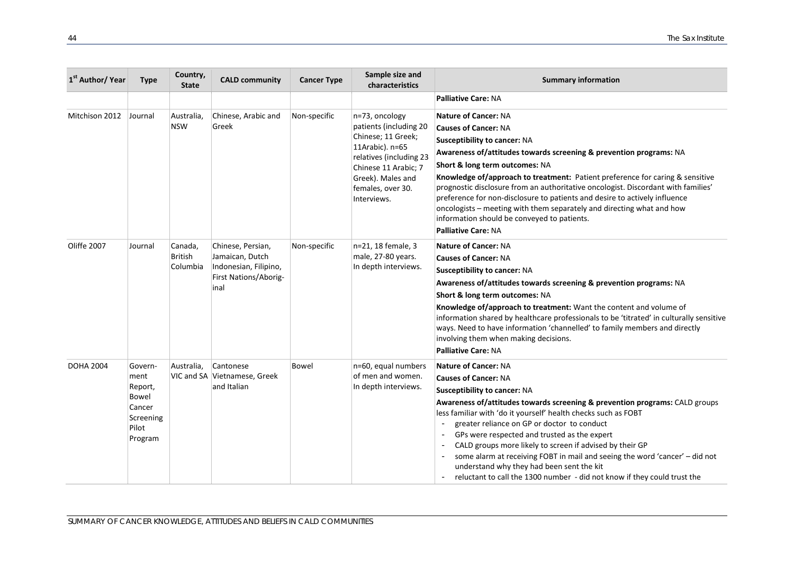| 1 <sup>st</sup> Author/ Year | <b>Type</b>                                                                    | Country,<br><b>State</b>       | <b>CALD community</b>                                                                          | <b>Cancer Type</b> | Sample size and<br>characteristics                                                                                                                                                            | <b>Summary information</b>                                                                                                                                                                                                                                                                                                                                                                                                                                                                                                                                                                                                                           |
|------------------------------|--------------------------------------------------------------------------------|--------------------------------|------------------------------------------------------------------------------------------------|--------------------|-----------------------------------------------------------------------------------------------------------------------------------------------------------------------------------------------|------------------------------------------------------------------------------------------------------------------------------------------------------------------------------------------------------------------------------------------------------------------------------------------------------------------------------------------------------------------------------------------------------------------------------------------------------------------------------------------------------------------------------------------------------------------------------------------------------------------------------------------------------|
|                              |                                                                                |                                |                                                                                                |                    |                                                                                                                                                                                               | <b>Palliative Care: NA</b>                                                                                                                                                                                                                                                                                                                                                                                                                                                                                                                                                                                                                           |
| Mitchison 2012               | Journal                                                                        | Australia.<br><b>NSW</b>       | Chinese, Arabic and<br>Greek                                                                   | Non-specific       | n=73, oncology<br>patients (including 20<br>Chinese; 11 Greek;<br>11Arabic). n=65<br>relatives (including 23<br>Chinese 11 Arabic; 7<br>Greek). Males and<br>females, over 30.<br>Interviews. | <b>Nature of Cancer: NA</b><br><b>Causes of Cancer: NA</b><br><b>Susceptibility to cancer: NA</b><br>Awareness of/attitudes towards screening & prevention programs: NA<br>Short & long term outcomes: NA<br>Knowledge of/approach to treatment: Patient preference for caring & sensitive<br>prognostic disclosure from an authoritative oncologist. Discordant with families'<br>preference for non-disclosure to patients and desire to actively influence<br>oncologists - meeting with them separately and directing what and how<br>information should be conveyed to patients.<br><b>Palliative Care: NA</b>                                  |
| Oliffe 2007                  | Journal                                                                        | Canada,<br>British<br>Columbia | Chinese, Persian,<br>Jamaican, Dutch<br>Indonesian, Filipino,<br>First Nations/Aborig-<br>inal | Non-specific       | n=21, 18 female, 3<br>male, 27-80 years.<br>In depth interviews.                                                                                                                              | <b>Nature of Cancer: NA</b><br><b>Causes of Cancer: NA</b><br>Susceptibility to cancer: NA<br>Awareness of/attitudes towards screening & prevention programs: NA<br>Short & long term outcomes: NA<br>Knowledge of/approach to treatment: Want the content and volume of<br>information shared by healthcare professionals to be 'titrated' in culturally sensitive<br>ways. Need to have information 'channelled' to family members and directly<br>involving them when making decisions.<br><b>Palliative Care: NA</b>                                                                                                                             |
| <b>DOHA 2004</b>             | Govern-<br>ment<br>Report,<br>Bowel<br>Cancer<br>Screening<br>Pilot<br>Program | Australia,                     | Cantonese<br>VIC and SA Vietnamese, Greek<br>and Italian                                       | Bowel              | n=60, equal numbers<br>of men and women.<br>In depth interviews.                                                                                                                              | <b>Nature of Cancer: NA</b><br><b>Causes of Cancer: NA</b><br>Susceptibility to cancer: NA<br>Awareness of/attitudes towards screening & prevention programs: CALD groups<br>less familiar with 'do it yourself' health checks such as FOBT<br>greater reliance on GP or doctor to conduct<br>GPs were respected and trusted as the expert<br>$\sim$<br>CALD groups more likely to screen if advised by their GP<br>$\overline{\phantom{a}}$<br>some alarm at receiving FOBT in mail and seeing the word 'cancer' - did not<br>understand why they had been sent the kit<br>reluctant to call the 1300 number - did not know if they could trust the |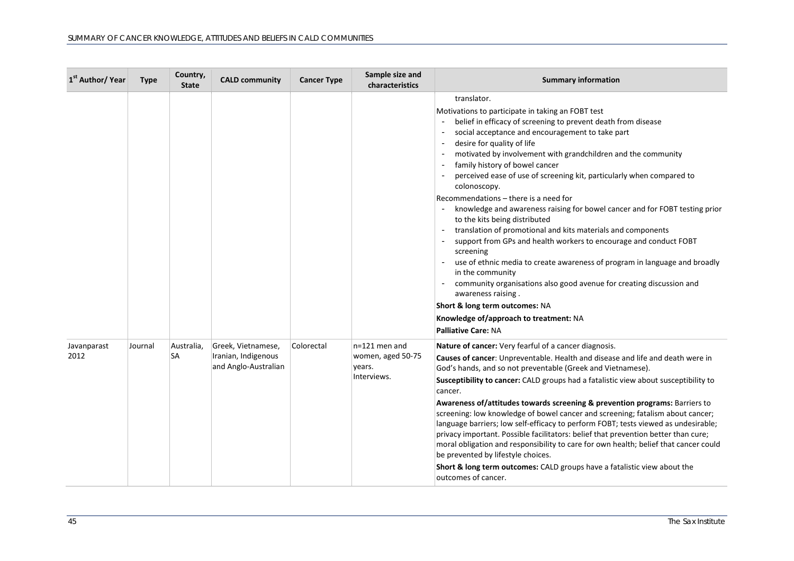| 1 <sup>st</sup> Author/ Year | <b>Type</b> | Country,<br><b>State</b> | <b>CALD community</b>                                             | <b>Cancer Type</b> | Sample size and<br>characteristics                            | <b>Summary information</b>                                                                                                                                                                                                                                                                                                                                                                                                                                                                                                                                                                                                                                                                                                                                                                                                                                                                                                                                                                                                           |
|------------------------------|-------------|--------------------------|-------------------------------------------------------------------|--------------------|---------------------------------------------------------------|--------------------------------------------------------------------------------------------------------------------------------------------------------------------------------------------------------------------------------------------------------------------------------------------------------------------------------------------------------------------------------------------------------------------------------------------------------------------------------------------------------------------------------------------------------------------------------------------------------------------------------------------------------------------------------------------------------------------------------------------------------------------------------------------------------------------------------------------------------------------------------------------------------------------------------------------------------------------------------------------------------------------------------------|
|                              |             |                          |                                                                   |                    |                                                               | translator.<br>Motivations to participate in taking an FOBT test<br>belief in efficacy of screening to prevent death from disease<br>social acceptance and encouragement to take part<br>desire for quality of life<br>motivated by involvement with grandchildren and the community<br>family history of bowel cancer<br>perceived ease of use of screening kit, particularly when compared to<br>colonoscopy.<br>Recommendations - there is a need for<br>knowledge and awareness raising for bowel cancer and for FOBT testing prior<br>to the kits being distributed<br>translation of promotional and kits materials and components<br>support from GPs and health workers to encourage and conduct FOBT<br>screening<br>use of ethnic media to create awareness of program in language and broadly<br>in the community<br>community organisations also good avenue for creating discussion and<br>awareness raising.<br>Short & long term outcomes: NA<br>Knowledge of/approach to treatment: NA<br><b>Palliative Care: NA</b> |
| Javanparast<br>2012          | Journal     | Australia,<br><b>SA</b>  | Greek, Vietnamese,<br>Iranian, Indigenous<br>and Anglo-Australian | Colorectal         | $n=121$ men and<br>women, aged 50-75<br>years.<br>Interviews. | Nature of cancer: Very fearful of a cancer diagnosis.<br>Causes of cancer: Unpreventable. Health and disease and life and death were in<br>God's hands, and so not preventable (Greek and Vietnamese).<br><b>Susceptibility to cancer:</b> CALD groups had a fatalistic view about susceptibility to<br>cancer.<br>Awareness of/attitudes towards screening & prevention programs: Barriers to<br>screening: low knowledge of bowel cancer and screening; fatalism about cancer;<br>language barriers; low self-efficacy to perform FOBT; tests viewed as undesirable;<br>privacy important. Possible facilitators: belief that prevention better than cure;<br>moral obligation and responsibility to care for own health; belief that cancer could<br>be prevented by lifestyle choices.<br>Short & long term outcomes: CALD groups have a fatalistic view about the<br>outcomes of cancer.                                                                                                                                        |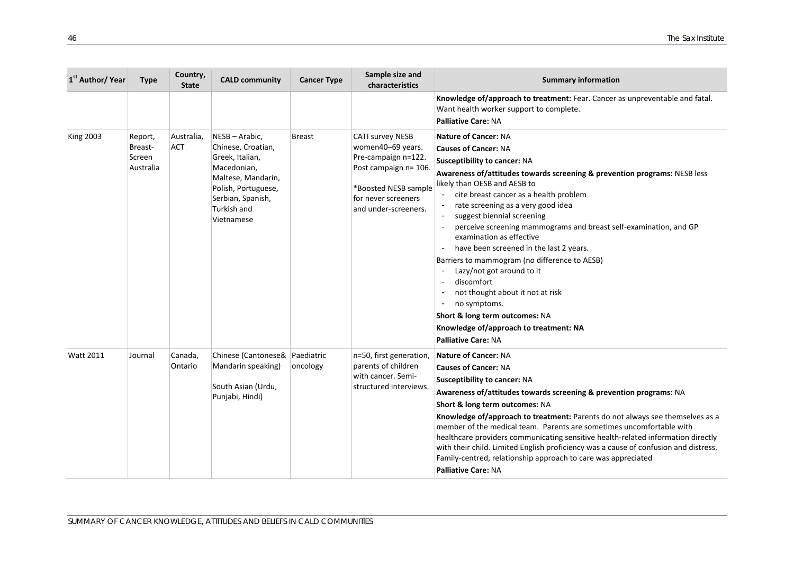| 1 <sup>st</sup> Author/ Year | <b>Type</b>                               | Country,<br><b>State</b> | <b>CALD community</b>                                                                                                                                               | <b>Cancer Type</b>     | Sample size and<br>characteristics                                                                                                                                  | <b>Summary information</b>                                                                                                                                                                                                                                                                                                                                                                                                                                                                                                                                                                                                                                                                                                         |
|------------------------------|-------------------------------------------|--------------------------|---------------------------------------------------------------------------------------------------------------------------------------------------------------------|------------------------|---------------------------------------------------------------------------------------------------------------------------------------------------------------------|------------------------------------------------------------------------------------------------------------------------------------------------------------------------------------------------------------------------------------------------------------------------------------------------------------------------------------------------------------------------------------------------------------------------------------------------------------------------------------------------------------------------------------------------------------------------------------------------------------------------------------------------------------------------------------------------------------------------------------|
|                              |                                           |                          |                                                                                                                                                                     |                        |                                                                                                                                                                     | Knowledge of/approach to treatment: Fear. Cancer as unpreventable and fatal.<br>Want health worker support to complete.<br><b>Palliative Care: NA</b>                                                                                                                                                                                                                                                                                                                                                                                                                                                                                                                                                                              |
| <b>King 2003</b>             | Report,<br>Breast-<br>Screen<br>Australia | Australia,<br><b>ACT</b> | NESB-Arabic,<br>Chinese, Croatian,<br>Greek, Italian,<br>Macedonian,<br>Maltese, Mandarin,<br>Polish, Portuguese,<br>Serbian, Spanish,<br>Turkish and<br>Vietnamese | Breast                 | <b>CATI survey NESB</b><br>women40-69 years.<br>Pre-campaign n=122.<br>Post campaign n= 106.<br>*Boosted NESB sample<br>for never screeners<br>and under-screeners. | <b>Nature of Cancer: NA</b><br><b>Causes of Cancer: NA</b><br><b>Susceptibility to cancer: NA</b><br>Awareness of/attitudes towards screening & prevention programs: NESB less<br>likely than OESB and AESB to<br>cite breast cancer as a health problem<br>rate screening as a very good idea<br>suggest biennial screening<br>perceive screening mammograms and breast self-examination, and GP<br>examination as effective<br>have been screened in the last 2 years.<br>Barriers to mammogram (no difference to AESB)<br>Lazy/not got around to it<br>discomfort<br>not thought about it not at risk<br>no symptoms.<br>Short & long term outcomes: NA<br>Knowledge of/approach to treatment: NA<br><b>Palliative Care: NA</b> |
| <b>Watt 2011</b>             | Journal                                   | Canada,<br>Ontario       | Chinese (Cantonese&<br>Mandarin speaking)<br>South Asian (Urdu,<br>Punjabi, Hindi)                                                                                  | Paediatric<br>oncology | n=50, first generation,<br>parents of children<br>with cancer. Semi-<br>structured interviews.                                                                      | <b>Nature of Cancer: NA</b><br><b>Causes of Cancer: NA</b><br><b>Susceptibility to cancer: NA</b><br>Awareness of/attitudes towards screening & prevention programs: NA<br>Short & long term outcomes: NA<br>Knowledge of/approach to treatment: Parents do not always see themselves as a<br>member of the medical team. Parents are sometimes uncomfortable with<br>healthcare providers communicating sensitive health-related information directly<br>with their child. Limited English proficiency was a cause of confusion and distress.<br>Family-centred, relationship approach to care was appreciated<br><b>Palliative Care: NA</b>                                                                                      |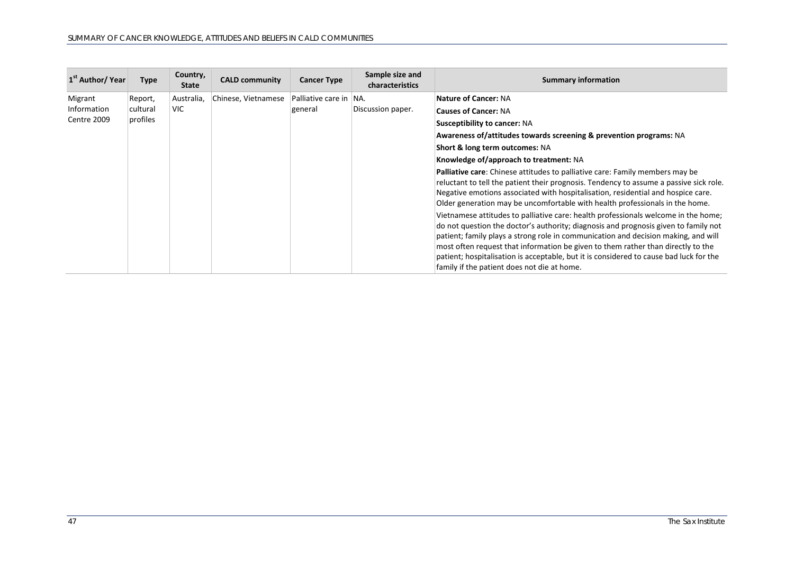| 1 <sup>st</sup> Author/ Year | Type     | Country,<br><b>State</b> | <b>CALD community</b> | <b>Cancer Type</b>     | Sample size and<br>characteristics | <b>Summary information</b>                                                                                                                                                                                                                                                                                                                                                                                                                                                                   |
|------------------------------|----------|--------------------------|-----------------------|------------------------|------------------------------------|----------------------------------------------------------------------------------------------------------------------------------------------------------------------------------------------------------------------------------------------------------------------------------------------------------------------------------------------------------------------------------------------------------------------------------------------------------------------------------------------|
| Migrant                      | Report,  | Australia,               | Chinese, Vietnamese   | Palliative care in NA. |                                    | <b>Nature of Cancer: NA</b>                                                                                                                                                                                                                                                                                                                                                                                                                                                                  |
| Information                  | cultural | <b>VIC</b>               |                       | general                | Discussion paper.                  | <b>Causes of Cancer: NA</b>                                                                                                                                                                                                                                                                                                                                                                                                                                                                  |
| Centre 2009                  | profiles |                          |                       |                        |                                    | <b>Susceptibility to cancer: NA</b>                                                                                                                                                                                                                                                                                                                                                                                                                                                          |
|                              |          |                          |                       |                        |                                    | Awareness of/attitudes towards screening & prevention programs: NA                                                                                                                                                                                                                                                                                                                                                                                                                           |
|                              |          |                          |                       |                        |                                    | Short & long term outcomes: NA                                                                                                                                                                                                                                                                                                                                                                                                                                                               |
|                              |          |                          |                       |                        |                                    | Knowledge of/approach to treatment: NA                                                                                                                                                                                                                                                                                                                                                                                                                                                       |
|                              |          |                          |                       |                        |                                    | Palliative care: Chinese attitudes to palliative care: Family members may be<br>reluctant to tell the patient their prognosis. Tendency to assume a passive sick role.<br>Negative emotions associated with hospitalisation, residential and hospice care.<br>Older generation may be uncomfortable with health professionals in the home.                                                                                                                                                   |
|                              |          |                          |                       |                        |                                    | Vietnamese attitudes to palliative care: health professionals welcome in the home;<br>do not question the doctor's authority; diagnosis and prognosis given to family not<br>patient; family plays a strong role in communication and decision making, and will<br>most often request that information be given to them rather than directly to the<br>patient; hospitalisation is acceptable, but it is considered to cause bad luck for the<br>family if the patient does not die at home. |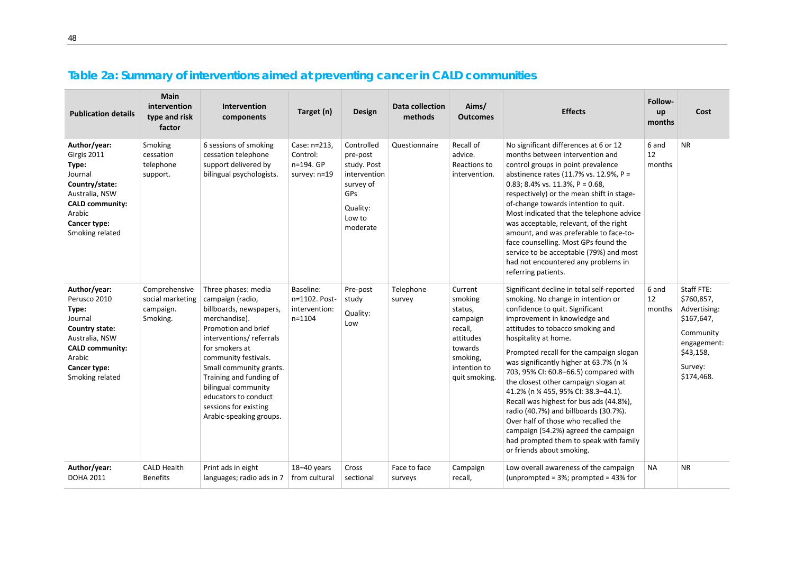<span id="page-47-0"></span>

| <b>Publication details</b>                                                                                                                                  | Main<br>intervention<br>type and risk<br>factor            | <b>Intervention</b><br>components                                                                                                                                                                                                                                                                                                        | Target (n)                                                | <b>Design</b>                                                                                                      | <b>Data collection</b><br>methods | Aims/<br><b>Outcomes</b>                                                                                                  | <b>Effects</b>                                                                                                                                                                                                                                                                                                                                                                                                                                                                                                                                                                                                                                                           | Follow-<br>up<br>months | Cost                                                                                                                     |
|-------------------------------------------------------------------------------------------------------------------------------------------------------------|------------------------------------------------------------|------------------------------------------------------------------------------------------------------------------------------------------------------------------------------------------------------------------------------------------------------------------------------------------------------------------------------------------|-----------------------------------------------------------|--------------------------------------------------------------------------------------------------------------------|-----------------------------------|---------------------------------------------------------------------------------------------------------------------------|--------------------------------------------------------------------------------------------------------------------------------------------------------------------------------------------------------------------------------------------------------------------------------------------------------------------------------------------------------------------------------------------------------------------------------------------------------------------------------------------------------------------------------------------------------------------------------------------------------------------------------------------------------------------------|-------------------------|--------------------------------------------------------------------------------------------------------------------------|
| Author/year:<br>Girgis 2011<br>Type:<br>Journal<br>Country/state:<br>Australia, NSW<br><b>CALD community:</b><br>Arabic<br>Cancer type:<br>Smoking related  | Smoking<br>cessation<br>telephone<br>support.              | 6 sessions of smoking<br>cessation telephone<br>support delivered by<br>bilingual psychologists.                                                                                                                                                                                                                                         | Case: n=213,<br>Control:<br>n=194. GP<br>survey: n=19     | Controlled<br>pre-post<br>study. Post<br>intervention<br>survey of<br><b>GPs</b><br>Quality:<br>Low to<br>moderate | Questionnaire                     | Recall of<br>advice.<br>Reactions to<br>intervention.                                                                     | No significant differences at 6 or 12<br>months between intervention and<br>control groups in point prevalence<br>abstinence rates (11.7% vs. 12.9%, P =<br>0.83; 8.4% vs. 11.3%, $P = 0.68$ ,<br>respectively) or the mean shift in stage-<br>of-change towards intention to quit.<br>Most indicated that the telephone advice<br>was acceptable, relevant, of the right<br>amount, and was preferable to face-to-<br>face counselling. Most GPs found the<br>service to be acceptable (79%) and most<br>had not encountered any problems in<br>referring patients.                                                                                                     | 6 and<br>12<br>months   | <b>NR</b>                                                                                                                |
| Author/year:<br>Perusco 2010<br>Type:<br>Journal<br>Country state:<br>Australia, NSW<br><b>CALD community:</b><br>Arabic<br>Cancer type:<br>Smoking related | Comprehensive<br>social marketing<br>campaign.<br>Smoking. | Three phases: media<br>campaign (radio,<br>billboards, newspapers,<br>merchandise).<br>Promotion and brief<br>interventions/referrals<br>for smokers at<br>community festivals.<br>Small community grants.<br>Training and funding of<br>bilingual community<br>educators to conduct<br>sessions for existing<br>Arabic-speaking groups. | Baseline:<br>n=1102. Post-<br>intervention:<br>$n = 1104$ | Pre-post<br>study<br>Quality:<br>Low                                                                               | Telephone<br>survey               | Current<br>smoking<br>status,<br>campaign<br>recall,<br>attitudes<br>towards<br>smoking,<br>intention to<br>quit smoking. | Significant decline in total self-reported<br>smoking. No change in intention or<br>confidence to quit. Significant<br>improvement in knowledge and<br>attitudes to tobacco smoking and<br>hospitality at home.<br>Prompted recall for the campaign slogan<br>was significantly higher at 63.7% (n 1/4<br>703, 95% CI: 60.8-66.5) compared with<br>the closest other campaign slogan at<br>41.2% (n % 455, 95% CI: 38.3-44.1).<br>Recall was highest for bus ads (44.8%),<br>radio (40.7%) and billboards (30.7%).<br>Over half of those who recalled the<br>campaign (54.2%) agreed the campaign<br>had prompted them to speak with family<br>or friends about smoking. | 6 and<br>12<br>months   | Staff FTE:<br>\$760,857,<br>Advertising:<br>\$167,647,<br>Community<br>engagement:<br>\$43,158,<br>Survey:<br>\$174,468. |
| Author/year:<br><b>DOHA 2011</b>                                                                                                                            | <b>CALD Health</b><br><b>Benefits</b>                      | Print ads in eight<br>languages; radio ads in 7                                                                                                                                                                                                                                                                                          | 18-40 years<br>from cultural                              | Cross<br>sectional                                                                                                 | Face to face<br>surveys           | Campaign<br>recall,                                                                                                       | Low overall awareness of the campaign<br>(unprompted = $3\%$ ; prompted = $43\%$ for                                                                                                                                                                                                                                                                                                                                                                                                                                                                                                                                                                                     | <b>NA</b>               | <b>NR</b>                                                                                                                |

## **Table 2a: Summary of interventions aimed at preventing cancer in CALD communities**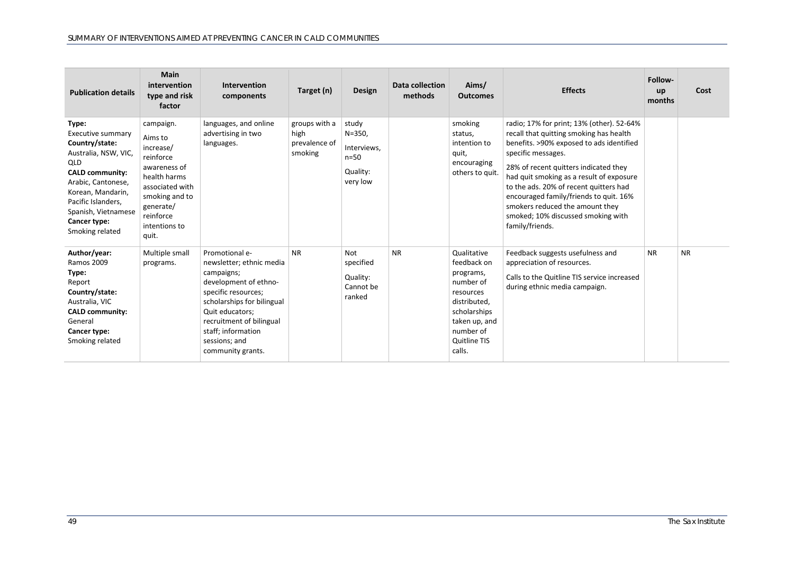| <b>Publication details</b>                                                                                                                                                                                                              | <b>Main</b><br>intervention<br>type and risk<br>factor                                                                                                                  | Intervention<br>components                                                                                                                                                                                                                        | Target (n)                                        | Design                                                               | Data collection<br>methods | Aims/<br><b>Outcomes</b>                                                                                                                                         | <b>Effects</b>                                                                                                                                                                                                                                                                                                                                                                                                              | Follow-<br>up<br>months | Cost      |
|-----------------------------------------------------------------------------------------------------------------------------------------------------------------------------------------------------------------------------------------|-------------------------------------------------------------------------------------------------------------------------------------------------------------------------|---------------------------------------------------------------------------------------------------------------------------------------------------------------------------------------------------------------------------------------------------|---------------------------------------------------|----------------------------------------------------------------------|----------------------------|------------------------------------------------------------------------------------------------------------------------------------------------------------------|-----------------------------------------------------------------------------------------------------------------------------------------------------------------------------------------------------------------------------------------------------------------------------------------------------------------------------------------------------------------------------------------------------------------------------|-------------------------|-----------|
| Type:<br>Executive summary<br>Country/state:<br>Australia, NSW, VIC,<br><b>QLD</b><br><b>CALD community:</b><br>Arabic, Cantonese,<br>Korean, Mandarin,<br>Pacific Islanders,<br>Spanish, Vietnamese<br>Cancer type:<br>Smoking related | campaign.<br>Aims to<br>increase/<br>reinforce<br>awareness of<br>health harms<br>associated with<br>smoking and to<br>generate/<br>reinforce<br>intentions to<br>quit. | languages, and online<br>advertising in two<br>languages.                                                                                                                                                                                         | groups with a<br>high<br>prevalence of<br>smoking | study<br>$N = 350,$<br>Interviews.<br>$n=50$<br>Quality:<br>very low |                            | smoking<br>status,<br>intention to<br>quit,<br>encouraging<br>others to quit.                                                                                    | radio; 17% for print; 13% (other). 52-64%<br>recall that quitting smoking has health<br>benefits. >90% exposed to ads identified<br>specific messages.<br>28% of recent quitters indicated they<br>had quit smoking as a result of exposure<br>to the ads. 20% of recent quitters had<br>encouraged family/friends to quit. 16%<br>smokers reduced the amount they<br>smoked; 10% discussed smoking with<br>family/friends. |                         |           |
| Author/year:<br><b>Ramos 2009</b><br>Type:<br>Report<br>Country/state:<br>Australia, VIC<br><b>CALD community:</b><br>General<br>Cancer type:<br>Smoking related                                                                        | Multiple small<br>programs.                                                                                                                                             | Promotional e-<br>newsletter; ethnic media<br>campaigns;<br>development of ethno-<br>specific resources;<br>scholarships for bilingual<br>Quit educators;<br>recruitment of bilingual<br>staff; information<br>sessions; and<br>community grants. | <b>NR</b>                                         | Not<br>specified<br>Quality:<br>Cannot be<br>ranked                  | <b>NR</b>                  | Qualitative<br>feedback on<br>programs,<br>number of<br>resources<br>distributed,<br>scholarships<br>taken up, and<br>number of<br><b>Quitline TIS</b><br>calls. | Feedback suggests usefulness and<br>appreciation of resources.<br>Calls to the Quitline TIS service increased<br>during ethnic media campaign.                                                                                                                                                                                                                                                                              | <b>NR</b>               | <b>NR</b> |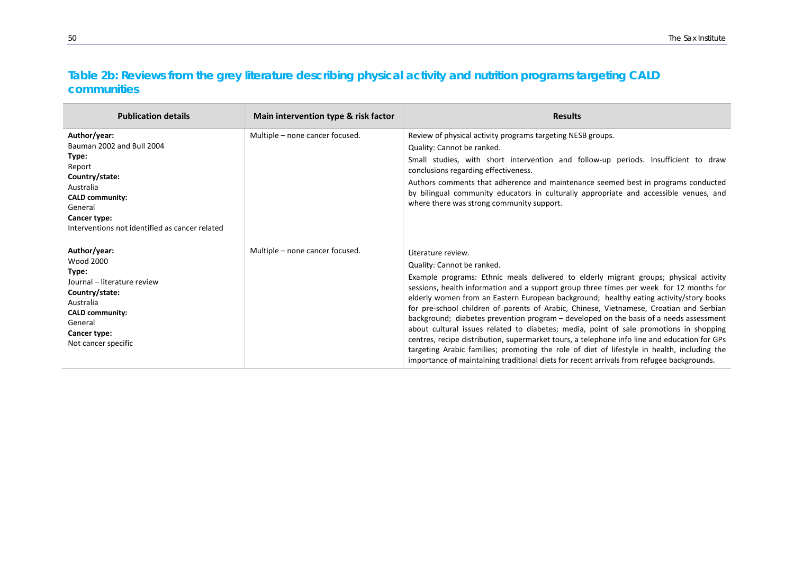## **Table 2b: Reviews from the grey literature describing physical activity and nutrition programs targeting CALD communities**

<span id="page-49-0"></span>

| <b>Publication details</b>                                                                                                                                                                         | Main intervention type & risk factor | <b>Results</b>                                                                                                                                                                                                                                                                                                                                                                                                                                                                                                                                                                                                                                                                                                                                                                                                                                                                                            |
|----------------------------------------------------------------------------------------------------------------------------------------------------------------------------------------------------|--------------------------------------|-----------------------------------------------------------------------------------------------------------------------------------------------------------------------------------------------------------------------------------------------------------------------------------------------------------------------------------------------------------------------------------------------------------------------------------------------------------------------------------------------------------------------------------------------------------------------------------------------------------------------------------------------------------------------------------------------------------------------------------------------------------------------------------------------------------------------------------------------------------------------------------------------------------|
| Author/year:<br>Bauman 2002 and Bull 2004<br>Type:<br>Report<br>Country/state:<br>Australia<br><b>CALD community:</b><br>General<br>Cancer type:<br>Interventions not identified as cancer related | Multiple - none cancer focused.      | Review of physical activity programs targeting NESB groups.<br>Quality: Cannot be ranked.<br>Small studies, with short intervention and follow-up periods. Insufficient to draw<br>conclusions regarding effectiveness.<br>Authors comments that adherence and maintenance seemed best in programs conducted<br>by bilingual community educators in culturally appropriate and accessible venues, and<br>where there was strong community support.                                                                                                                                                                                                                                                                                                                                                                                                                                                        |
| Author/year:<br><b>Wood 2000</b><br>Type:<br>Journal - literature review<br>Country/state:<br>Australia<br><b>CALD community:</b><br>General<br>Cancer type:<br>Not cancer specific                | Multiple - none cancer focused.      | Literature review.<br>Quality: Cannot be ranked.<br>Example programs: Ethnic meals delivered to elderly migrant groups; physical activity<br>sessions, health information and a support group three times per week for 12 months for<br>elderly women from an Eastern European background; healthy eating activity/story books<br>for pre-school children of parents of Arabic, Chinese, Vietnamese, Croatian and Serbian<br>background; diabetes prevention program - developed on the basis of a needs assessment<br>about cultural issues related to diabetes; media, point of sale promotions in shopping<br>centres, recipe distribution, supermarket tours, a telephone info line and education for GPs<br>targeting Arabic families; promoting the role of diet of lifestyle in health, including the<br>importance of maintaining traditional diets for recent arrivals from refugee backgrounds. |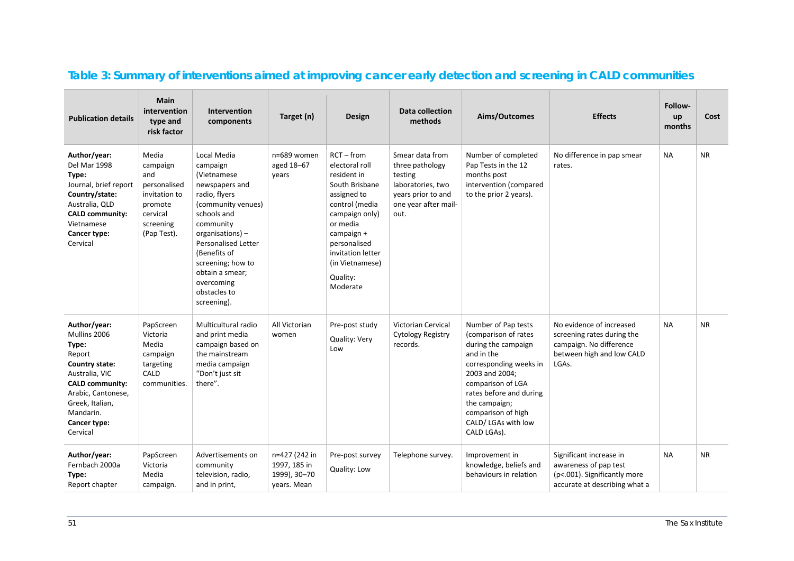<span id="page-50-0"></span>

| <b>Publication details</b>                                                                                                                                                                      | Main<br>intervention<br>type and<br>risk factor                                                              | Intervention<br>components                                                                                                                                                                                                                                                         | Target (n)                                                   | <b>Design</b>                                                                                                                                                                                                                | Data collection<br>methods                                                                                               | Aims/Outcomes                                                                                                                                                                                                                                             | <b>Effects</b>                                                                                                          | Follow-<br>up<br>months | Cost      |
|-------------------------------------------------------------------------------------------------------------------------------------------------------------------------------------------------|--------------------------------------------------------------------------------------------------------------|------------------------------------------------------------------------------------------------------------------------------------------------------------------------------------------------------------------------------------------------------------------------------------|--------------------------------------------------------------|------------------------------------------------------------------------------------------------------------------------------------------------------------------------------------------------------------------------------|--------------------------------------------------------------------------------------------------------------------------|-----------------------------------------------------------------------------------------------------------------------------------------------------------------------------------------------------------------------------------------------------------|-------------------------------------------------------------------------------------------------------------------------|-------------------------|-----------|
| Author/year:<br>Del Mar 1998<br>Type:<br>Journal, brief report<br>Country/state:<br>Australia, QLD<br><b>CALD community:</b><br>Vietnamese<br>Cancer type:<br>Cervical                          | Media<br>campaign<br>and<br>personalised<br>invitation to<br>promote<br>cervical<br>screening<br>(Pap Test). | Local Media<br>campaign<br>(Vietnamese<br>newspapers and<br>radio, flyers<br>(community venues)<br>schools and<br>community<br>organisations) -<br><b>Personalised Letter</b><br>(Benefits of<br>screening; how to<br>obtain a smear;<br>overcoming<br>obstacles to<br>screening). | n=689 women<br>aged 18-67<br>years                           | $RCT - from$<br>electoral roll<br>resident in<br>South Brisbane<br>assigned to<br>control (media<br>campaign only)<br>or media<br>campaign +<br>personalised<br>invitation letter<br>(in Vietnamese)<br>Quality:<br>Moderate | Smear data from<br>three pathology<br>testing<br>laboratories, two<br>years prior to and<br>one year after mail-<br>out. | Number of completed<br>Pap Tests in the 12<br>months post<br>intervention (compared<br>to the prior 2 years).                                                                                                                                             | No difference in pap smear<br>rates.                                                                                    | NА                      | <b>NR</b> |
| Author/year:<br>Mullins 2006<br>Type:<br>Report<br>Country state:<br>Australia, VIC<br><b>CALD community:</b><br>Arabic, Cantonese,<br>Greek, Italian,<br>Mandarin.<br>Cancer type:<br>Cervical | PapScreen<br>Victoria<br>Media<br>campaign<br>targeting<br>CALD<br>communities.                              | Multicultural radio<br>and print media<br>campaign based on<br>the mainstream<br>media campaign<br>"Don't just sit<br>there".                                                                                                                                                      | All Victorian<br>women                                       | Pre-post study<br>Quality: Very<br>Low                                                                                                                                                                                       | <b>Victorian Cervical</b><br><b>Cytology Registry</b><br>records.                                                        | Number of Pap tests<br>(comparison of rates<br>during the campaign<br>and in the<br>corresponding weeks in<br>2003 and 2004;<br>comparison of LGA<br>rates before and during<br>the campaign;<br>comparison of high<br>CALD/ LGAs with low<br>CALD LGAs). | No evidence of increased<br>screening rates during the<br>campaign. No difference<br>between high and low CALD<br>LGAs. | <b>NA</b>               | <b>NR</b> |
| Author/year:<br>Fernbach 2000a<br>Type:<br>Report chapter                                                                                                                                       | PapScreen<br>Victoria<br>Media<br>campaign.                                                                  | Advertisements on<br>community<br>television, radio,<br>and in print,                                                                                                                                                                                                              | n=427 (242 in<br>1997, 185 in<br>1999), 30-70<br>years. Mean | Pre-post survey<br>Quality: Low                                                                                                                                                                                              | Telephone survey.                                                                                                        | Improvement in<br>knowledge, beliefs and<br>behaviours in relation                                                                                                                                                                                        | Significant increase in<br>awareness of pap test<br>(p<.001). Significantly more<br>accurate at describing what a       | <b>NA</b>               | <b>NR</b> |

## **Table 3: Summary of interventions aimed at improving cancer early detection and screening in CALD communities**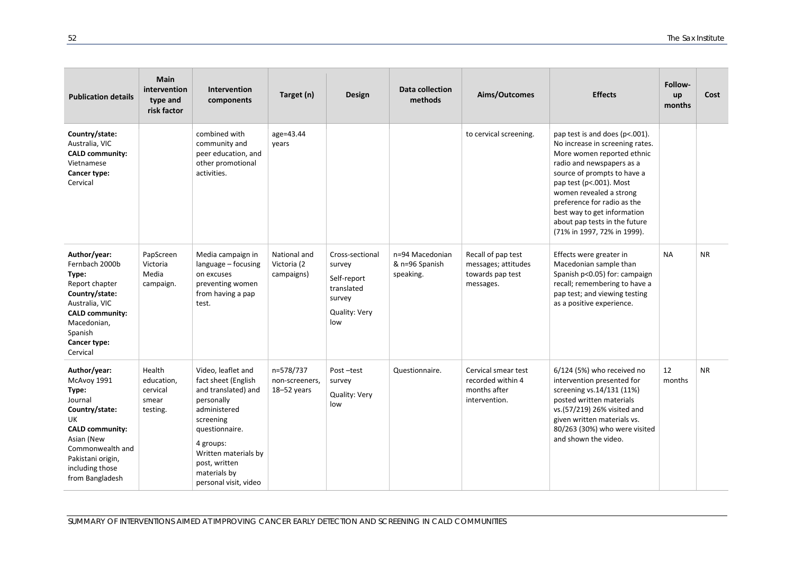| <b>Publication details</b>                                                                                                                                                                     | <b>Main</b><br>intervention<br>type and<br>risk factor | <b>Intervention</b><br>components                                                                                                                                                                                            | Target (n)                                 | Design                                                                                   | Data collection<br>methods                     | Aims/Outcomes                                                              | <b>Effects</b>                                                                                                                                                                                                                                                                                                                                  | Follow-<br>up<br>months | Cost      |
|------------------------------------------------------------------------------------------------------------------------------------------------------------------------------------------------|--------------------------------------------------------|------------------------------------------------------------------------------------------------------------------------------------------------------------------------------------------------------------------------------|--------------------------------------------|------------------------------------------------------------------------------------------|------------------------------------------------|----------------------------------------------------------------------------|-------------------------------------------------------------------------------------------------------------------------------------------------------------------------------------------------------------------------------------------------------------------------------------------------------------------------------------------------|-------------------------|-----------|
| Country/state:<br>Australia, VIC<br><b>CALD community:</b><br>Vietnamese<br>Cancer type:<br>Cervical                                                                                           |                                                        | combined with<br>community and<br>peer education, and<br>other promotional<br>activities.                                                                                                                                    | age=43.44<br>years                         |                                                                                          |                                                | to cervical screening.                                                     | pap test is and does (p<.001).<br>No increase in screening rates.<br>More women reported ethnic<br>radio and newspapers as a<br>source of prompts to have a<br>pap test (p<.001). Most<br>women revealed a strong<br>preference for radio as the<br>best way to get information<br>about pap tests in the future<br>(71% in 1997, 72% in 1999). |                         |           |
| Author/year:<br>Fernbach 2000b<br>Type:<br>Report chapter<br>Country/state:<br>Australia, VIC<br><b>CALD community:</b><br>Macedonian,<br>Spanish<br>Cancer type:<br>Cervical                  | PapScreen<br>Victoria<br>Media<br>campaign.            | Media campaign in<br>language - focusing<br>on excuses<br>preventing women<br>from having a pap<br>test.                                                                                                                     | National and<br>Victoria (2<br>campaigns)  | Cross-sectional<br>survey<br>Self-report<br>translated<br>survey<br>Quality: Very<br>low | n=94 Macedonian<br>& n=96 Spanish<br>speaking. | Recall of pap test<br>messages; attitudes<br>towards pap test<br>messages. | Effects were greater in<br>Macedonian sample than<br>Spanish p<0.05) for: campaign<br>recall; remembering to have a<br>pap test; and viewing testing<br>as a positive experience.                                                                                                                                                               | <b>NA</b>               | <b>NR</b> |
| Author/year:<br>McAvoy 1991<br>Type:<br>Journal<br>Country/state:<br>UK<br><b>CALD community:</b><br>Asian (New<br>Commonwealth and<br>Pakistani origin,<br>including those<br>from Bangladesh | Health<br>education,<br>cervical<br>smear<br>testing.  | Video, leaflet and<br>fact sheet (English<br>and translated) and<br>personally<br>administered<br>screening<br>questionnaire.<br>4 groups:<br>Written materials by<br>post, written<br>materials by<br>personal visit, video | n=578/737<br>non-screeners,<br>18-52 years | Post-test<br>survey<br>Quality: Very<br>low                                              | Questionnaire.                                 | Cervical smear test<br>recorded within 4<br>months after<br>intervention.  | 6/124 (5%) who received no<br>intervention presented for<br>screening vs.14/131 (11%)<br>posted written materials<br>vs.(57/219) 26% visited and<br>given written materials vs.<br>80/263 (30%) who were visited<br>and shown the video.                                                                                                        | 12<br>months            | <b>NR</b> |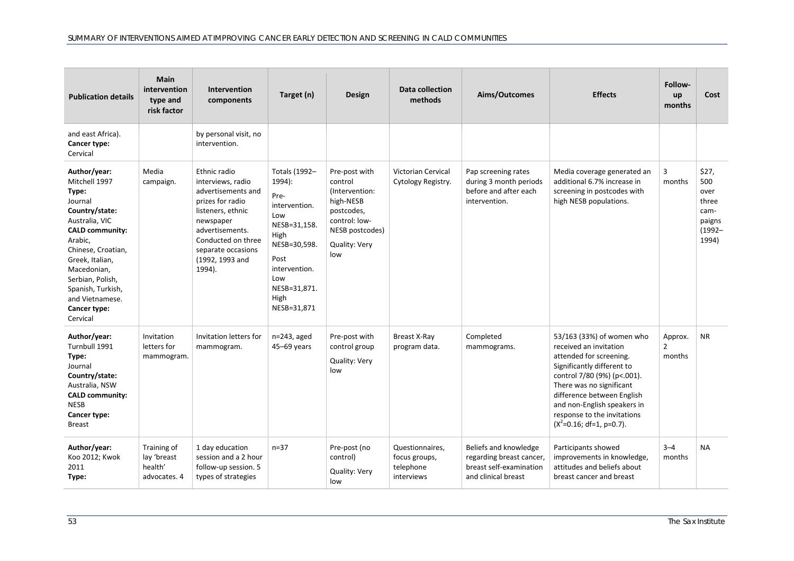| <b>Publication details</b>                                                                                                                                                                                                                                                 | Main<br>intervention<br>type and<br>risk factor       | <b>Intervention</b><br>components                                                                                                                                                                         | Target (n)                                                                                                                                                             | Design                                                                                                                            | Data collection<br>methods                                  | Aims/Outcomes                                                                                       | <b>Effects</b>                                                                                                                                                                                                                                                                                     | Follow-<br>up<br>months             | Cost                                                                  |
|----------------------------------------------------------------------------------------------------------------------------------------------------------------------------------------------------------------------------------------------------------------------------|-------------------------------------------------------|-----------------------------------------------------------------------------------------------------------------------------------------------------------------------------------------------------------|------------------------------------------------------------------------------------------------------------------------------------------------------------------------|-----------------------------------------------------------------------------------------------------------------------------------|-------------------------------------------------------------|-----------------------------------------------------------------------------------------------------|----------------------------------------------------------------------------------------------------------------------------------------------------------------------------------------------------------------------------------------------------------------------------------------------------|-------------------------------------|-----------------------------------------------------------------------|
| and east Africa).<br>Cancer type:<br>Cervical                                                                                                                                                                                                                              |                                                       | by personal visit, no<br>intervention.                                                                                                                                                                    |                                                                                                                                                                        |                                                                                                                                   |                                                             |                                                                                                     |                                                                                                                                                                                                                                                                                                    |                                     |                                                                       |
| Author/year:<br>Mitchell 1997<br>Type:<br>Journal<br>Country/state:<br>Australia, VIC<br><b>CALD community:</b><br>Arabic,<br>Chinese, Croatian,<br>Greek, Italian,<br>Macedonian,<br>Serbian, Polish,<br>Spanish, Turkish,<br>and Vietnamese.<br>Cancer type:<br>Cervical | Media<br>campaign.                                    | Ethnic radio<br>interviews, radio<br>advertisements and<br>prizes for radio<br>listeners, ethnic<br>newspaper<br>advertisements.<br>Conducted on three<br>separate occasions<br>(1992, 1993 and<br>1994). | Totals (1992-<br>1994):<br>Pre-<br>intervention.<br>Low<br>NESB=31,158.<br>High<br>NESB=30,598.<br>Post<br>intervention.<br>Low<br>NESB=31,871.<br>High<br>NESB=31,871 | Pre-post with<br>control<br>(Intervention:<br>high-NESB<br>postcodes,<br>control: low-<br>NESB postcodes)<br>Quality: Very<br>low | Victorian Cervical<br>Cytology Registry.                    | Pap screening rates<br>during 3 month periods<br>before and after each<br>intervention.             | Media coverage generated an<br>additional 6.7% increase in<br>screening in postcodes with<br>high NESB populations.                                                                                                                                                                                | 3<br>months                         | \$27,<br>500<br>over<br>three<br>cam-<br>paigns<br>$(1992 -$<br>1994) |
| Author/year:<br>Turnbull 1991<br>Type:<br>Journal<br>Country/state:<br>Australia, NSW<br><b>CALD community:</b><br><b>NESB</b><br>Cancer type:<br><b>Breast</b>                                                                                                            | Invitation<br>letters for<br>mammogram.               | Invitation letters for<br>mammogram.                                                                                                                                                                      | n=243, aged<br>45-69 years                                                                                                                                             | Pre-post with<br>control group<br>Quality: Very<br>low                                                                            | Breast X-Ray<br>program data.                               | Completed<br>mammograms.                                                                            | 53/163 (33%) of women who<br>received an invitation<br>attended for screening.<br>Significantly different to<br>control 7/80 (9%) (p<.001).<br>There was no significant<br>difference between English<br>and non-English speakers in<br>response to the invitations<br>$(X^2=0.16; df=1, p=0.7)$ . | Approx.<br>$\overline{2}$<br>months | <b>NR</b>                                                             |
| Author/year:<br>Koo 2012; Kwok<br>2011<br>Type:                                                                                                                                                                                                                            | Training of<br>lay 'breast<br>health'<br>advocates. 4 | 1 day education<br>session and a 2 hour<br>follow-up session. 5<br>types of strategies                                                                                                                    | $n = 37$                                                                                                                                                               | Pre-post (no<br>control)<br>Quality: Very<br>low                                                                                  | Questionnaires,<br>focus groups,<br>telephone<br>interviews | Beliefs and knowledge<br>regarding breast cancer,<br>breast self-examination<br>and clinical breast | Participants showed<br>improvements in knowledge,<br>attitudes and beliefs about<br>breast cancer and breast                                                                                                                                                                                       | $3 - 4$<br>months                   | <b>NA</b>                                                             |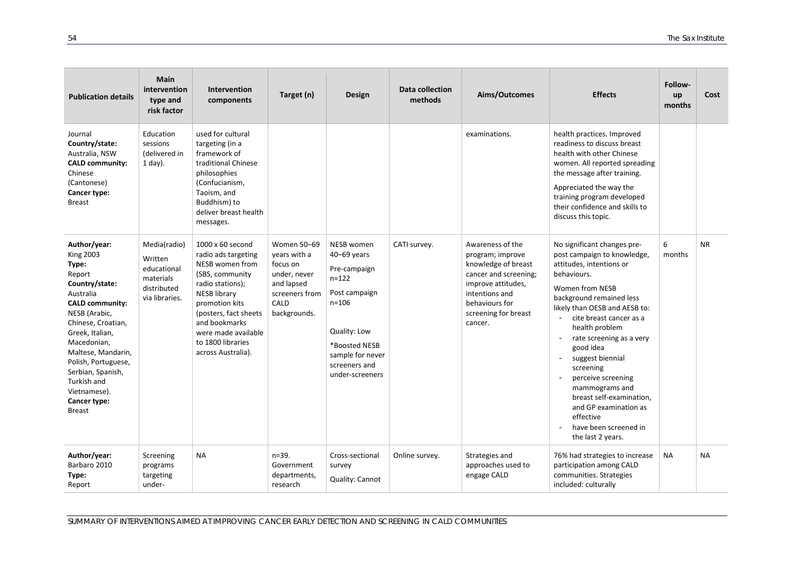| <b>Publication details</b>                                                                                                                                                                                                                                                                                              | <b>Main</b><br>intervention<br>type and<br>risk factor                               | <b>Intervention</b><br>components                                                                                                                                                                                                                       | Target (n)                                                                                                      | Design                                                                                                                                                                        | Data collection<br>methods | Aims/Outcomes                                                                                                                                                                     | <b>Effects</b>                                                                                                                                                                                                                                                                                                                                                                                                                                                       | Follow-<br>up<br>months | Cost      |
|-------------------------------------------------------------------------------------------------------------------------------------------------------------------------------------------------------------------------------------------------------------------------------------------------------------------------|--------------------------------------------------------------------------------------|---------------------------------------------------------------------------------------------------------------------------------------------------------------------------------------------------------------------------------------------------------|-----------------------------------------------------------------------------------------------------------------|-------------------------------------------------------------------------------------------------------------------------------------------------------------------------------|----------------------------|-----------------------------------------------------------------------------------------------------------------------------------------------------------------------------------|----------------------------------------------------------------------------------------------------------------------------------------------------------------------------------------------------------------------------------------------------------------------------------------------------------------------------------------------------------------------------------------------------------------------------------------------------------------------|-------------------------|-----------|
| Journal<br>Country/state:<br>Australia, NSW<br><b>CALD community:</b><br>Chinese<br>(Cantonese)<br>Cancer type:<br><b>Breast</b>                                                                                                                                                                                        | Education<br>sessions<br>(delivered in<br>$1$ day).                                  | used for cultural<br>targeting (in a<br>framework of<br>traditional Chinese<br>philosophies<br>(Confucianism,<br>Taoism, and<br>Buddhism) to<br>deliver breast health<br>messages.                                                                      |                                                                                                                 |                                                                                                                                                                               |                            | examinations.                                                                                                                                                                     | health practices. Improved<br>readiness to discuss breast<br>health with other Chinese<br>women. All reported spreading<br>the message after training.<br>Appreciated the way the<br>training program developed<br>their confidence and skills to<br>discuss this topic.                                                                                                                                                                                             |                         |           |
| Author/year:<br><b>King 2003</b><br>Type:<br>Report<br>Country/state:<br>Australia<br><b>CALD community:</b><br>NESB (Arabic,<br>Chinese, Croatian,<br>Greek, Italian,<br>Macedonian,<br>Maltese, Mandarin,<br>Polish, Portuguese,<br>Serbian, Spanish,<br>Turkish and<br>Vietnamese).<br>Cancer type:<br><b>Breast</b> | Media(radio)<br>Written<br>educational<br>materials<br>distributed<br>via libraries. | 1000 x 60 second<br>radio ads targeting<br>NESB women from<br>(SBS, community)<br>radio stations);<br><b>NESB library</b><br>promotion kits<br>(posters, fact sheets<br>and bookmarks<br>were made available<br>to 1800 libraries<br>across Australia). | Women 50-69<br>years with a<br>focus on<br>under, never<br>and lapsed<br>screeners from<br>CALD<br>backgrounds. | NESB women<br>40-69 years<br>Pre-campaign<br>$n = 122$<br>Post campaign<br>$n = 106$<br>Quality: Low<br>*Boosted NESB<br>sample for never<br>screeners and<br>under-screeners | CATI survey.               | Awareness of the<br>program; improve<br>knowledge of breast<br>cancer and screening;<br>improve attitudes,<br>intentions and<br>behaviours for<br>screening for breast<br>cancer. | No significant changes pre-<br>post campaign to knowledge,<br>attitudes, intentions or<br>behaviours.<br>Women from NESB<br>background remained less<br>likely than OESB and AESB to:<br>cite breast cancer as a<br>health problem<br>rate screening as a very<br>good idea<br>suggest biennial<br>screening<br>perceive screening<br>mammograms and<br>breast self-examination,<br>and GP examination as<br>effective<br>have been screened in<br>the last 2 years. | 6<br>months             | <b>NR</b> |
| Author/year:<br>Barbaro 2010<br>Type:<br>Report                                                                                                                                                                                                                                                                         | Screening<br>programs<br>targeting<br>under-                                         | <b>NA</b>                                                                                                                                                                                                                                               | $n = 39.$<br>Government<br>departments,<br>research                                                             | Cross-sectional<br>survey<br>Quality: Cannot                                                                                                                                  | Online survey.             | Strategies and<br>approaches used to<br>engage CALD                                                                                                                               | 76% had strategies to increase<br>participation among CALD<br>communities. Strategies<br>included: culturally                                                                                                                                                                                                                                                                                                                                                        | <b>NA</b>               | <b>NA</b> |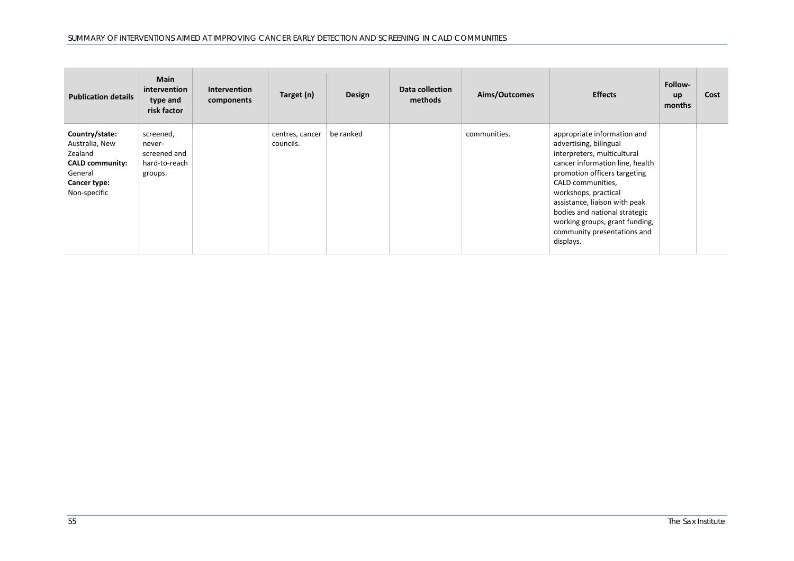| <b>Publication details</b>                                                                                       | <b>Main</b><br>intervention<br>type and<br>risk factor          | <b>Intervention</b><br>components | Target (n)                   | Design    | Data collection<br>methods | Aims/Outcomes | <b>Effects</b>                                                                                                                                                                                                                                                                                                                                       | Follow-<br>up<br>months | Cost |
|------------------------------------------------------------------------------------------------------------------|-----------------------------------------------------------------|-----------------------------------|------------------------------|-----------|----------------------------|---------------|------------------------------------------------------------------------------------------------------------------------------------------------------------------------------------------------------------------------------------------------------------------------------------------------------------------------------------------------------|-------------------------|------|
| Country/state:<br>Australia, New<br>Zealand<br><b>CALD community:</b><br>General<br>Cancer type:<br>Non-specific | screened,<br>never-<br>screened and<br>hard-to-reach<br>groups. |                                   | centres, cancer<br>councils. | be ranked |                            | communities.  | appropriate information and<br>advertising, bilingual<br>interpreters, multicultural<br>cancer information line, health<br>promotion officers targeting<br>CALD communities,<br>workshops, practical<br>assistance, liaison with peak<br>bodies and national strategic<br>working groups, grant funding,<br>community presentations and<br>displays. |                         |      |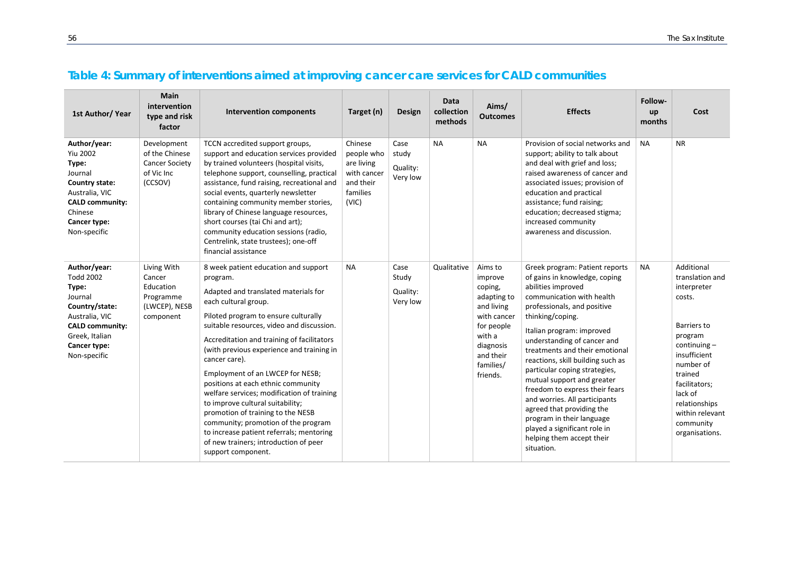## **Table 4: Summary of interventions aimed at improving cancer care services for CALD communities**

<span id="page-55-0"></span>

| 1st Author/ Year                                                                                                                                                     | <b>Main</b><br>intervention<br>type and risk<br>factor                          | <b>Intervention components</b>                                                                                                                                                                                                                                                                                                                                                                                                                                                                                                                                                                                                                                       | Target (n)                                                                           | <b>Design</b>                         | Data<br>collection<br>methods | Aims/<br><b>Outcomes</b>                                                                                                                             | <b>Effects</b>                                                                                                                                                                                                                                                                                                                                                                                                                                                                                                                                                                  | <b>Follow-</b><br>up<br>months | Cost                                                                                                                                                                                                                                      |
|----------------------------------------------------------------------------------------------------------------------------------------------------------------------|---------------------------------------------------------------------------------|----------------------------------------------------------------------------------------------------------------------------------------------------------------------------------------------------------------------------------------------------------------------------------------------------------------------------------------------------------------------------------------------------------------------------------------------------------------------------------------------------------------------------------------------------------------------------------------------------------------------------------------------------------------------|--------------------------------------------------------------------------------------|---------------------------------------|-------------------------------|------------------------------------------------------------------------------------------------------------------------------------------------------|---------------------------------------------------------------------------------------------------------------------------------------------------------------------------------------------------------------------------------------------------------------------------------------------------------------------------------------------------------------------------------------------------------------------------------------------------------------------------------------------------------------------------------------------------------------------------------|--------------------------------|-------------------------------------------------------------------------------------------------------------------------------------------------------------------------------------------------------------------------------------------|
| Author/year:<br><b>Yiu 2002</b><br>Type:<br>Journal<br>Country state:<br>Australia, VIC<br><b>CALD community:</b><br>Chinese<br>Cancer type:<br>Non-specific         | Development<br>of the Chinese<br><b>Cancer Society</b><br>of Vic Inc<br>(CCSOV) | TCCN accredited support groups,<br>support and education services provided<br>by trained volunteers (hospital visits,<br>telephone support, counselling, practical<br>assistance, fund raising, recreational and<br>social events, quarterly newsletter<br>containing community member stories,<br>library of Chinese language resources,<br>short courses (tai Chi and art);<br>community education sessions (radio,<br>Centrelink, state trustees); one-off<br>financial assistance                                                                                                                                                                                | Chinese<br>people who<br>are living<br>with cancer<br>and their<br>families<br>(VIC) | Case<br>study<br>Quality:<br>Very low | <b>NA</b>                     | <b>NA</b>                                                                                                                                            | Provision of social networks and<br>support; ability to talk about<br>and deal with grief and loss;<br>raised awareness of cancer and<br>associated issues; provision of<br>education and practical<br>assistance; fund raising;<br>education; decreased stigma;<br>increased community<br>awareness and discussion.                                                                                                                                                                                                                                                            | <b>NA</b>                      | <b>NR</b>                                                                                                                                                                                                                                 |
| Author/year:<br><b>Todd 2002</b><br>Type:<br>Journal<br>Country/state:<br>Australia, VIC<br><b>CALD community:</b><br>Greek, Italian<br>Cancer type:<br>Non-specific | Living With<br>Cancer<br>Education<br>Programme<br>(LWCEP), NESB<br>component   | 8 week patient education and support<br>program.<br>Adapted and translated materials for<br>each cultural group.<br>Piloted program to ensure culturally<br>suitable resources, video and discussion.<br>Accreditation and training of facilitators<br>(with previous experience and training in<br>cancer care).<br>Employment of an LWCEP for NESB;<br>positions at each ethnic community<br>welfare services; modification of training<br>to improve cultural suitability;<br>promotion of training to the NESB<br>community; promotion of the program<br>to increase patient referrals; mentoring<br>of new trainers; introduction of peer<br>support component. | <b>NA</b>                                                                            | Case<br>Study<br>Quality:<br>Very low | Qualitative                   | Aims to<br>improve<br>coping,<br>adapting to<br>and living<br>with cancer<br>for people<br>with a<br>diagnosis<br>and their<br>families/<br>friends. | Greek program: Patient reports<br>of gains in knowledge, coping<br>abilities improved<br>communication with health<br>professionals, and positive<br>thinking/coping.<br>Italian program: improved<br>understanding of cancer and<br>treatments and their emotional<br>reactions, skill building such as<br>particular coping strategies,<br>mutual support and greater<br>freedom to express their fears<br>and worries. All participants<br>agreed that providing the<br>program in their language<br>played a significant role in<br>helping them accept their<br>situation. | <b>NA</b>                      | Additional<br>translation and<br>interpreter<br>costs.<br>Barriers to<br>program<br>$continuing -$<br>insufficient<br>number of<br>trained<br>facilitators;<br>lack of<br>relationships<br>within relevant<br>community<br>organisations. |